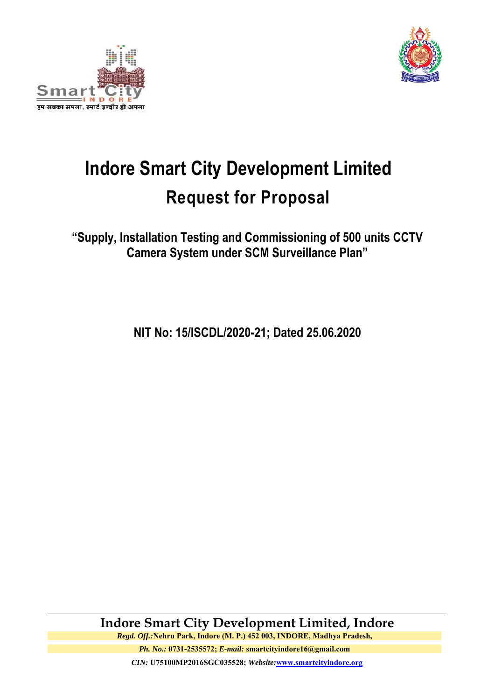



# **Indore Smart City Development Limited Request for Proposal**

**"Supply, Installation Testing and Commissioning of 500 units CCTV Camera System under SCM Surveillance Plan"** 

**NIT No: 15/ISCDL/2020-21; Dated 25.06.2020**

**Indore Smart City Development Limited, Indore**  *Regd. Off.:***Nehru Park, Indore (M. P.) 452 003, INDORE, Madhya Pradesh,** 

*Ph. No.:* **0731-2535572;** *E-mail:* **smartcityindore16@gmail.com** *CIN:* **U75100MP2016SGC035528;** *Website:***www.smartcityindore.org**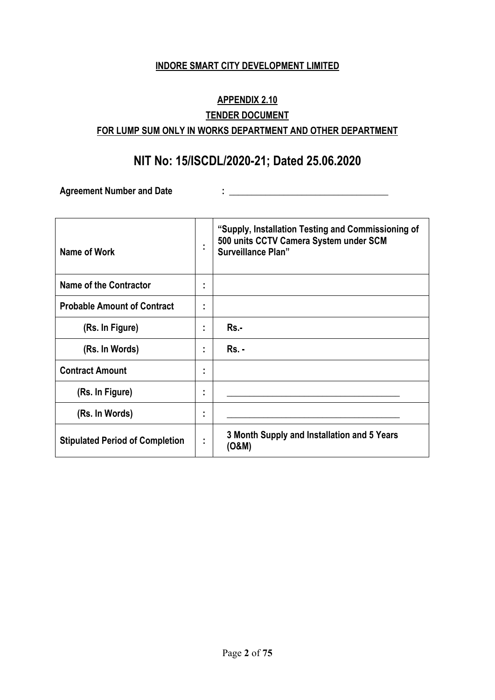#### **INDORE SMART CITY DEVELOPMENT LIMITED**

# **APPENDIX 2.10 TENDER DOCUMENT FOR LUMP SUM ONLY IN WORKS DEPARTMENT AND OTHER DEPARTMENT**

# **NIT No: 15/ISCDL/2020-21; Dated 25.06.2020**

Agreement Number and Date and State and State and State and State and State and State and State and State and State and State and State and State and State and State and State and State and State and State and State and St

| Name of Work                           | ٠              | "Supply, Installation Testing and Commissioning of<br>500 units CCTV Camera System under SCM<br><b>Surveillance Plan"</b> |
|----------------------------------------|----------------|---------------------------------------------------------------------------------------------------------------------------|
| <b>Name of the Contractor</b>          | ٠              |                                                                                                                           |
| <b>Probable Amount of Contract</b>     |                |                                                                                                                           |
| (Rs. In Figure)                        | ٠              | Rs.-                                                                                                                      |
| (Rs. In Words)                         | ٠.             | <b>Rs. -</b>                                                                                                              |
| <b>Contract Amount</b>                 | ٠<br>٠         |                                                                                                                           |
| (Rs. In Figure)                        | ٠<br>٠.        |                                                                                                                           |
| (Rs. In Words)                         | ٠<br>٠         |                                                                                                                           |
| <b>Stipulated Period of Completion</b> | $\blacksquare$ | 3 Month Supply and Installation and 5 Years<br>(O&M)                                                                      |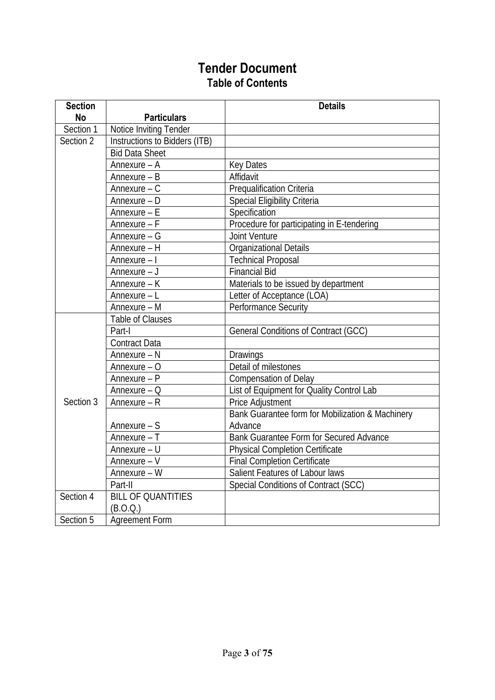# **Tender Document Table of Contents**

| <b>Section</b> |                               | <b>Details</b>                                   |
|----------------|-------------------------------|--------------------------------------------------|
| <b>No</b>      | <b>Particulars</b>            |                                                  |
| Section 1      | Notice Inviting Tender        |                                                  |
| Section 2      | Instructions to Bidders (ITB) |                                                  |
|                | <b>Bid Data Sheet</b>         |                                                  |
|                | Annexure - A                  | <b>Key Dates</b>                                 |
|                | Annexure - B                  | Affidavit                                        |
|                | Annexure $-$ C                | <b>Prequalification Criteria</b>                 |
|                | Annexure - D                  | Special Eligibility Criteria                     |
|                | Annexure - E                  | Specification                                    |
|                | Annexure - F                  | Procedure for participating in E-tendering       |
|                | Annexure - G                  | <b>Joint Venture</b>                             |
|                | Annexure - H                  | <b>Organizational Details</b>                    |
|                | Annexure - I                  | <b>Technical Proposal</b>                        |
|                | Annexure - J                  | <b>Financial Bid</b>                             |
|                | Annexure - K                  | Materials to be issued by department             |
|                | Annexure - L                  | Letter of Acceptance (LOA)                       |
|                | Annexure - M                  | <b>Performance Security</b>                      |
|                | Table of Clauses              |                                                  |
|                | Part-I                        | General Conditions of Contract (GCC)             |
|                | Contract Data                 |                                                  |
|                | Annexure - N                  | Drawings                                         |
|                | Annexure - O                  | Detail of milestones                             |
|                | Annexure - P                  | <b>Compensation of Delay</b>                     |
|                | Annexure $ Q$                 | List of Equipment for Quality Control Lab        |
| Section 3      | Annexure - R                  | Price Adjustment                                 |
|                |                               | Bank Guarantee form for Mobilization & Machinery |
|                | Annexure - S                  | Advance                                          |
|                | Annexure - T                  | Bank Guarantee Form for Secured Advance          |
|                | $\overline{A}$ nnexure – U    | <b>Physical Completion Certificate</b>           |
|                | Annexure - V                  | <b>Final Completion Certificate</b>              |
|                | Annexure - W                  | Salient Features of Labour laws                  |
|                | Part-II                       | Special Conditions of Contract (SCC)             |
| Section 4      | <b>BILL OF QUANTITIES</b>     |                                                  |
|                | (B.O.Q.)                      |                                                  |
| Section 5      | <b>Agreement Form</b>         |                                                  |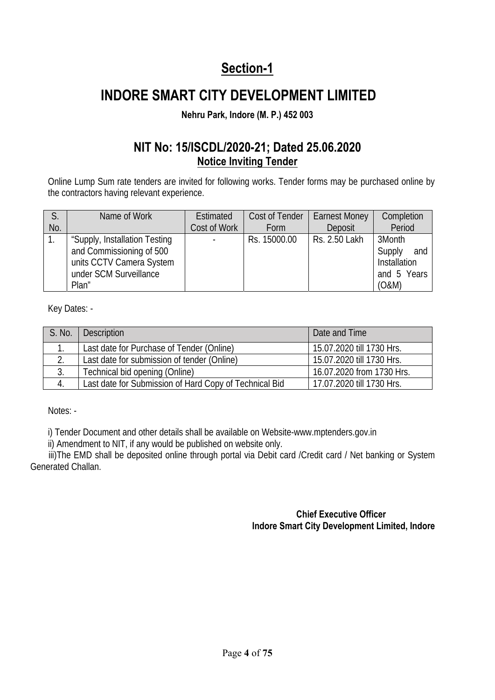# **Section-1**

# **INDORE SMART CITY DEVELOPMENT LIMITED**

### **Nehru Park, Indore (M. P.) 452 003**

# **NIT No: 15/ISCDL/2020-21; Dated 25.06.2020 Notice Inviting Tender**

Online Lump Sum rate tenders are invited for following works. Tender forms may be purchased online by the contractors having relevant experience.

|     | Name of Work                                                                                                             | Estimated    | Cost of Tender | <b>Earnest Money</b> | Completion                                                             |
|-----|--------------------------------------------------------------------------------------------------------------------------|--------------|----------------|----------------------|------------------------------------------------------------------------|
| No. |                                                                                                                          | Cost of Work | Form           | Deposit              | Period                                                                 |
|     | "Supply, Installation Testing<br>and Commissioning of 500<br>units CCTV Camera System<br>under SCM Surveillance<br>Plan" |              | Rs. 15000.00   | Rs. 2.50 Lakh        | 3Month<br>Supply<br>and<br><b>Installation</b><br>and 5 Years<br>(0&M) |

Key Dates: -

| S. No.        | <b>Description</b>                                     | Date and Time             |
|---------------|--------------------------------------------------------|---------------------------|
|               | Last date for Purchase of Tender (Online)              | 15.07.2020 till 1730 Hrs. |
| $\mathcal{D}$ | Last date for submission of tender (Online)            | 15.07.2020 till 1730 Hrs. |
|               | Technical bid opening (Online)                         | 16.07.2020 from 1730 Hrs. |
|               | Last date for Submission of Hard Copy of Technical Bid | 17.07.2020 till 1730 Hrs. |

Notes: -

i) Tender Document and other details shall be available on Website-www.mptenders.gov.in

ii) Amendment to NIT, if any would be published on website only.

iii)The EMD shall be deposited online through portal via Debit card / Credit card / Net banking or System Generated Challan.

#### **Chief Executive Officer Indore Smart City Development Limited, Indore**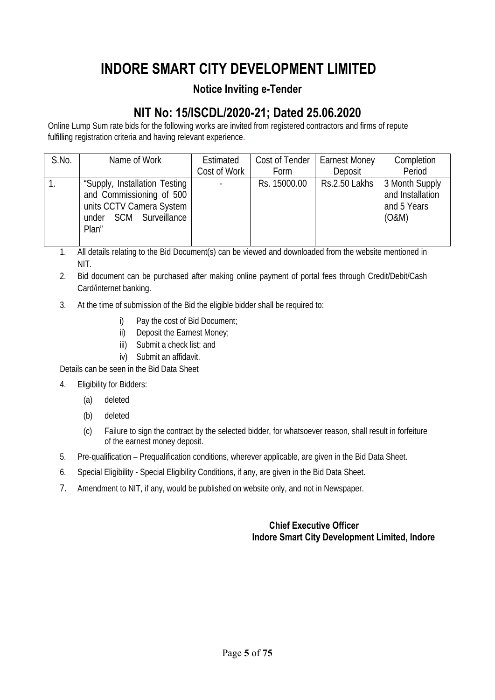# **INDORE SMART CITY DEVELOPMENT LIMITED**

### **Notice Inviting e-Tender**

# **NIT No: 15/ISCDL/2020-21; Dated 25.06.2020**

Online Lump Sum rate bids for the following works are invited from registered contractors and firms of repute fulfilling registration criteria and having relevant experience.

| S.No. | Name of Work                                                                                                             | Estimated<br>Cost of Work | Cost of Tender<br>Form | <b>Earnest Money</b><br>Deposit | Completion<br>Period                                       |
|-------|--------------------------------------------------------------------------------------------------------------------------|---------------------------|------------------------|---------------------------------|------------------------------------------------------------|
|       | "Supply, Installation Testing<br>and Commissioning of 500<br>units CCTV Camera System<br>under SCM Surveillance<br>Plan" | $\blacksquare$            | Rs. 15000.00           | Rs.2.50 Lakhs                   | 3 Month Supply<br>and Installation<br>and 5 Years<br>(O&M) |

1. All details relating to the Bid Document(s) can be viewed and downloaded from the website mentioned in NIT.

2. Bid document can be purchased after making online payment of portal fees through Credit/Debit/Cash Card/internet banking.

- 3. At the time of submission of the Bid the eligible bidder shall be required to:
	- i) Pay the cost of Bid Document;
	- ii) Deposit the Earnest Money;
	- iii) Submit a check list; and
	- iv) Submit an affidavit.

Details can be seen in the Bid Data Sheet

- 4. Eligibility for Bidders:
	- (a) deleted
	- (b) deleted
	- (c) Failure to sign the contract by the selected bidder, for whatsoever reason, shall result in forfeiture of the earnest money deposit.
- 5. Pre-qualification Prequalification conditions, wherever applicable, are given in the Bid Data Sheet.
- 6. Special Eligibility Special Eligibility Conditions, if any, are given in the Bid Data Sheet.
- 7. Amendment to NIT, if any, would be published on website only, and not in Newspaper.

#### **Chief Executive Officer Indore Smart City Development Limited, Indore**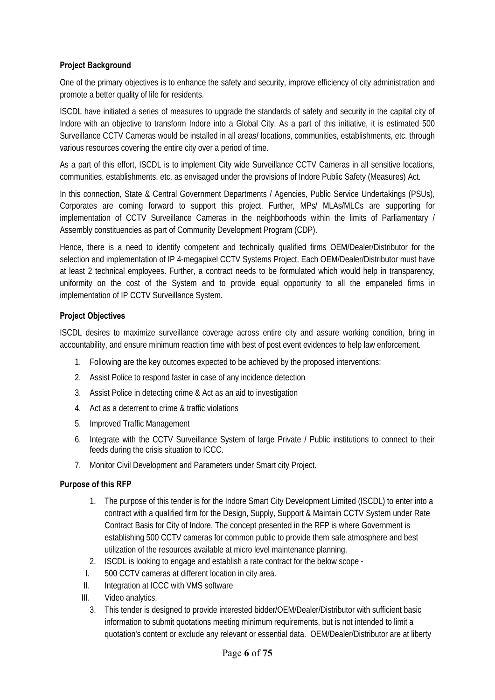#### **Project Background**

One of the primary objectives is to enhance the safety and security, improve efficiency of city administration and promote a better quality of life for residents.

ISCDL have initiated a series of measures to upgrade the standards of safety and security in the capital city of Indore with an objective to transform Indore into a Global City. As a part of this initiative, it is estimated 500 Surveillance CCTV Cameras would be installed in all areas/ locations, communities, establishments, etc. through various resources covering the entire city over a period of time.

As a part of this effort, ISCDL is to implement City wide Surveillance CCTV Cameras in all sensitive locations, communities, establishments, etc. as envisaged under the provisions of Indore Public Safety (Measures) Act.

In this connection, State & Central Government Departments / Agencies, Public Service Undertakings (PSUs), Corporates are coming forward to support this project. Further, MPs/ MLAs/MLCs are supporting for implementation of CCTV Surveillance Cameras in the neighborhoods within the limits of Parliamentary / Assembly constituencies as part of Community Development Program (CDP).

Hence, there is a need to identify competent and technically qualified firms OEM/Dealer/Distributor for the selection and implementation of IP 4-megapixel CCTV Systems Project. Each OEM/Dealer/Distributor must have at least 2 technical employees. Further, a contract needs to be formulated which would help in transparency, uniformity on the cost of the System and to provide equal opportunity to all the empaneled firms in implementation of IP CCTV Surveillance System.

#### **Project Objectives**

ISCDL desires to maximize surveillance coverage across entire city and assure working condition, bring in accountability, and ensure minimum reaction time with best of post event evidences to help law enforcement.

- 1. Following are the key outcomes expected to be achieved by the proposed interventions:
- 2. Assist Police to respond faster in case of any incidence detection
- 3. Assist Police in detecting crime & Act as an aid to investigation
- 4. Act as a deterrent to crime & traffic violations
- 5. Improved Traffic Management
- 6. Integrate with the CCTV Surveillance System of large Private / Public institutions to connect to their feeds during the crisis situation to ICCC.
- 7. Monitor Civil Development and Parameters under Smart city Project.

#### **Purpose of this RFP**

- 1. The purpose of this tender is for the Indore Smart City Development Limited (ISCDL) to enter into a contract with a qualified firm for the Design, Supply, Support & Maintain CCTV System under Rate Contract Basis for City of Indore. The concept presented in the RFP is where Government is establishing 500 CCTV cameras for common public to provide them safe atmosphere and best utilization of the resources available at micro level maintenance planning.
- 2. ISCDL is looking to engage and establish a rate contract for the below scope -
- I. 500 CCTV cameras at different location in city area.
- II. Integration at ICCC with VMS software
- III. Video analytics.
	- 3. This tender is designed to provide interested bidder/OEM/Dealer/Distributor with sufficient basic information to submit quotations meeting minimum requirements, but is not intended to limit a quotation's content or exclude any relevant or essential data. OEM/Dealer/Distributor are at liberty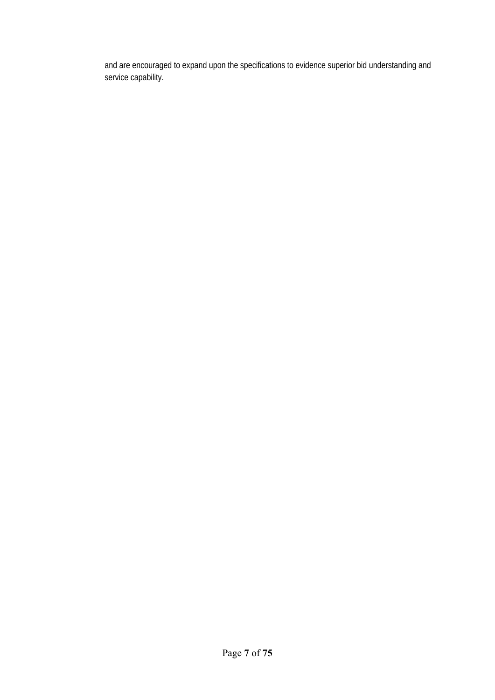and are encouraged to expand upon the specifications to evidence superior bid understanding and service capability.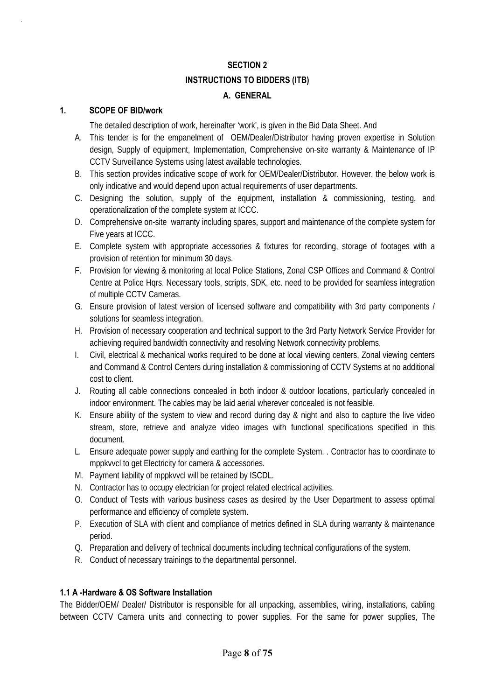#### **SECTION 2**

#### **INSTRUCTIONS TO BIDDERS (ITB)**

#### **A. GENERAL**

#### **1. SCOPE OF BID/work**

The detailed description of work, hereinafter 'work', is given in the Bid Data Sheet. And

- A. This tender is for the empanelment of OEM/Dealer/Distributor having proven expertise in Solution design, Supply of equipment, Implementation, Comprehensive on-site warranty & Maintenance of IP CCTV Surveillance Systems using latest available technologies.
- B. This section provides indicative scope of work for OEM/Dealer/Distributor. However, the below work is only indicative and would depend upon actual requirements of user departments.
- C. Designing the solution, supply of the equipment, installation & commissioning, testing, and operationalization of the complete system at ICCC.
- D. Comprehensive on-site warranty including spares, support and maintenance of the complete system for Five years at ICCC.
- E. Complete system with appropriate accessories & fixtures for recording, storage of footages with a provision of retention for minimum 30 days.
- F. Provision for viewing & monitoring at local Police Stations, Zonal CSP Offices and Command & Control Centre at Police Hqrs. Necessary tools, scripts, SDK, etc. need to be provided for seamless integration of multiple CCTV Cameras.
- G. Ensure provision of latest version of licensed software and compatibility with 3rd party components / solutions for seamless integration.
- H. Provision of necessary cooperation and technical support to the 3rd Party Network Service Provider for achieving required bandwidth connectivity and resolving Network connectivity problems.
- I. Civil, electrical & mechanical works required to be done at local viewing centers, Zonal viewing centers and Command & Control Centers during installation & commissioning of CCTV Systems at no additional cost to client.
- J. Routing all cable connections concealed in both indoor & outdoor locations, particularly concealed in indoor environment. The cables may be laid aerial wherever concealed is not feasible.
- K. Ensure ability of the system to view and record during day & night and also to capture the live video stream, store, retrieve and analyze video images with functional specifications specified in this document.
- L. Ensure adequate power supply and earthing for the complete System. . Contractor has to coordinate to mppkvvcl to get Electricity for camera & accessories.
- M. Payment liability of mppkvvcl will be retained by ISCDL.
- N. Contractor has to occupy electrician for project related electrical activities.
- O. Conduct of Tests with various business cases as desired by the User Department to assess optimal performance and efficiency of complete system.
- P. Execution of SLA with client and compliance of metrics defined in SLA during warranty & maintenance period.
- Q. Preparation and delivery of technical documents including technical configurations of the system.
- R. Conduct of necessary trainings to the departmental personnel.

#### **1.1 A -Hardware & OS Software Installation**

The Bidder/OEM/ Dealer/ Distributor is responsible for all unpacking, assemblies, wiring, installations, cabling between CCTV Camera units and connecting to power supplies. For the same for power supplies, The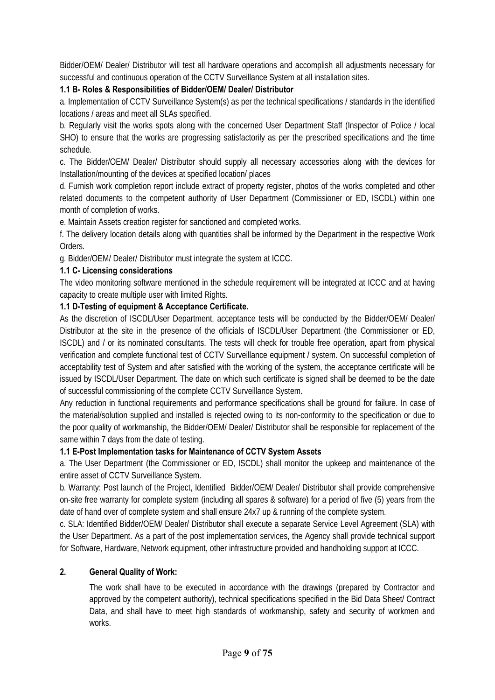Bidder/OEM/ Dealer/ Distributor will test all hardware operations and accomplish all adjustments necessary for successful and continuous operation of the CCTV Surveillance System at all installation sites.

#### **1.1 B- Roles & Responsibilities of Bidder/OEM/ Dealer/ Distributor**

a. Implementation of CCTV Surveillance System(s) as per the technical specifications / standards in the identified locations / areas and meet all SLAs specified.

b. Regularly visit the works spots along with the concerned User Department Staff (Inspector of Police / local SHO) to ensure that the works are progressing satisfactorily as per the prescribed specifications and the time schedule.

c. The Bidder/OEM/ Dealer/ Distributor should supply all necessary accessories along with the devices for Installation/mounting of the devices at specified location/ places

d. Furnish work completion report include extract of property register, photos of the works completed and other related documents to the competent authority of User Department (Commissioner or ED, ISCDL) within one month of completion of works.

e. Maintain Assets creation register for sanctioned and completed works.

f. The delivery location details along with quantities shall be informed by the Department in the respective Work Orders.

g. Bidder/OEM/ Dealer/ Distributor must integrate the system at ICCC.

#### **1.1 C- Licensing considerations**

The video monitoring software mentioned in the schedule requirement will be integrated at ICCC and at having capacity to create multiple user with limited Rights.

#### **1.1 D-Testing of equipment & Acceptance Certificate.**

As the discretion of ISCDL/User Department, acceptance tests will be conducted by the Bidder/OEM/ Dealer/ Distributor at the site in the presence of the officials of ISCDL/User Department (the Commissioner or ED, ISCDL) and / or its nominated consultants. The tests will check for trouble free operation, apart from physical verification and complete functional test of CCTV Surveillance equipment / system. On successful completion of acceptability test of System and after satisfied with the working of the system, the acceptance certificate will be issued by ISCDL/User Department. The date on which such certificate is signed shall be deemed to be the date of successful commissioning of the complete CCTV Surveillance System.

Any reduction in functional requirements and performance specifications shall be ground for failure. In case of the material/solution supplied and installed is rejected owing to its non-conformity to the specification or due to the poor quality of workmanship, the Bidder/OEM/ Dealer/ Distributor shall be responsible for replacement of the same within 7 days from the date of testing.

#### **1.1 E-Post Implementation tasks for Maintenance of CCTV System Assets**

a. The User Department (the Commissioner or ED, ISCDL) shall monitor the upkeep and maintenance of the entire asset of CCTV Surveillance System.

b. Warranty: Post launch of the Project, Identified Bidder/OEM/ Dealer/ Distributor shall provide comprehensive on-site free warranty for complete system (including all spares & software) for a period of five (5) years from the date of hand over of complete system and shall ensure 24x7 up & running of the complete system.

c. SLA: Identified Bidder/OEM/ Dealer/ Distributor shall execute a separate Service Level Agreement (SLA) with the User Department. As a part of the post implementation services, the Agency shall provide technical support for Software, Hardware, Network equipment, other infrastructure provided and handholding support at ICCC.

#### **2. General Quality of Work:**

The work shall have to be executed in accordance with the drawings (prepared by Contractor and approved by the competent authority), technical specifications specified in the Bid Data Sheet/ Contract Data, and shall have to meet high standards of workmanship, safety and security of workmen and works.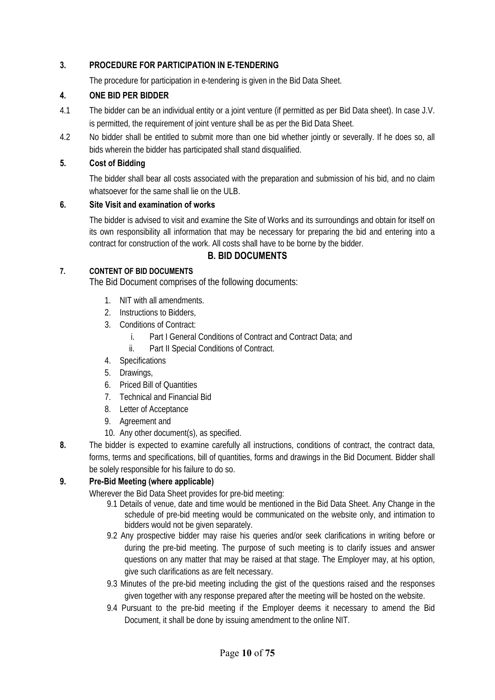#### **3. PROCEDURE FOR PARTICIPATION IN E-TENDERING**

The procedure for participation in e-tendering is given in the Bid Data Sheet.

#### **4. ONE BID PER BIDDER**

- 4.1 The bidder can be an individual entity or a joint venture (if permitted as per Bid Data sheet). In case J.V. is permitted, the requirement of joint venture shall be as per the Bid Data Sheet.
- 4.2 No bidder shall be entitled to submit more than one bid whether jointly or severally. If he does so, all bids wherein the bidder has participated shall stand disqualified.

#### **5. Cost of Bidding**

The bidder shall bear all costs associated with the preparation and submission of his bid, and no claim whatsoever for the same shall lie on the ULB.

#### **6. Site Visit and examination of works**

The bidder is advised to visit and examine the Site of Works and its surroundings and obtain for itself on its own responsibility all information that may be necessary for preparing the bid and entering into a contract for construction of the work. All costs shall have to be borne by the bidder.

#### **B. BID DOCUMENTS**

#### **7. CONTENT OF BID DOCUMENTS**

The Bid Document comprises of the following documents:

- 1. NIT with all amendments.
- 2. Instructions to Bidders,
- 3. Conditions of Contract:
	- i. Part I General Conditions of Contract and Contract Data; and
	- ii. Part II Special Conditions of Contract.
- 4. Specifications
- 5. Drawings,
- 6. Priced Bill of Quantities
- 7. Technical and Financial Bid
- 8. Letter of Acceptance
- 9. Agreement and
- 10. Any other document(s), as specified.
- **8.** The bidder is expected to examine carefully all instructions, conditions of contract, the contract data, forms, terms and specifications, bill of quantities, forms and drawings in the Bid Document. Bidder shall be solely responsible for his failure to do so.

#### **9. Pre-Bid Meeting (where applicable)**

Wherever the Bid Data Sheet provides for pre-bid meeting:

- 9.1 Details of venue, date and time would be mentioned in the Bid Data Sheet. Any Change in the schedule of pre-bid meeting would be communicated on the website only, and intimation to bidders would not be given separately.
- 9.2 Any prospective bidder may raise his queries and/or seek clarifications in writing before or during the pre-bid meeting. The purpose of such meeting is to clarify issues and answer questions on any matter that may be raised at that stage. The Employer may, at his option, give such clarifications as are felt necessary.
- 9.3 Minutes of the pre-bid meeting including the gist of the questions raised and the responses given together with any response prepared after the meeting will be hosted on the website.
- 9.4 Pursuant to the pre-bid meeting if the Employer deems it necessary to amend the Bid Document, it shall be done by issuing amendment to the online NIT.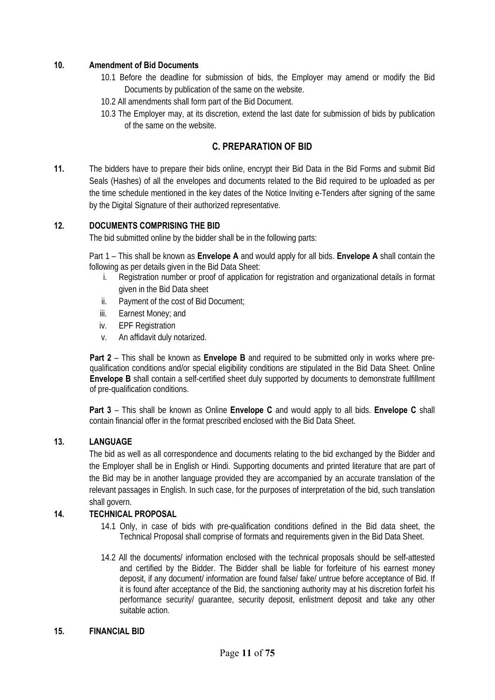#### **10. Amendment of Bid Documents**

- 10.1 Before the deadline for submission of bids, the Employer may amend or modify the Bid Documents by publication of the same on the website.
- 10.2 All amendments shall form part of the Bid Document.
- 10.3 The Employer may, at its discretion, extend the last date for submission of bids by publication of the same on the website.

#### **C. PREPARATION OF BID**

**11.** The bidders have to prepare their bids online, encrypt their Bid Data in the Bid Forms and submit Bid Seals (Hashes) of all the envelopes and documents related to the Bid required to be uploaded as per the time schedule mentioned in the key dates of the Notice Inviting e-Tenders after signing of the same by the Digital Signature of their authorized representative.

#### **12. DOCUMENTS COMPRISING THE BID**

The bid submitted online by the bidder shall be in the following parts:

Part 1 – This shall be known as **Envelope A** and would apply for all bids. **Envelope A** shall contain the following as per details given in the Bid Data Sheet:

- i. Registration number or proof of application for registration and organizational details in format given in the Bid Data sheet
- ii. Payment of the cost of Bid Document;
- iii. Earnest Money; and
- iv. EPF Registration
- v. An affidavit duly notarized.

**Part 2** – This shall be known as **Envelope B** and required to be submitted only in works where prequalification conditions and/or special eligibility conditions are stipulated in the Bid Data Sheet. Online **Envelope B** shall contain a self-certified sheet duly supported by documents to demonstrate fulfillment of pre-qualification conditions.

**Part 3** – This shall be known as Online **Envelope C** and would apply to all bids. **Envelope C** shall contain financial offer in the format prescribed enclosed with the Bid Data Sheet.

#### **13. LANGUAGE**

The bid as well as all correspondence and documents relating to the bid exchanged by the Bidder and the Employer shall be in English or Hindi. Supporting documents and printed literature that are part of the Bid may be in another language provided they are accompanied by an accurate translation of the relevant passages in English. In such case, for the purposes of interpretation of the bid, such translation shall govern.

#### **14. TECHNICAL PROPOSAL**

- 14.1 Only, in case of bids with pre-qualification conditions defined in the Bid data sheet, the Technical Proposal shall comprise of formats and requirements given in the Bid Data Sheet.
- 14.2 All the documents/ information enclosed with the technical proposals should be self-attested and certified by the Bidder. The Bidder shall be liable for forfeiture of his earnest money deposit, if any document/ information are found false/ fake/ untrue before acceptance of Bid. If it is found after acceptance of the Bid, the sanctioning authority may at his discretion forfeit his performance security/ guarantee, security deposit, enlistment deposit and take any other suitable action.

#### **15. FINANCIAL BID**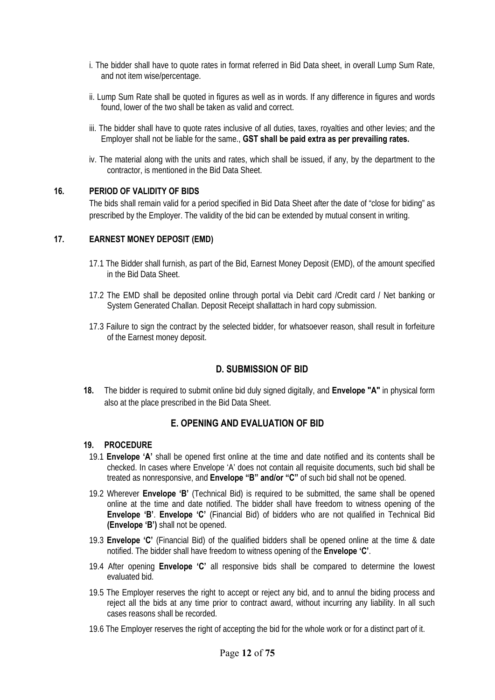- i. The bidder shall have to quote rates in format referred in Bid Data sheet, in overall Lump Sum Rate, and not item wise/percentage.
- ii. Lump Sum Rate shall be quoted in figures as well as in words. If any difference in figures and words found, lower of the two shall be taken as valid and correct.
- iii. The bidder shall have to quote rates inclusive of all duties, taxes, royalties and other levies; and the Employer shall not be liable for the same., **GST shall be paid extra as per prevailing rates.**
- iv. The material along with the units and rates, which shall be issued, if any, by the department to the contractor, is mentioned in the Bid Data Sheet.

#### **16. PERIOD OF VALIDITY OF BIDS**

The bids shall remain valid for a period specified in Bid Data Sheet after the date of "close for biding" as prescribed by the Employer. The validity of the bid can be extended by mutual consent in writing.

#### **17. EARNEST MONEY DEPOSIT (EMD)**

- 17.1 The Bidder shall furnish, as part of the Bid, Earnest Money Deposit (EMD), of the amount specified in the Bid Data Sheet.
- 17.2 The EMD shall be deposited online through portal via Debit card /Credit card / Net banking or System Generated Challan. Deposit Receipt shallattach in hard copy submission.
- 17.3 Failure to sign the contract by the selected bidder, for whatsoever reason, shall result in forfeiture of the Earnest money deposit.

#### **D. SUBMISSION OF BID**

**18.** The bidder is required to submit online bid duly signed digitally, and **Envelope "A"** in physical form also at the place prescribed in the Bid Data Sheet.

#### **E. OPENING AND EVALUATION OF BID**

#### **19. PROCEDURE**

- 19.1 **Envelope 'A'** shall be opened first online at the time and date notified and its contents shall be checked. In cases where Envelope 'A' does not contain all requisite documents, such bid shall be treated as nonresponsive, and **Envelope "B" and/or "C"** of such bid shall not be opened.
- 19.2 Wherever **Envelope 'B'** (Technical Bid) is required to be submitted, the same shall be opened online at the time and date notified. The bidder shall have freedom to witness opening of the **Envelope 'B'**. **Envelope 'C'** (Financial Bid) of bidders who are not qualified in Technical Bid **(Envelope 'B')** shall not be opened.
- 19.3 **Envelope 'C'** (Financial Bid) of the qualified bidders shall be opened online at the time & date notified. The bidder shall have freedom to witness opening of the **Envelope 'C'**.
- 19.4 After opening **Envelope 'C'** all responsive bids shall be compared to determine the lowest evaluated bid.
- 19.5 The Employer reserves the right to accept or reject any bid, and to annul the biding process and reject all the bids at any time prior to contract award, without incurring any liability. In all such cases reasons shall be recorded.
- 19.6 The Employer reserves the right of accepting the bid for the whole work or for a distinct part of it.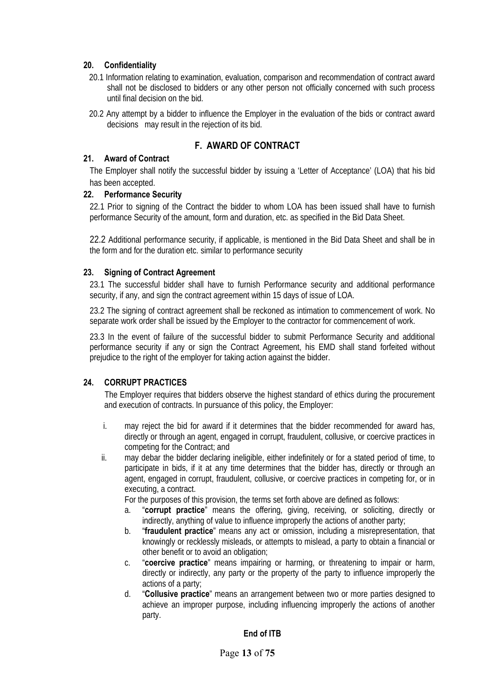#### **20. Confidentiality**

- 20.1 Information relating to examination, evaluation, comparison and recommendation of contract award shall not be disclosed to bidders or any other person not officially concerned with such process until final decision on the bid.
- 20.2 Any attempt by a bidder to influence the Employer in the evaluation of the bids or contract award decisions may result in the rejection of its bid.

#### **F. AWARD OF CONTRACT**

#### **21. Award of Contract**

The Employer shall notify the successful bidder by issuing a 'Letter of Acceptance' (LOA) that his bid has been accepted.

#### **22. Performance Security**

22.1 Prior to signing of the Contract the bidder to whom LOA has been issued shall have to furnish performance Security of the amount, form and duration, etc. as specified in the Bid Data Sheet.

22.2 Additional performance security, if applicable, is mentioned in the Bid Data Sheet and shall be in the form and for the duration etc. similar to performance security

#### **23. Signing of Contract Agreement**

23.1 The successful bidder shall have to furnish Performance security and additional performance security, if any, and sign the contract agreement within 15 days of issue of LOA.

23.2 The signing of contract agreement shall be reckoned as intimation to commencement of work. No separate work order shall be issued by the Employer to the contractor for commencement of work.

23.3 In the event of failure of the successful bidder to submit Performance Security and additional performance security if any or sign the Contract Agreement, his EMD shall stand forfeited without prejudice to the right of the employer for taking action against the bidder.

#### **24. CORRUPT PRACTICES**

The Employer requires that bidders observe the highest standard of ethics during the procurement and execution of contracts. In pursuance of this policy, the Employer:

- i. may reject the bid for award if it determines that the bidder recommended for award has, directly or through an agent, engaged in corrupt, fraudulent, collusive, or coercive practices in competing for the Contract; and
- ii. may debar the bidder declaring ineligible, either indefinitely or for a stated period of time, to participate in bids, if it at any time determines that the bidder has, directly or through an agent, engaged in corrupt, fraudulent, collusive, or coercive practices in competing for, or in executing, a contract.

For the purposes of this provision, the terms set forth above are defined as follows:

- a. "**corrupt practice**" means the offering, giving, receiving, or soliciting, directly or indirectly, anything of value to influence improperly the actions of another party;
- b. "**fraudulent practice**" means any act or omission, including a misrepresentation, that knowingly or recklessly misleads, or attempts to mislead, a party to obtain a financial or other benefit or to avoid an obligation;
- c. "**coercive practice**" means impairing or harming, or threatening to impair or harm, directly or indirectly, any party or the property of the party to influence improperly the actions of a party;
- d. "**Collusive practice**" means an arrangement between two or more parties designed to achieve an improper purpose, including influencing improperly the actions of another party.

#### **End of ITB**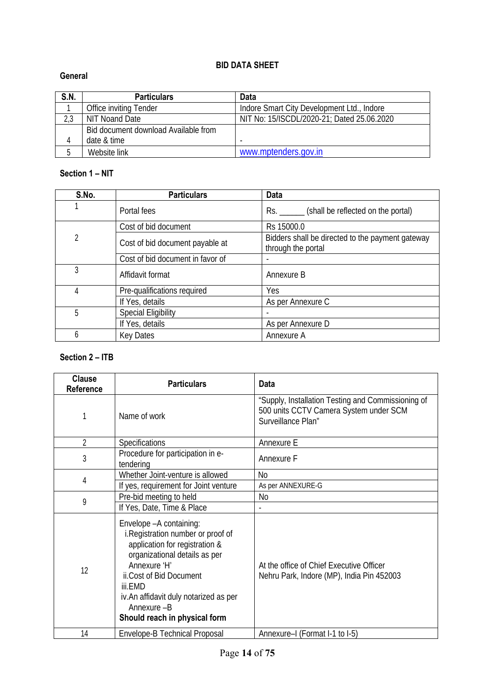#### **BID DATA SHEET**

#### **General**

| S.N. | <b>Particulars</b>                   | Data                                       |
|------|--------------------------------------|--------------------------------------------|
|      | Office inviting Tender               | Indore Smart City Development Ltd., Indore |
| 2,3  | NIT Noand Date                       | NIT No: 15/ISCDL/2020-21; Dated 25.06.2020 |
|      | Bid document download Available from |                                            |
| 4    | date & time                          |                                            |
| b    | Website link                         | www.mptenders.gov.in                       |

#### **Section 1 – NIT**

| S.No. | <b>Particulars</b>               | <b>Data</b>                                                            |
|-------|----------------------------------|------------------------------------------------------------------------|
|       | Portal fees                      | Rs. ________ (shall be reflected on the portal)                        |
|       | Cost of bid document             | Rs 15000.0                                                             |
| 2     | Cost of bid document payable at  | Bidders shall be directed to the payment gateway<br>through the portal |
|       | Cost of bid document in favor of |                                                                        |
| 3     | Affidavit format                 | Annexure B                                                             |
| 4     | Pre-qualifications required      | <b>Yes</b>                                                             |
|       | If Yes, details                  | As per Annexure C                                                      |
| 5     | <b>Special Eligibility</b>       |                                                                        |
|       | If Yes, details                  | As per Annexure D                                                      |
| 6     | <b>Key Dates</b>                 | Annexure A                                                             |

#### **Section 2 – ITB**

| <b>Clause</b><br><b>Reference</b> | <b>Particulars</b>                                                                                                                                                                                                                                                               | Data                                                                                                               |
|-----------------------------------|----------------------------------------------------------------------------------------------------------------------------------------------------------------------------------------------------------------------------------------------------------------------------------|--------------------------------------------------------------------------------------------------------------------|
|                                   | Name of work                                                                                                                                                                                                                                                                     | "Supply, Installation Testing and Commissioning of<br>500 units CCTV Camera System under SCM<br>Surveillance Plan" |
| $\overline{2}$                    | Specifications                                                                                                                                                                                                                                                                   | Annexure E                                                                                                         |
| 3                                 | Procedure for participation in e-<br>tendering                                                                                                                                                                                                                                   | Annexure F                                                                                                         |
| 4                                 | Whether Joint-venture is allowed                                                                                                                                                                                                                                                 | <b>No</b>                                                                                                          |
|                                   | If yes, requirement for Joint venture                                                                                                                                                                                                                                            | As per ANNEXURE-G                                                                                                  |
| 9                                 | Pre-bid meeting to held                                                                                                                                                                                                                                                          | No                                                                                                                 |
|                                   | If Yes, Date, Time & Place                                                                                                                                                                                                                                                       |                                                                                                                    |
| 12                                | Envelope - A containing:<br>i. Registration number or proof of<br>application for registration &<br>organizational details as per<br>Annexure 'H'<br>ii.Cost of Bid Document<br>iii.FMD<br>iv. An affidavit duly notarized as per<br>Annexure-B<br>Should reach in physical form | At the office of Chief Executive Officer<br>Nehru Park, Indore (MP), India Pin 452003                              |
| 14                                | Envelope-B Technical Proposal                                                                                                                                                                                                                                                    | Annexure-I (Format I-1 to I-5)                                                                                     |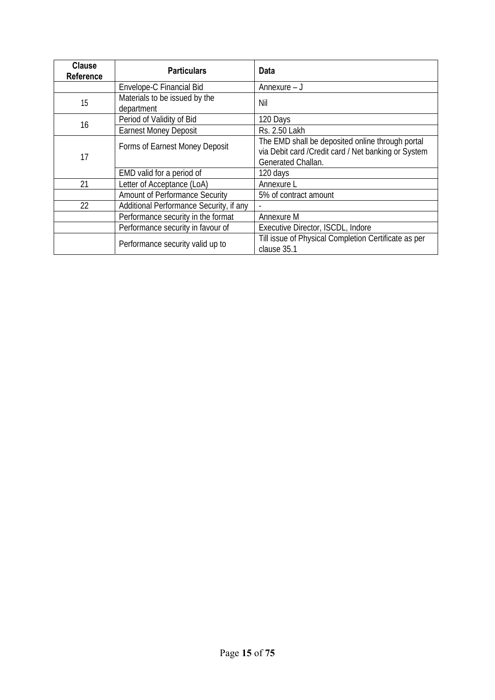| <b>Clause</b><br><b>Reference</b> | <b>Particulars</b>                          | Data                                                                                                                           |  |
|-----------------------------------|---------------------------------------------|--------------------------------------------------------------------------------------------------------------------------------|--|
|                                   | Envelope-C Financial Bid                    | Annexure – J                                                                                                                   |  |
| 15                                | Materials to be issued by the<br>department | Nil                                                                                                                            |  |
| 16                                | Period of Validity of Bid                   | 120 Days                                                                                                                       |  |
|                                   | <b>Earnest Money Deposit</b>                | Rs. 2.50 Lakh                                                                                                                  |  |
| 17                                | Forms of Earnest Money Deposit              | The EMD shall be deposited online through portal<br>via Debit card / Credit card / Net banking or System<br>Generated Challan. |  |
|                                   | EMD valid for a period of                   | 120 days                                                                                                                       |  |
| 21                                | Letter of Acceptance (LoA)                  | Annexure L                                                                                                                     |  |
|                                   | <b>Amount of Performance Security</b>       | 5% of contract amount                                                                                                          |  |
| 22                                | Additional Performance Security, if any     |                                                                                                                                |  |
|                                   | Performance security in the format          | Annexure M                                                                                                                     |  |
|                                   | Performance security in favour of           | Executive Director, ISCDL, Indore                                                                                              |  |
| Performance security valid up to  |                                             | Till issue of Physical Completion Certificate as per<br>clause 35.1                                                            |  |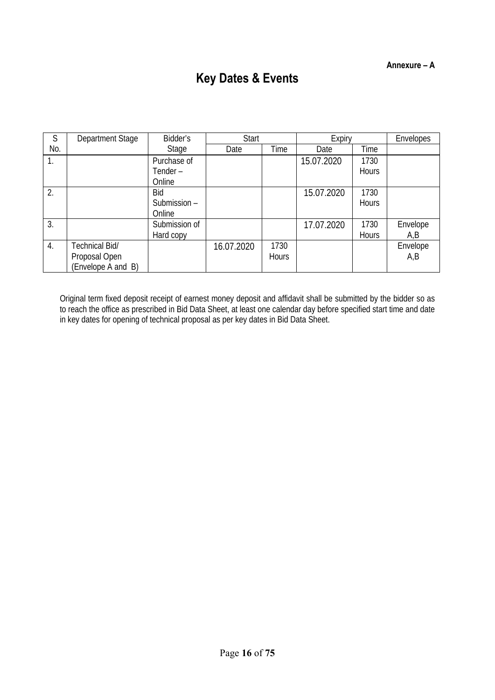# **Key Dates & Events**

| S                | Department Stage   | Bidder's      | Start      |              | Expiry     |              | Envelopes |
|------------------|--------------------|---------------|------------|--------------|------------|--------------|-----------|
| No.              |                    | Stage         | Date       | Time         | Date       | Time         |           |
| 1.               |                    | Purchase of   |            |              | 15.07.2020 | 1730         |           |
|                  |                    | Tender-       |            |              |            | <b>Hours</b> |           |
|                  |                    | Online        |            |              |            |              |           |
| 2.               |                    | Bid           |            |              | 15.07.2020 | 1730         |           |
|                  |                    | Submission -  |            |              |            | <b>Hours</b> |           |
|                  |                    | Online        |            |              |            |              |           |
| 3.               |                    | Submission of |            |              | 17.07.2020 | 1730         | Envelope  |
|                  |                    | Hard copy     |            |              |            | <b>Hours</b> | A,B       |
| $\overline{4}$ . | Technical Bid/     |               | 16.07.2020 | 1730         |            |              | Envelope  |
|                  | Proposal Open      |               |            | <b>Hours</b> |            |              | A,B       |
|                  | (Envelope A and B) |               |            |              |            |              |           |

Original term fixed deposit receipt of earnest money deposit and affidavit shall be submitted by the bidder so as to reach the office as prescribed in Bid Data Sheet, at least one calendar day before specified start time and date in key dates for opening of technical proposal as per key dates in Bid Data Sheet.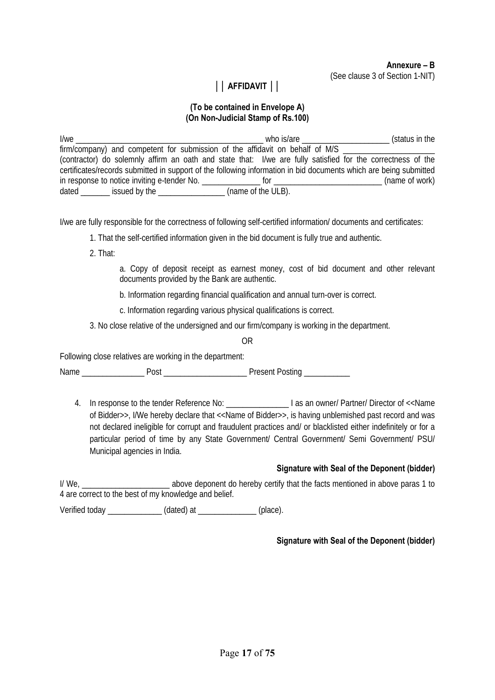**Annexure – B**  (See clause 3 of Section 1-NIT)

### **││ AFFIDAVIT ││**

#### **(To be contained in Envelope A) (On Non-Judicial Stamp of Rs.100)**

I/we \_\_\_\_\_\_\_\_\_\_\_\_\_\_\_\_\_\_\_\_\_\_\_\_\_\_\_\_\_\_\_\_\_\_\_\_\_\_\_\_\_\_\_\_\_ who is/are \_\_\_\_\_\_\_\_\_\_\_\_\_\_\_\_\_\_\_\_\_ (status in the firm/company) and competent for submission of the affidavit on behalf of M/S (contractor) do solemnly affirm an oath and state that: I/we are fully satisfied for the correctness of the certificates/records submitted in support of the following information in bid documents which are being submitted in response to notice inviting e-tender No. \_\_\_\_\_\_\_\_\_\_\_\_\_\_ for \_\_\_\_\_\_\_\_\_\_\_\_\_\_\_\_\_\_\_\_\_\_\_\_\_\_ (name of work) dated \_\_\_\_\_\_\_ issued by the \_\_\_\_\_\_\_\_\_\_\_\_\_\_\_\_ (name of the ULB).

I/we are fully responsible for the correctness of following self-certified information/ documents and certificates:

- 1. That the self-certified information given in the bid document is fully true and authentic.
- 2. That:
- a. Copy of deposit receipt as earnest money, cost of bid document and other relevant documents provided by the Bank are authentic.
- b. Information regarding financial qualification and annual turn-over is correct.
- c. Information regarding various physical qualifications is correct.
- 3. No close relative of the undersigned and our firm/company is working in the department.

OR

Following close relatives are working in the department:

Name \_\_\_\_\_\_\_\_\_\_\_\_\_\_\_ Post \_\_\_\_\_\_\_\_\_\_\_\_\_\_\_\_\_\_\_\_ Present Posting \_\_\_\_\_\_\_\_\_\_\_

4. In response to the tender Reference No:  $\qquad \qquad$  I as an owner/ Partner/ Director of <<Name of Bidder>>, I/We hereby declare that <<Name of Bidder>>, is having unblemished past record and was not declared ineligible for corrupt and fraudulent practices and/ or blacklisted either indefinitely or for a particular period of time by any State Government/ Central Government/ Semi Government/ PSU/ Municipal agencies in India.

#### **Signature with Seal of the Deponent (bidder)**

I/We, \_\_\_\_\_\_\_\_\_\_\_\_\_\_\_\_\_\_\_\_\_\_\_\_\_\_\_\_\_\_\_ above deponent do hereby certify that the facts mentioned in above paras 1 to 4 are correct to the best of my knowledge and belief.

Verified today \_\_\_\_\_\_\_\_\_\_\_\_\_ (dated) at \_\_\_\_\_\_\_\_\_\_\_\_\_\_ (place).

#### **Signature with Seal of the Deponent (bidder)**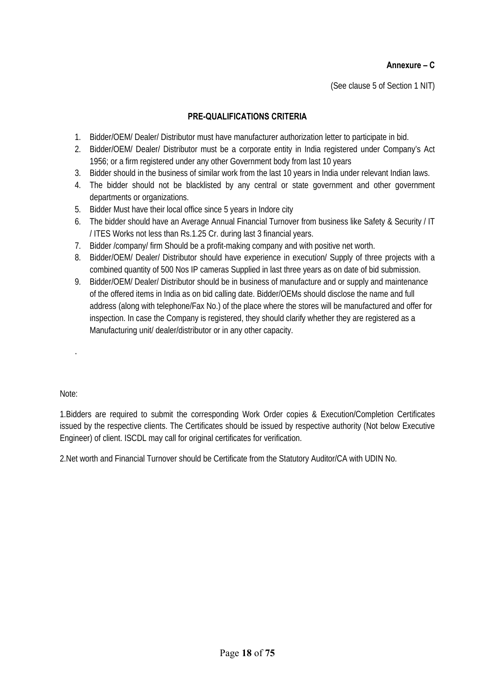#### **Annexure – C**

(See clause 5 of Section 1 NIT)

#### **PRE-QUALIFICATIONS CRITERIA**

- 1. Bidder/OEM/ Dealer/ Distributor must have manufacturer authorization letter to participate in bid.
- 2. Bidder/OEM/ Dealer/ Distributor must be a corporate entity in India registered under Company's Act 1956; or a firm registered under any other Government body from last 10 years
- 3. Bidder should in the business of similar work from the last 10 years in India under relevant Indian laws.
- 4. The bidder should not be blacklisted by any central or state government and other government departments or organizations.
- 5. Bidder Must have their local office since 5 years in Indore city
- 6. The bidder should have an Average Annual Financial Turnover from business like Safety & Security / IT / ITES Works not less than Rs.1.25 Cr. during last 3 financial years.
- 7. Bidder /company/ firm Should be a profit-making company and with positive net worth.
- 8. Bidder/OEM/ Dealer/ Distributor should have experience in execution/ Supply of three projects with a combined quantity of 500 Nos IP cameras Supplied in last three years as on date of bid submission.
- 9. Bidder/OEM/ Dealer/ Distributor should be in business of manufacture and or supply and maintenance of the offered items in India as on bid calling date. Bidder/OEMs should disclose the name and full address (along with telephone/Fax No.) of the place where the stores will be manufactured and offer for inspection. In case the Company is registered, they should clarify whether they are registered as a Manufacturing unit/ dealer/distributor or in any other capacity.

Note:

.

1.Bidders are required to submit the corresponding Work Order copies & Execution/Completion Certificates issued by the respective clients. The Certificates should be issued by respective authority (Not below Executive Engineer) of client. ISCDL may call for original certificates for verification.

2.Net worth and Financial Turnover should be Certificate from the Statutory Auditor/CA with UDIN No.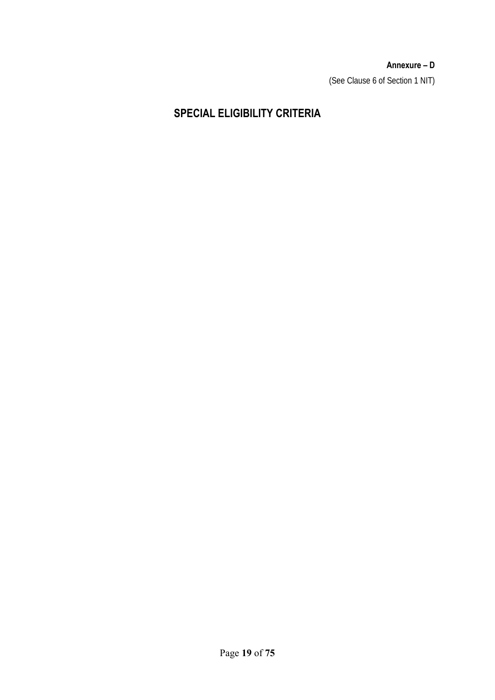**Annexure – D**  (See Clause 6 of Section 1 NIT)

# **SPECIAL ELIGIBILITY CRITERIA**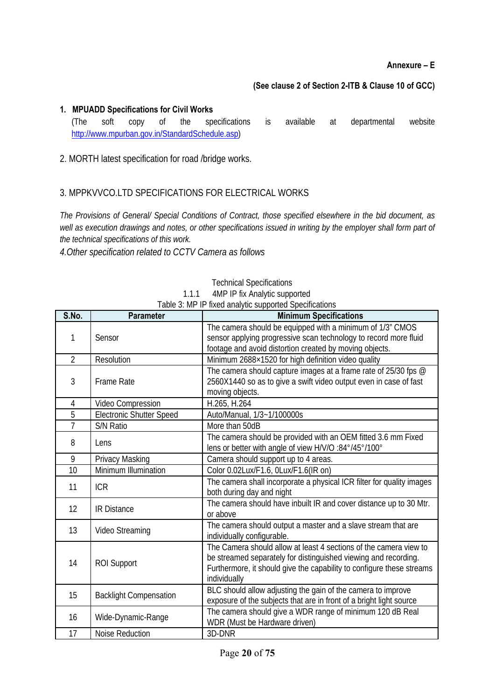#### **(See clause 2 of Section 2-ITB & Clause 10 of GCC)**

#### **1. MPUADD Specifications for Civil Works**  (The soft copy of the specifications is available at departmental website http://www.mpurban.gov.in/StandardSchedule.asp)

#### 2. MORTH latest specification for road /bridge works.

#### 3. MPPKVVCO.LTD SPECIFICATIONS FOR ELECTRICAL WORKS

*The Provisions of General/ Special Conditions of Contract, those specified elsewhere in the bid document, as*  well as execution drawings and notes, or other specifications issued in writing by the employer shall form part of *the technical specifications of this work.* 

*4.Other specification related to CCTV Camera as follows* 

|                |                                 | Table 3: MP IP fixed arialytic supported Specifications                                                                                                                                                                       |
|----------------|---------------------------------|-------------------------------------------------------------------------------------------------------------------------------------------------------------------------------------------------------------------------------|
| S.No.          | <b>Parameter</b>                | <b>Minimum Specifications</b>                                                                                                                                                                                                 |
| 1              | Sensor                          | The camera should be equipped with a minimum of 1/3" CMOS<br>sensor applying progressive scan technology to record more fluid<br>footage and avoid distortion created by moving objects.                                      |
| $\overline{2}$ | Resolution                      | Minimum 2688×1520 for high definition video quality                                                                                                                                                                           |
| 3              | <b>Frame Rate</b>               | The camera should capture images at a frame rate of 25/30 fps @<br>2560X1440 so as to give a swift video output even in case of fast<br>moving objects.                                                                       |
| $\overline{4}$ | Video Compression               | H.265, H.264                                                                                                                                                                                                                  |
| 5              | <b>Electronic Shutter Speed</b> | Auto/Manual, 1/3~1/100000s                                                                                                                                                                                                    |
| $\overline{7}$ | S/N Ratio                       | More than 50dB                                                                                                                                                                                                                |
| 8              | Lens                            | The camera should be provided with an OEM fitted 3.6 mm Fixed<br>lens or better with angle of view H/V/O :84°/45°/100°                                                                                                        |
| 9              | Privacy Masking                 | Camera should support up to 4 areas.                                                                                                                                                                                          |
| 10             | Minimum Illumination            | Color 0.02Lux/F1.6, 0Lux/F1.6(IR on)                                                                                                                                                                                          |
| 11             | <b>ICR</b>                      | The camera shall incorporate a physical ICR filter for quality images<br>both during day and night                                                                                                                            |
| 12             | <b>IR Distance</b>              | The camera should have inbuilt IR and cover distance up to 30 Mtr.<br>or above                                                                                                                                                |
| 13             | Video Streaming                 | The camera should output a master and a slave stream that are<br>individually configurable.                                                                                                                                   |
| 14             | <b>ROI Support</b>              | The Camera should allow at least 4 sections of the camera view to<br>be streamed separately for distinguished viewing and recording.<br>Furthermore, it should give the capability to configure these streams<br>individually |
| 15             | <b>Backlight Compensation</b>   | BLC should allow adjusting the gain of the camera to improve<br>exposure of the subjects that are in front of a bright light source                                                                                           |
| 16             | Wide-Dynamic-Range              | The camera should give a WDR range of minimum 120 dB Real<br>WDR (Must be Hardware driven)                                                                                                                                    |
| 17             | Noise Reduction                 | 3D-DNR                                                                                                                                                                                                                        |

Technical Specifications

1.1.1 4MP IP fix Analytic supported  $T<sub>1</sub>$  is  $T<sub>2</sub>$ . MP ID fixed analytic support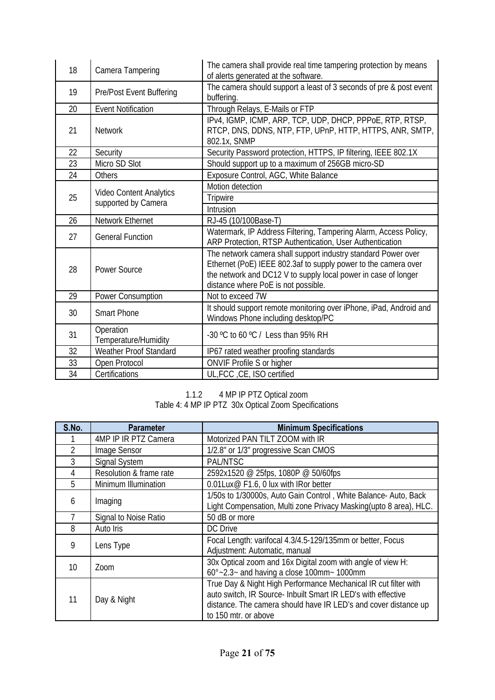| 18 | Camera Tampering                               | The camera shall provide real time tampering protection by means<br>of alerts generated at the software.                                                                                                                                 |  |
|----|------------------------------------------------|------------------------------------------------------------------------------------------------------------------------------------------------------------------------------------------------------------------------------------------|--|
| 19 | Pre/Post Event Buffering                       | The camera should support a least of 3 seconds of pre & post event<br>buffering.                                                                                                                                                         |  |
| 20 | <b>Event Notification</b>                      | Through Relays, E-Mails or FTP                                                                                                                                                                                                           |  |
| 21 | <b>Network</b>                                 | IPv4, IGMP, ICMP, ARP, TCP, UDP, DHCP, PPPoE, RTP, RTSP,<br>RTCP, DNS, DDNS, NTP, FTP, UPnP, HTTP, HTTPS, ANR, SMTP,<br>802.1x, SNMP                                                                                                     |  |
| 22 | Security                                       | Security Password protection, HTTPS, IP filtering, IEEE 802.1X                                                                                                                                                                           |  |
| 23 | Micro SD Slot                                  | Should support up to a maximum of 256GB micro-SD                                                                                                                                                                                         |  |
| 24 | Others                                         | Exposure Control, AGC, White Balance                                                                                                                                                                                                     |  |
|    |                                                | Motion detection                                                                                                                                                                                                                         |  |
| 25 | Video Content Analytics<br>supported by Camera | Tripwire                                                                                                                                                                                                                                 |  |
|    |                                                | Intrusion                                                                                                                                                                                                                                |  |
| 26 | Network Ethernet                               | RJ-45 (10/100Base-T)                                                                                                                                                                                                                     |  |
| 27 | <b>General Function</b>                        | Watermark, IP Address Filtering, Tampering Alarm, Access Policy,<br>ARP Protection, RTSP Authentication, User Authentication                                                                                                             |  |
| 28 | <b>Power Source</b>                            | The network camera shall support industry standard Power over<br>Ethernet (PoE) IEEE 802.3af to supply power to the camera over<br>the network and DC12 V to supply local power in case of longer<br>distance where PoE is not possible. |  |
| 29 | Power Consumption                              | Not to exceed 7W                                                                                                                                                                                                                         |  |
| 30 | <b>Smart Phone</b>                             | It should support remote monitoring over iPhone, iPad, Android and<br>Windows Phone including desktop/PC                                                                                                                                 |  |
| 31 | Operation<br>Temperature/Humidity              | -30 °C to 60 °C / Less than 95% RH                                                                                                                                                                                                       |  |
| 32 | Weather Proof Standard                         | IP67 rated weather proofing standards                                                                                                                                                                                                    |  |
| 33 | Open Protocol                                  | ONVIF Profile S or higher                                                                                                                                                                                                                |  |
| 34 | Certifications                                 | UL, FCC, CE, ISO certified                                                                                                                                                                                                               |  |

1.1.2 4 MP IP PTZ Optical zoom Table 4: 4 MP IP PTZ 30x Optical Zoom Specifications

| S.No.   | <b>Parameter</b>        | <b>Minimum Specifications</b>                                                                                                                                                                                               |  |
|---------|-------------------------|-----------------------------------------------------------------------------------------------------------------------------------------------------------------------------------------------------------------------------|--|
|         | 4MP IP IR PTZ Camera    | Motorized PAN TILT ZOOM with IR                                                                                                                                                                                             |  |
| 2       | Image Sensor            | 1/2.8" or 1/3" progressive Scan CMOS                                                                                                                                                                                        |  |
| 3       | Signal System           | PAL/NTSC                                                                                                                                                                                                                    |  |
| 4       | Resolution & frame rate | 2592x1520 @ 25fps, 1080P @ 50/60fps                                                                                                                                                                                         |  |
| 5       | Minimum Illumination    | 0.01Lux@ F1.6, 0 lux with IRor better                                                                                                                                                                                       |  |
| 6       | Imaging                 | 1/50s to 1/30000s, Auto Gain Control, White Balance-Auto, Back<br>Light Compensation, Multi zone Privacy Masking(upto 8 area), HLC.                                                                                         |  |
|         | Signal to Noise Ratio   | 50 dB or more                                                                                                                                                                                                               |  |
| 8       | Auto Iris               | DC Drive                                                                                                                                                                                                                    |  |
| 9       | Lens Type               | Focal Length: varifocal 4.3/4.5-129/135mm or better, Focus<br>Adjustment: Automatic, manual                                                                                                                                 |  |
| $10 \,$ | Zoom                    | 30x Optical zoom and 16x Digital zoom with angle of view H:<br>$60^{\circ}$ ~2.3~ and having a close 100mm ~ 1000mm                                                                                                         |  |
| 11      | Day & Night             | True Day & Night High Performance Mechanical IR cut filter with<br>auto switch, IR Source- Inbuilt Smart IR LED's with effective<br>distance. The camera should have IR LED's and cover distance up<br>to 150 mtr. or above |  |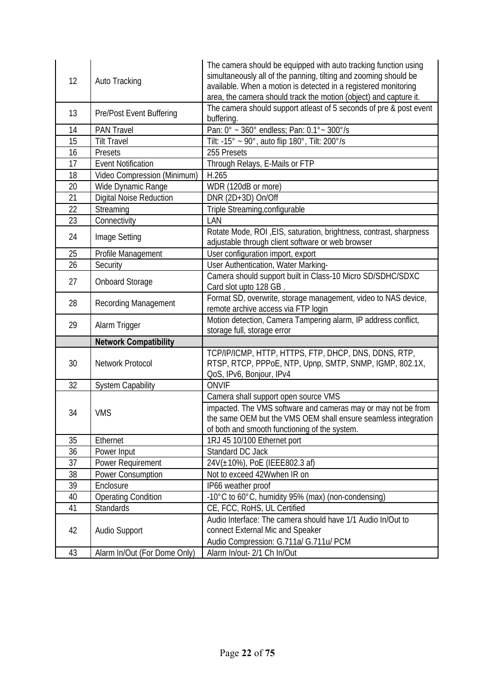| 12 | Auto Tracking                   | The camera should be equipped with auto tracking function using<br>simultaneously all of the panning, tilting and zooming should be<br>available. When a motion is detected in a registered monitoring<br>area, the camera should track the motion (object) and capture it. |  |
|----|---------------------------------|-----------------------------------------------------------------------------------------------------------------------------------------------------------------------------------------------------------------------------------------------------------------------------|--|
| 13 | <b>Pre/Post Event Buffering</b> | The camera should support atleast of 5 seconds of pre & post event<br>buffering.                                                                                                                                                                                            |  |
| 14 | <b>PAN Travel</b>               | Pan: 0° ~ 360° endless; Pan: 0.1° ~ 300°/s                                                                                                                                                                                                                                  |  |
| 15 | <b>Tilt Travel</b>              | Tilt: -15° ~ 90°, auto flip 180°, Tilt: 200°/s                                                                                                                                                                                                                              |  |
| 16 | Presets                         | 255 Presets                                                                                                                                                                                                                                                                 |  |
| 17 | <b>Event Notification</b>       | Through Relays, E-Mails or FTP                                                                                                                                                                                                                                              |  |
| 18 | Video Compression (Minimum)     | H.265                                                                                                                                                                                                                                                                       |  |
| 20 | Wide Dynamic Range              | WDR (120dB or more)                                                                                                                                                                                                                                                         |  |
| 21 | Digital Noise Reduction         | DNR (2D+3D) On/Off                                                                                                                                                                                                                                                          |  |
| 22 | Streaming                       | Triple Streaming, configurable                                                                                                                                                                                                                                              |  |
| 23 | Connectivity                    | LAN                                                                                                                                                                                                                                                                         |  |
| 24 | Image Setting                   | Rotate Mode, ROI, EIS, saturation, brightness, contrast, sharpness<br>adjustable through client software or web browser                                                                                                                                                     |  |
| 25 | Profile Management              | User configuration import, export                                                                                                                                                                                                                                           |  |
| 26 | Security                        | User Authentication, Water Marking-                                                                                                                                                                                                                                         |  |
| 27 | <b>Onboard Storage</b>          | Camera should support built in Class-10 Micro SD/SDHC/SDXC<br>Card slot upto 128 GB.                                                                                                                                                                                        |  |
| 28 | Recording Management            | Format SD, overwrite, storage management, video to NAS device,<br>remote archive access via FTP login                                                                                                                                                                       |  |
| 29 | Alarm Trigger                   | Motion detection, Camera Tampering alarm, IP address conflict,<br>storage full, storage error                                                                                                                                                                               |  |
|    | <b>Network Compatibility</b>    |                                                                                                                                                                                                                                                                             |  |
| 30 | Network Protocol                | TCP/IP/ICMP, HTTP, HTTPS, FTP, DHCP, DNS, DDNS, RTP,<br>RTSP, RTCP, PPPoE, NTP, Upnp, SMTP, SNMP, IGMP, 802.1X,<br>QoS, IPv6, Bonjour, IPv4                                                                                                                                 |  |
| 32 | <b>System Capability</b>        | <b>ONVIF</b>                                                                                                                                                                                                                                                                |  |
|    |                                 | Camera shall support open source VMS                                                                                                                                                                                                                                        |  |
| 34 | <b>VMS</b>                      | impacted. The VMS software and cameras may or may not be from<br>the same OEM but the VMS OEM shall ensure seamless integration<br>of both and smooth functioning of the system.                                                                                            |  |
| 35 |                                 |                                                                                                                                                                                                                                                                             |  |
|    | Ethernet                        | 1RJ 45 10/100 Ethernet port                                                                                                                                                                                                                                                 |  |
| 36 | Power Input                     | Standard DC Jack                                                                                                                                                                                                                                                            |  |
| 37 | Power Requirement               | 24V(±10%), PoE (IEEE802.3 af)                                                                                                                                                                                                                                               |  |
| 38 | Power Consumption               | Not to exceed 42Wwhen IR on                                                                                                                                                                                                                                                 |  |
| 39 | Enclosure                       | IP66 weather proof                                                                                                                                                                                                                                                          |  |
| 40 | <b>Operating Condition</b>      | -10°C to 60°C, humidity 95% (max) (non-condensing)                                                                                                                                                                                                                          |  |
| 41 | <b>Standards</b>                | CE, FCC, RoHS, UL Certified                                                                                                                                                                                                                                                 |  |
| 42 | Audio Support                   | Audio Interface: The camera should have 1/1 Audio In/Out to<br>connect External Mic and Speaker<br>Audio Compression: G.711a/ G.711u/ PCM                                                                                                                                   |  |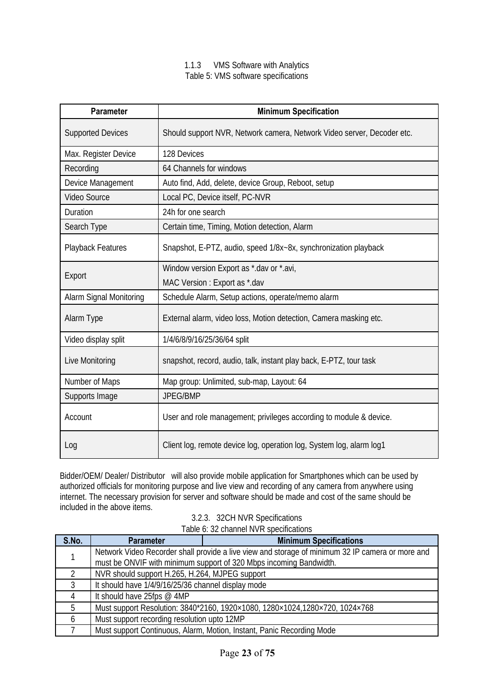#### 1.1.3 VMS Software with Analytics Table 5: VMS software specifications

| <b>Parameter</b>               | <b>Minimum Specification</b>                                           |  |
|--------------------------------|------------------------------------------------------------------------|--|
| <b>Supported Devices</b>       | Should support NVR, Network camera, Network Video server, Decoder etc. |  |
| Max. Register Device           | 128 Devices                                                            |  |
| Recording                      | 64 Channels for windows                                                |  |
| Device Management              | Auto find, Add, delete, device Group, Reboot, setup                    |  |
| <b>Video Source</b>            | Local PC, Device itself, PC-NVR                                        |  |
| Duration                       | 24h for one search                                                     |  |
| Search Type                    | Certain time, Timing, Motion detection, Alarm                          |  |
| Playback Features              | Snapshot, E-PTZ, audio, speed 1/8x~8x, synchronization playback        |  |
|                                | Window version Export as *.dav or *.avi,                               |  |
| Export                         | MAC Version: Export as *.dav                                           |  |
| <b>Alarm Signal Monitoring</b> | Schedule Alarm, Setup actions, operate/memo alarm                      |  |
| Alarm Type                     | External alarm, video loss, Motion detection, Camera masking etc.      |  |
| Video display split            | 1/4/6/8/9/16/25/36/64 split                                            |  |
| Live Monitoring                | snapshot, record, audio, talk, instant play back, E-PTZ, tour task     |  |
| Number of Maps                 | Map group: Unlimited, sub-map, Layout: 64                              |  |
| Supports Image                 | JPEG/BMP                                                               |  |
| Account                        | User and role management; privileges according to module & device.     |  |
| Log                            | Client log, remote device log, operation log, System log, alarm log1   |  |

Bidder/OEM/ Dealer/ Distributor will also provide mobile application for Smartphones which can be used by authorized officials for monitoring purpose and live view and recording of any camera from anywhere using internet. The necessary provision for server and software should be made and cost of the same should be included in the above items.

| 3.2.3. 32CH NVR Specifications         |
|----------------------------------------|
| Table 6: 32 channel NVR specifications |

| S.No. | <b>Parameter</b>                                                   | <b>Minimum Specifications</b>                                                                    |
|-------|--------------------------------------------------------------------|--------------------------------------------------------------------------------------------------|
|       |                                                                    | Network Video Recorder shall provide a live view and storage of minimum 32 IP camera or more and |
|       | must be ONVIF with minimum support of 320 Mbps incoming Bandwidth. |                                                                                                  |
|       | NVR should support H.265, H.264, MJPEG support                     |                                                                                                  |
|       | It should have 1/4/9/16/25/36 channel display mode                 |                                                                                                  |
|       | It should have 25fps @ 4MP                                         |                                                                                                  |
|       |                                                                    | Must support Resolution: 3840*2160, 1920×1080, 1280×1024, 1280×720, 1024×768                     |
|       | Must support recording resolution upto 12MP                        |                                                                                                  |
|       |                                                                    | Must support Continuous, Alarm, Motion, Instant, Panic Recording Mode                            |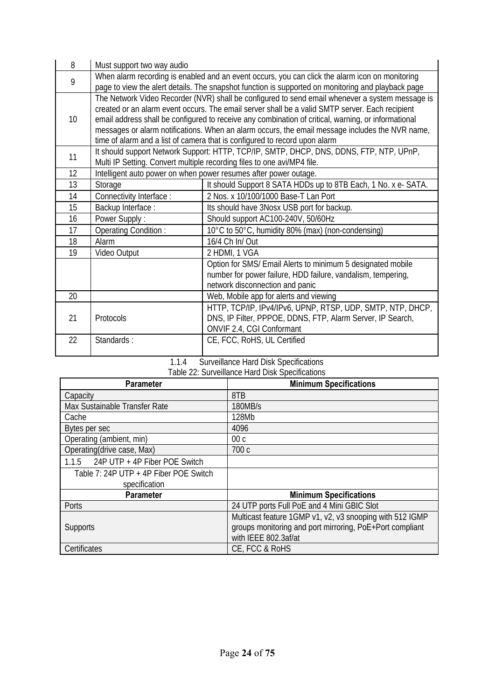| 8               | Must support two way audio                                                                                                                                                                                                                                                                                                                                                                                                                                                                 |                                                                                                                                                                |  |
|-----------------|--------------------------------------------------------------------------------------------------------------------------------------------------------------------------------------------------------------------------------------------------------------------------------------------------------------------------------------------------------------------------------------------------------------------------------------------------------------------------------------------|----------------------------------------------------------------------------------------------------------------------------------------------------------------|--|
| 9               | When alarm recording is enabled and an event occurs, you can click the alarm icon on monitoring<br>page to view the alert details. The snapshot function is supported on monitoring and playback page                                                                                                                                                                                                                                                                                      |                                                                                                                                                                |  |
| 10 <sup>1</sup> | The Network Video Recorder (NVR) shall be configured to send email whenever a system message is<br>created or an alarm event occurs. The email server shall be a valid SMTP server. Each recipient<br>email address shall be configured to receive any combination of critical, warning, or informational<br>messages or alarm notifications. When an alarm occurs, the email message includes the NVR name,<br>time of alarm and a list of camera that is configured to record upon alarm |                                                                                                                                                                |  |
| 11              | It should support Network Support: HTTP, TCP/IP, SMTP, DHCP, DNS, DDNS, FTP, NTP, UPnP,<br>Multi IP Setting. Convert multiple recording files to one avi/MP4 file.                                                                                                                                                                                                                                                                                                                         |                                                                                                                                                                |  |
| 12              |                                                                                                                                                                                                                                                                                                                                                                                                                                                                                            | Intelligent auto power on when power resumes after power outage.                                                                                               |  |
| 13              | Storage                                                                                                                                                                                                                                                                                                                                                                                                                                                                                    | It should Support 8 SATA HDDs up to 8TB Each, 1 No. x e- SATA.                                                                                                 |  |
| 14              | Connectivity Interface :                                                                                                                                                                                                                                                                                                                                                                                                                                                                   | 2 Nos. x 10/100/1000 Base-T Lan Port                                                                                                                           |  |
| 15              | Backup Interface:                                                                                                                                                                                                                                                                                                                                                                                                                                                                          | Its should have 3Nosx USB port for backup.                                                                                                                     |  |
| 16              | Power Supply:                                                                                                                                                                                                                                                                                                                                                                                                                                                                              | Should support AC100-240V, 50/60Hz                                                                                                                             |  |
| 17              | Operating Condition:                                                                                                                                                                                                                                                                                                                                                                                                                                                                       | 10°C to 50°C, humidity 80% (max) (non-condensing)                                                                                                              |  |
| 18              | Alarm                                                                                                                                                                                                                                                                                                                                                                                                                                                                                      | 16/4 Ch In/ Out                                                                                                                                                |  |
| 19              | Video Output                                                                                                                                                                                                                                                                                                                                                                                                                                                                               | 2 HDMI, 1 VGA                                                                                                                                                  |  |
|                 |                                                                                                                                                                                                                                                                                                                                                                                                                                                                                            | Option for SMS/ Email Alerts to minimum 5 designated mobile<br>number for power failure, HDD failure, vandalism, tempering,<br>network disconnection and panic |  |
| 20              |                                                                                                                                                                                                                                                                                                                                                                                                                                                                                            | Web, Mobile app for alerts and viewing                                                                                                                         |  |
| 21              | Protocols                                                                                                                                                                                                                                                                                                                                                                                                                                                                                  | HTTP, TCP/IP, IPv4/IPv6, UPNP, RTSP, UDP, SMTP, NTP, DHCP,<br>DNS, IP Filter, PPPOE, DDNS, FTP, Alarm Server, IP Search,<br>ONVIF 2.4, CGI Conformant          |  |
| 22              | Standards:                                                                                                                                                                                                                                                                                                                                                                                                                                                                                 | CE, FCC, RoHS, UL Certified                                                                                                                                    |  |

#### 1.1.4 Surveillance Hard Disk Specifications Table 22: Surveillance Hard Disk Specifications

| <b>Parameter</b>                       | Table 22. Our remarker Hard Disk Opeemeations<br><b>Minimum Specifications</b> |
|----------------------------------------|--------------------------------------------------------------------------------|
| Capacity                               | 8TB                                                                            |
| Max Sustainable Transfer Rate          | 180MB/s                                                                        |
| Cache                                  | 128Mb                                                                          |
| Bytes per sec                          | 4096                                                                           |
| Operating (ambient, min)               | 00 <sub>c</sub>                                                                |
| Operating(drive case, Max)             | 700 c                                                                          |
| 1.1.5 24P UTP + 4P Fiber POE Switch    |                                                                                |
| Table 7: 24P UTP + 4P Fiber POE Switch |                                                                                |
| specification                          |                                                                                |
| <b>Parameter</b>                       | <b>Minimum Specifications</b>                                                  |
| Ports                                  | 24 UTP ports Full PoE and 4 Mini GBIC Slot                                     |
|                                        | Multicast feature 1GMP v1, v2, v3 snooping with 512 IGMP                       |
| <b>Supports</b>                        | groups monitoring and port mirroring, PoE+Port compliant                       |
|                                        | with IEEE 802.3af/at                                                           |
| Certificates                           | CE, FCC & RoHS                                                                 |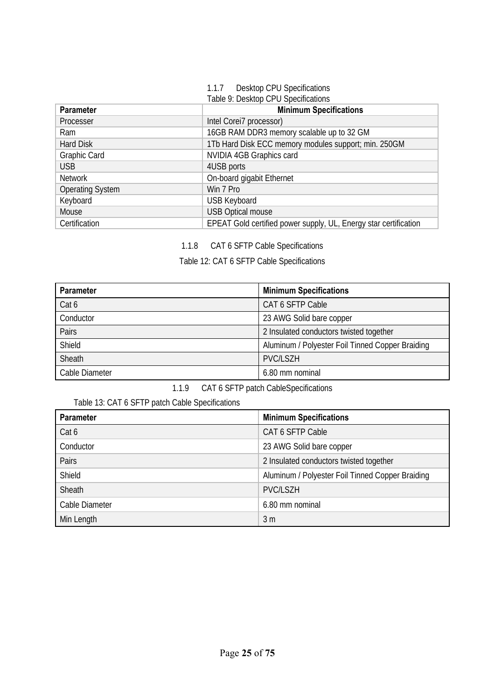#### 1.1.7 Desktop CPU Specifications Table 9: Desktop CPU Specifications

| <b>Parameter</b>        | <b>Minimum Specifications</b>                                    |  |
|-------------------------|------------------------------------------------------------------|--|
| Processer               | Intel Corei7 processor)                                          |  |
| Ram                     | 16GB RAM DDR3 memory scalable up to 32 GM                        |  |
| Hard Disk               | 1Tb Hard Disk ECC memory modules support; min. 250GM             |  |
| Graphic Card            | NVIDIA 4GB Graphics card                                         |  |
| <b>USB</b>              | 4USB ports                                                       |  |
| <b>Network</b>          | On-board gigabit Ethernet                                        |  |
| <b>Operating System</b> | Win 7 Pro                                                        |  |
| Keyboard                | <b>USB Keyboard</b>                                              |  |
| Mouse                   | <b>USB Optical mouse</b>                                         |  |
| Certification           | EPEAT Gold certified power supply, UL, Energy star certification |  |

1.1.8 CAT 6 SFTP Cable Specifications

Table 12: CAT 6 SFTP Cable Specifications

| Parameter      | <b>Minimum Specifications</b>                    |  |
|----------------|--------------------------------------------------|--|
| Cat 6          | CAT 6 SFTP Cable                                 |  |
| Conductor      | 23 AWG Solid bare copper                         |  |
| Pairs          | 2 Insulated conductors twisted together          |  |
| Shield         | Aluminum / Polyester Foil Tinned Copper Braiding |  |
| Sheath         | <b>PVC/LSZH</b>                                  |  |
| Cable Diameter | 6.80 mm nominal                                  |  |

1.1.9 CAT 6 SFTP patch CableSpecifications

Table 13: CAT 6 SFTP patch Cable Specifications

| <b>Parameter</b> | <b>Minimum Specifications</b>                    |  |
|------------------|--------------------------------------------------|--|
| Cat 6            | CAT 6 SFTP Cable                                 |  |
| Conductor        | 23 AWG Solid bare copper                         |  |
| Pairs            | 2 Insulated conductors twisted together          |  |
| Shield           | Aluminum / Polyester Foil Tinned Copper Braiding |  |
| Sheath           | <b>PVC/LSZH</b>                                  |  |
| Cable Diameter   | 6.80 mm nominal                                  |  |
| Min Length       | 3 m                                              |  |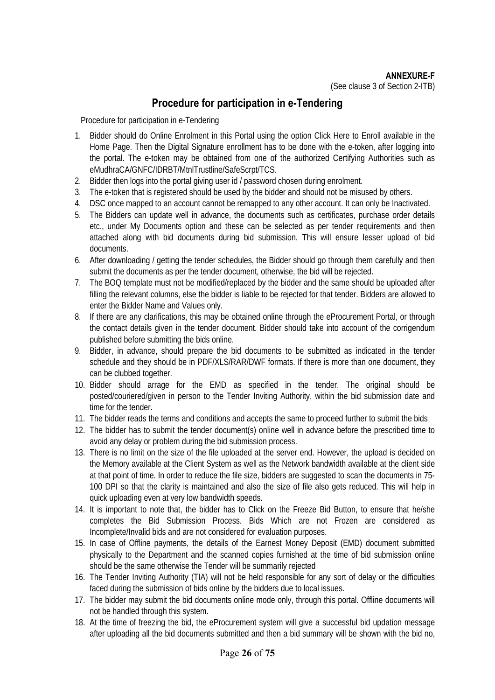### **Procedure for participation in e-Tendering**

Procedure for participation in e-Tendering

- 1. Bidder should do Online Enrolment in this Portal using the option Click Here to Enroll available in the Home Page. Then the Digital Signature enrollment has to be done with the e-token, after logging into the portal. The e-token may be obtained from one of the authorized Certifying Authorities such as eMudhraCA/GNFC/IDRBT/MtnlTrustline/SafeScrpt/TCS.
- 2. Bidder then logs into the portal giving user id / password chosen during enrolment.
- 3. The e-token that is registered should be used by the bidder and should not be misused by others.
- 4. DSC once mapped to an account cannot be remapped to any other account. It can only be Inactivated.
- 5. The Bidders can update well in advance, the documents such as certificates, purchase order details etc., under My Documents option and these can be selected as per tender requirements and then attached along with bid documents during bid submission. This will ensure lesser upload of bid documents.
- 6. After downloading / getting the tender schedules, the Bidder should go through them carefully and then submit the documents as per the tender document, otherwise, the bid will be rejected.
- 7. The BOQ template must not be modified/replaced by the bidder and the same should be uploaded after filling the relevant columns, else the bidder is liable to be rejected for that tender. Bidders are allowed to enter the Bidder Name and Values only.
- 8. If there are any clarifications, this may be obtained online through the eProcurement Portal, or through the contact details given in the tender document. Bidder should take into account of the corrigendum published before submitting the bids online.
- 9. Bidder, in advance, should prepare the bid documents to be submitted as indicated in the tender schedule and they should be in PDF/XLS/RAR/DWF formats. If there is more than one document, they can be clubbed together.
- 10. Bidder should arrage for the EMD as specified in the tender. The original should be posted/couriered/given in person to the Tender Inviting Authority, within the bid submission date and time for the tender.
- 11. The bidder reads the terms and conditions and accepts the same to proceed further to submit the bids
- 12. The bidder has to submit the tender document(s) online well in advance before the prescribed time to avoid any delay or problem during the bid submission process.
- 13. There is no limit on the size of the file uploaded at the server end. However, the upload is decided on the Memory available at the Client System as well as the Network bandwidth available at the client side at that point of time. In order to reduce the file size, bidders are suggested to scan the documents in 75- 100 DPI so that the clarity is maintained and also the size of file also gets reduced. This will help in quick uploading even at very low bandwidth speeds.
- 14. It is important to note that, the bidder has to Click on the Freeze Bid Button, to ensure that he/she completes the Bid Submission Process. Bids Which are not Frozen are considered as Incomplete/Invalid bids and are not considered for evaluation purposes.
- 15. In case of Offline payments, the details of the Earnest Money Deposit (EMD) document submitted physically to the Department and the scanned copies furnished at the time of bid submission online should be the same otherwise the Tender will be summarily rejected
- 16. The Tender Inviting Authority (TIA) will not be held responsible for any sort of delay or the difficulties faced during the submission of bids online by the bidders due to local issues.
- 17. The bidder may submit the bid documents online mode only, through this portal. Offline documents will not be handled through this system.
- 18. At the time of freezing the bid, the eProcurement system will give a successful bid updation message after uploading all the bid documents submitted and then a bid summary will be shown with the bid no,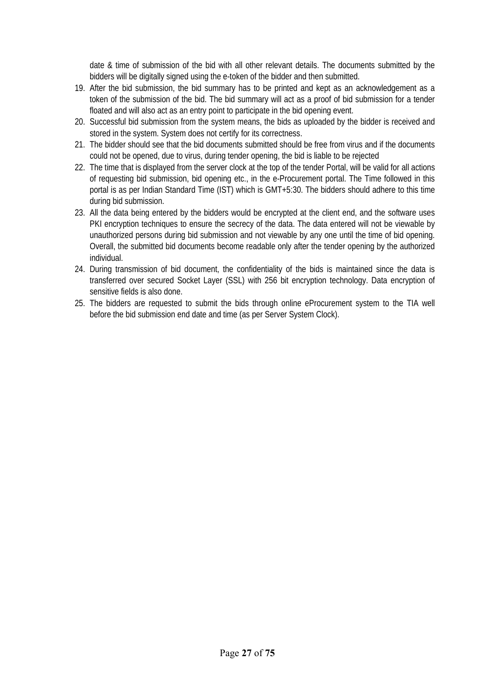date & time of submission of the bid with all other relevant details. The documents submitted by the bidders will be digitally signed using the e-token of the bidder and then submitted.

- 19. After the bid submission, the bid summary has to be printed and kept as an acknowledgement as a token of the submission of the bid. The bid summary will act as a proof of bid submission for a tender floated and will also act as an entry point to participate in the bid opening event.
- 20. Successful bid submission from the system means, the bids as uploaded by the bidder is received and stored in the system. System does not certify for its correctness.
- 21. The bidder should see that the bid documents submitted should be free from virus and if the documents could not be opened, due to virus, during tender opening, the bid is liable to be rejected
- 22. The time that is displayed from the server clock at the top of the tender Portal, will be valid for all actions of requesting bid submission, bid opening etc., in the e-Procurement portal. The Time followed in this portal is as per Indian Standard Time (IST) which is GMT+5:30. The bidders should adhere to this time during bid submission.
- 23. All the data being entered by the bidders would be encrypted at the client end, and the software uses PKI encryption techniques to ensure the secrecy of the data. The data entered will not be viewable by unauthorized persons during bid submission and not viewable by any one until the time of bid opening. Overall, the submitted bid documents become readable only after the tender opening by the authorized individual.
- 24. During transmission of bid document, the confidentiality of the bids is maintained since the data is transferred over secured Socket Layer (SSL) with 256 bit encryption technology. Data encryption of sensitive fields is also done.
- 25. The bidders are requested to submit the bids through online eProcurement system to the TIA well before the bid submission end date and time (as per Server System Clock).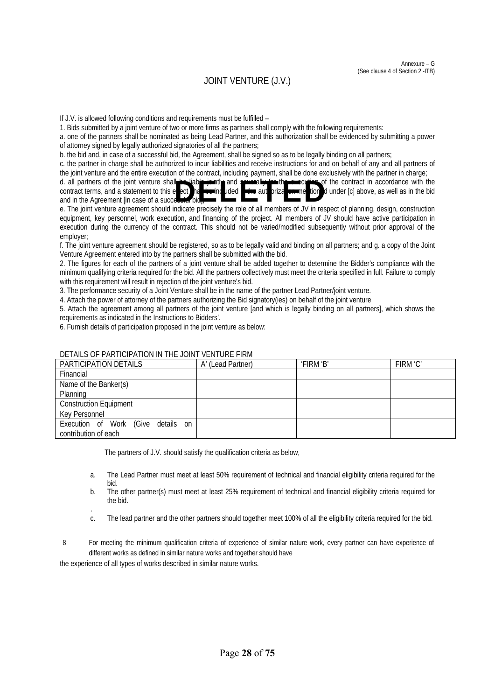#### JOINT VENTURE (J.V.)

If J.V. is allowed following conditions and requirements must be fulfilled –

1. Bids submitted by a joint venture of two or more firms as partners shall comply with the following requirements:

a. one of the partners shall be nominated as being Lead Partner, and this authorization shall be evidenced by submitting a power of attorney signed by legally authorized signatories of all the partners;

b. the bid and, in case of a successful bid, the Agreement, shall be signed so as to be legally binding on all partners;

c. the partner in charge shall be authorized to incur liabilities and receive instructions for and on behalf of any and all partners of the joint venture and the entire execution of the contract, including payment, shall be done exclusively with the partner in charge;

d. all partners of the joint venture shall be liable jointly and severally for the several of the contract in accordance with the contract terms, and a statement to this e  $ect$  a to included in the authorization mention in the bid and in the Agreement [in case of a succe e. The joint venture shall is the joint venture shall with the sect of the contract terms, and a statement to this enect of all members of the riza with riza and in the Agreement [in case of a succession bidge and in the A

equipment, key personnel, work execution, and financing of the project. All members of JV should have active participation in execution during the currency of the contract. This should not be varied/modified subsequently without prior approval of the employer;

f. The joint venture agreement should be registered, so as to be legally valid and binding on all partners; and g. a copy of the Joint Venture Agreement entered into by the partners shall be submitted with the bid.

2. The figures for each of the partners of a joint venture shall be added together to determine the Bidder's compliance with the minimum qualifying criteria required for the bid. All the partners collectively must meet the criteria specified in full. Failure to comply with this requirement will result in rejection of the joint venture's bid.

3. The performance security of a Joint Venture shall be in the name of the partner Lead Partner/joint venture.

4. Attach the power of attorney of the partners authorizing the Bid signatory(ies) on behalf of the joint venture

5. Attach the agreement among all partners of the joint venture [and which is legally binding on all partners], which shows the requirements as indicated in the Instructions to Bidders'.

6. Furnish details of participation proposed in the joint venture as below:

| PARTICIPATION DETAILS                                      | A' (Lead Partner) | 'FIRM 'B' | FIRM 'C' |
|------------------------------------------------------------|-------------------|-----------|----------|
| Financial                                                  |                   |           |          |
| Name of the Banker(s)                                      |                   |           |          |
| Planning                                                   |                   |           |          |
| <b>Construction Equipment</b>                              |                   |           |          |
| Key Personnel                                              |                   |           |          |
| Execution of Work (Give details on<br>contribution of each |                   |           |          |

#### DETAILS OF PARTICIPATION IN THE JOINT VENTURE FIRM

The partners of J.V. should satisfy the qualification criteria as below,

- a. The Lead Partner must meet at least 50% requirement of technical and financial eligibility criteria required for the bid.
- b. The other partner(s) must meet at least 25% requirement of technical and financial eligibility criteria required for the bid. .
- c. The lead partner and the other partners should together meet 100% of all the eligibility criteria required for the bid.
- 8 For meeting the minimum qualification criteria of experience of similar nature work, every partner can have experience of different works as defined in similar nature works and together should have

the experience of all types of works described in similar nature works.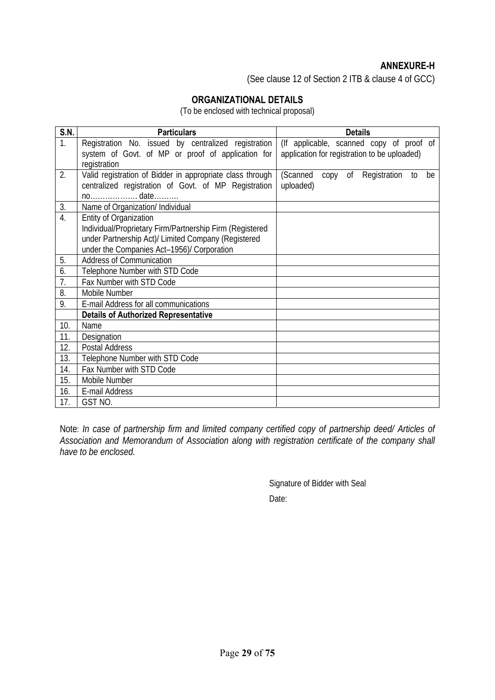#### **ANNEXURE-H**

(See clause 12 of Section 2 ITB & clause 4 of GCC)

#### **ORGANIZATIONAL DETAILS**

(To be enclosed with technical proposal)

| <b>S.N.</b>      | <b>Particulars</b>                                        | <b>Details</b>                               |
|------------------|-----------------------------------------------------------|----------------------------------------------|
| $\overline{1}$ . | Registration No. issued by centralized registration       | (If applicable, scanned copy of proof of     |
|                  | system of Govt. of MP or proof of application for         | application for registration to be uploaded) |
|                  | registration                                              |                                              |
| 2.               | Valid registration of Bidder in appropriate class through | (Scanned<br>copy of Registration<br>be<br>to |
|                  | centralized registration of Govt. of MP Registration      | uploaded)                                    |
|                  |                                                           |                                              |
| 3.               | Name of Organization/ Individual                          |                                              |
| $\overline{4}$ . | <b>Entity of Organization</b>                             |                                              |
|                  | Individual/Proprietary Firm/Partnership Firm (Registered  |                                              |
|                  | under Partnership Act)/ Limited Company (Registered       |                                              |
|                  | under the Companies Act-1956)/ Corporation                |                                              |
| 5.               | <b>Address of Communication</b>                           |                                              |
| 6.               | Telephone Number with STD Code                            |                                              |
| 7.               | Fax Number with STD Code                                  |                                              |
| 8.               | Mobile Number                                             |                                              |
| 9.               | E-mail Address for all communications                     |                                              |
|                  | <b>Details of Authorized Representative</b>               |                                              |
| 10.              | Name                                                      |                                              |
| 11.              | Designation                                               |                                              |
| 12.              | Postal Address                                            |                                              |
| 13.              | Telephone Number with STD Code                            |                                              |
| 14.              | Fax Number with STD Code                                  |                                              |
| 15.              | Mobile Number                                             |                                              |
| 16.              | E-mail Address                                            |                                              |
| 17.              | GST NO.                                                   |                                              |

Note: *In case of partnership firm and limited company certified copy of partnership deed/ Articles of Association and Memorandum of Association along with registration certificate of the company shall have to be enclosed.* 

> Signature of Bidder with Seal Date: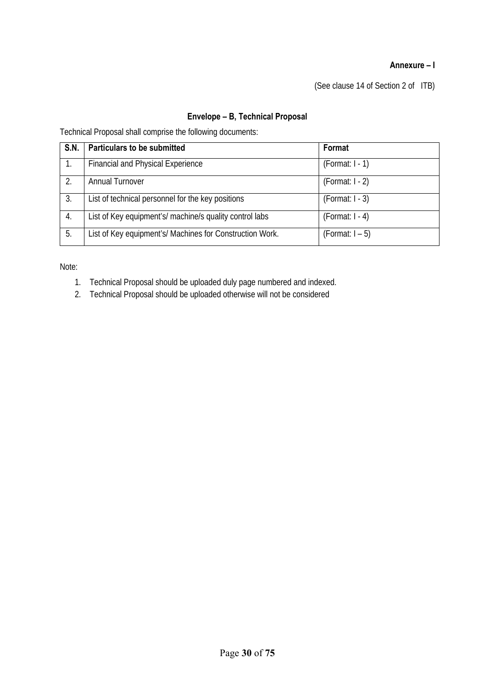#### **Annexure – I**

(See clause 14 of Section 2 of ITB)

#### **Envelope – B, Technical Proposal**

Technical Proposal shall comprise the following documents:

| S.N. | <b>Particulars to be submitted</b>                       | Format            |
|------|----------------------------------------------------------|-------------------|
|      | <b>Financial and Physical Experience</b>                 | $(Format: I - 1)$ |
| 2.   | <b>Annual Turnover</b>                                   | $(Format: I - 2)$ |
| 3.   | List of technical personnel for the key positions        | $(Format: I - 3)$ |
| 4.   | List of Key equipment's/ machine/s quality control labs  | $(Format: I - 4)$ |
| 5.   | List of Key equipment's/ Machines for Construction Work. | (Format: I – 5)   |

Note:

- 1. Technical Proposal should be uploaded duly page numbered and indexed.
- 2. Technical Proposal should be uploaded otherwise will not be considered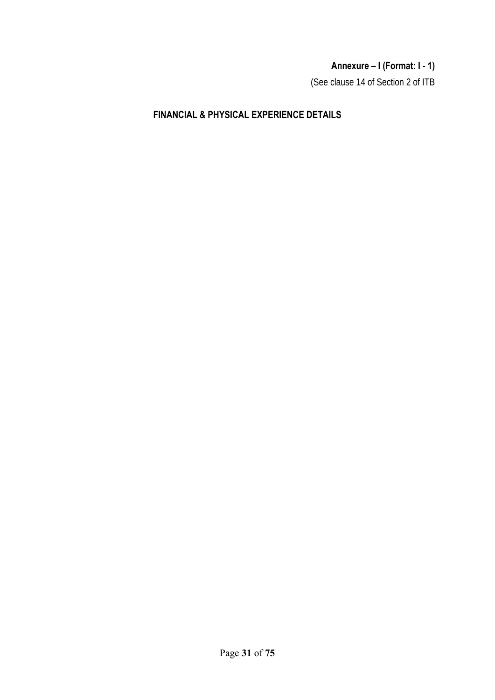# **Annexure – I (Format: I - 1)**

(See clause 14 of Section 2 of ITB

### **FINANCIAL & PHYSICAL EXPERIENCE DETAILS**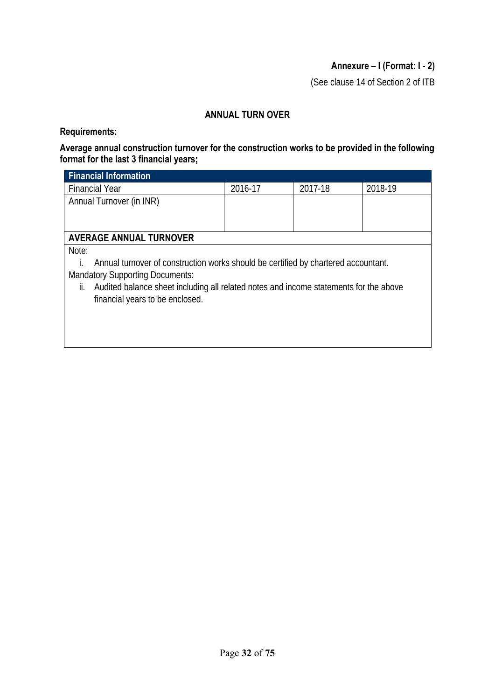#### **Annexure – I (Format: I - 2)**

(See clause 14 of Section 2 of ITB

#### **ANNUAL TURN OVER**

#### **Requirements:**

#### **Average annual construction turnover for the construction works to be provided in the following format for the last 3 financial years;**

| <b>Financial Information</b>                                                                 |         |         |         |  |  |  |
|----------------------------------------------------------------------------------------------|---------|---------|---------|--|--|--|
| <b>Financial Year</b>                                                                        | 2016-17 | 2017-18 | 2018-19 |  |  |  |
| Annual Turnover (in INR)                                                                     |         |         |         |  |  |  |
|                                                                                              |         |         |         |  |  |  |
|                                                                                              |         |         |         |  |  |  |
| <b>AVERAGE ANNUAL TURNOVER</b>                                                               |         |         |         |  |  |  |
| Note:                                                                                        |         |         |         |  |  |  |
| Annual turnover of construction works should be certified by chartered accountant.           |         |         |         |  |  |  |
| <b>Mandatory Supporting Documents:</b>                                                       |         |         |         |  |  |  |
| Audited balance sheet including all related notes and income statements for the above<br>II. |         |         |         |  |  |  |
| financial years to be enclosed.                                                              |         |         |         |  |  |  |
|                                                                                              |         |         |         |  |  |  |
|                                                                                              |         |         |         |  |  |  |
|                                                                                              |         |         |         |  |  |  |
|                                                                                              |         |         |         |  |  |  |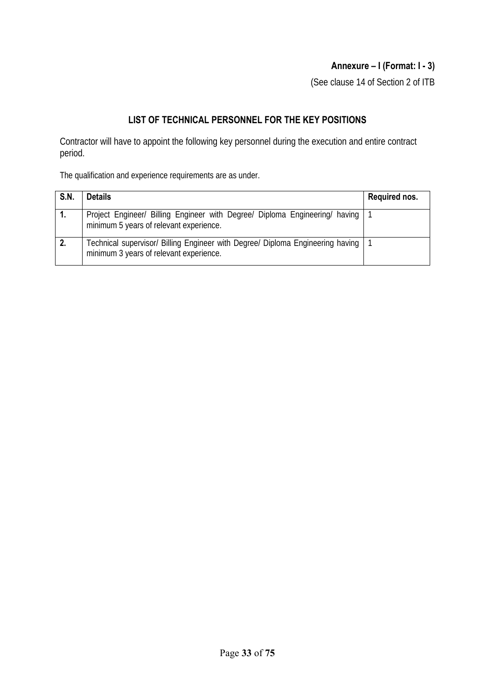### **Annexure – I (Format: I - 3)**

(See clause 14 of Section 2 of ITB

#### **LIST OF TECHNICAL PERSONNEL FOR THE KEY POSITIONS**

Contractor will have to appoint the following key personnel during the execution and entire contract period.

The qualification and experience requirements are as under.

| S.N. | <b>Details</b>                                                                                                                | Required nos. |
|------|-------------------------------------------------------------------------------------------------------------------------------|---------------|
| 1.   | Project Engineer/ Billing Engineer with Degree/ Diploma Engineering/ having   1<br>minimum 5 years of relevant experience.    |               |
|      | Technical supervisor/ Billing Engineer with Degree/ Diploma Engineering having   1<br>minimum 3 years of relevant experience. |               |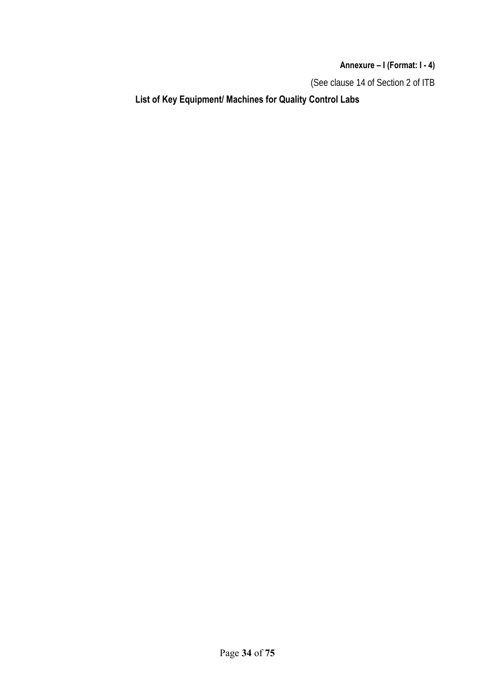**Annexure – I (Format: I - 4)** 

(See clause 14 of Section 2 of ITB

**List of Key Equipment/ Machines for Quality Control Labs**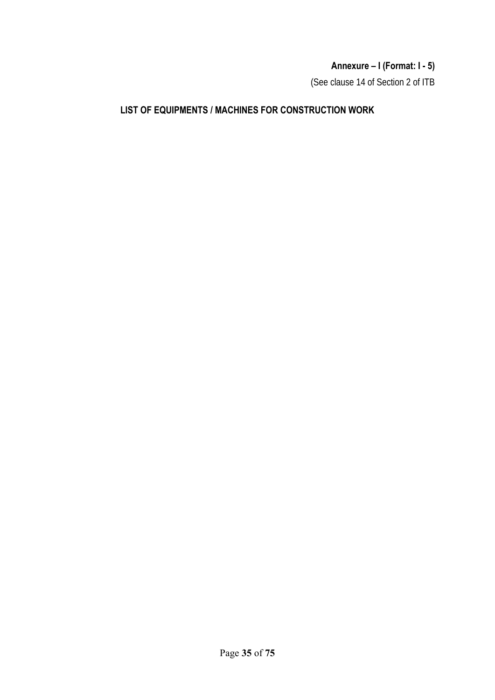# **Annexure – I (Format: I - 5)**

(See clause 14 of Section 2 of ITB

#### **LIST OF EQUIPMENTS / MACHINES FOR CONSTRUCTION WORK**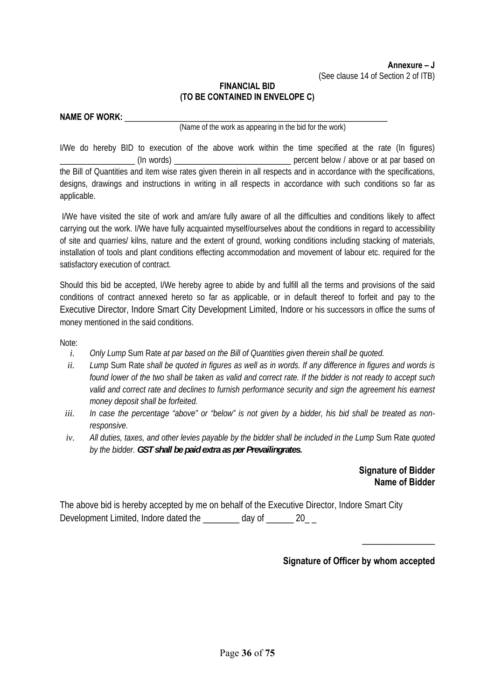#### **FINANCIAL BID (TO BE CONTAINED IN ENVELOPE C)**

| <b>NAME OF WORK:</b> |  |
|----------------------|--|
|                      |  |

(Name of the work as appearing in the bid for the work)

I/We do hereby BID to execution of the above work within the time specified at the rate (In figures) (In words) entitled the percent below / above or at par based on the Bill of Quantities and item wise rates given therein in all respects and in accordance with the specifications, designs, drawings and instructions in writing in all respects in accordance with such conditions so far as applicable.

 I/We have visited the site of work and am/are fully aware of all the difficulties and conditions likely to affect carrying out the work. I/We have fully acquainted myself/ourselves about the conditions in regard to accessibility of site and quarries/ kilns, nature and the extent of ground, working conditions including stacking of materials, installation of tools and plant conditions effecting accommodation and movement of labour etc. required for the satisfactory execution of contract.

Should this bid be accepted, I/We hereby agree to abide by and fulfill all the terms and provisions of the said conditions of contract annexed hereto so far as applicable, or in default thereof to forfeit and pay to the Executive Director, Indore Smart City Development Limited, Indore or his successors in office the sums of money mentioned in the said conditions.

Note:

- *i. Only Lump* Sum Rate *at par based on the Bill of Quantities given therein shall be quoted.*
- *ii. Lump* Sum Rate *shall be quoted in figures as well as in words. If any difference in figures and words is found lower of the two shall be taken as valid and correct rate. If the bidder is not ready to accept such*  valid and correct rate and declines to furnish performance security and sign the agreement his earnest *money deposit shall be forfeited.*
- iii. In case the percentage "above" or "below" is not given by a bidder, his bid shall be treated as non*responsive.*
- *iv. All duties, taxes, and other levies payable by the bidder shall be included in the Lump* Sum Rate *quoted by the bidder. GST shall be paid extra as per Prevailingrates***.**

**Signature of Bidder Name of Bidder** 

The above bid is hereby accepted by me on behalf of the Executive Director, Indore Smart City Development Limited, Indore dated the \_\_\_\_\_\_\_ day of \_\_\_\_\_\_ 20\_\_

\_\_\_\_\_\_\_\_\_\_\_\_\_\_\_\_

**Signature of Officer by whom accepted**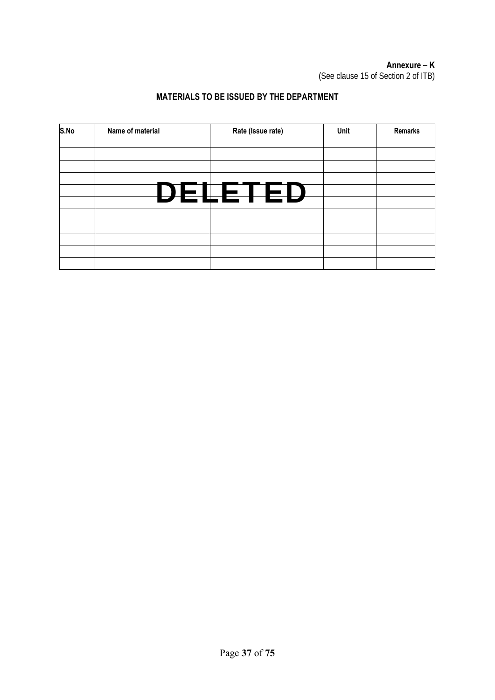# **Annexure – K**

(See clause 15 of Section 2 of ITB)

## **MATERIALS TO BE ISSUED BY THE DEPARTMENT**

| S.No | Name of material | Rate (Issue rate) | Unit | Remarks |
|------|------------------|-------------------|------|---------|
|      |                  |                   |      |         |
|      |                  |                   |      |         |
|      |                  |                   |      |         |
|      |                  |                   |      |         |
|      |                  | DELETED           |      |         |
|      |                  |                   |      |         |
|      |                  |                   |      |         |
|      |                  |                   |      |         |
|      |                  |                   |      |         |
|      |                  |                   |      |         |
|      |                  |                   |      |         |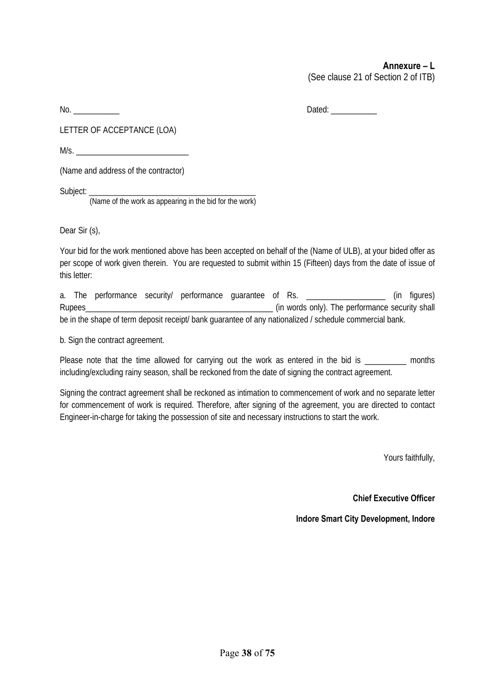#### **Annexure – L**  (See clause 21 of Section 2 of ITB)

No. \_\_\_\_\_\_\_\_\_\_\_ Dated: \_\_\_\_\_\_\_\_\_\_\_

LETTER OF ACCEPTANCE (LOA)

 $M/s$ .

(Name and address of the contractor)

Subject: \_\_\_\_\_\_\_\_\_\_\_\_\_\_\_\_\_\_\_\_\_\_\_\_\_\_\_\_\_\_\_\_\_\_\_\_\_\_\_\_\_\_\_\_

(Name of the work as appearing in the bid for the work)

Dear Sir (s),

Your bid for the work mentioned above has been accepted on behalf of the (Name of ULB), at your bided offer as per scope of work given therein. You are requested to submit within 15 (Fifteen) days from the date of issue of this letter:

a. The performance security/ performance quarantee of Rs. \_\_\_\_\_\_\_\_\_\_\_\_\_\_\_\_\_\_\_\_ (in figures) Rupees<br>
Rupees<br>  $\frac{1}{2}$  (in words only). The performance security shall be in the shape of term deposit receipt/ bank guarantee of any nationalized / schedule commercial bank.

b. Sign the contract agreement.

Please note that the time allowed for carrying out the work as entered in the bid is months including/excluding rainy season, shall be reckoned from the date of signing the contract agreement.

Signing the contract agreement shall be reckoned as intimation to commencement of work and no separate letter for commencement of work is required. Therefore, after signing of the agreement, you are directed to contact Engineer-in-charge for taking the possession of site and necessary instructions to start the work.

Yours faithfully,

**Chief Executive Officer** 

**Indore Smart City Development, Indore**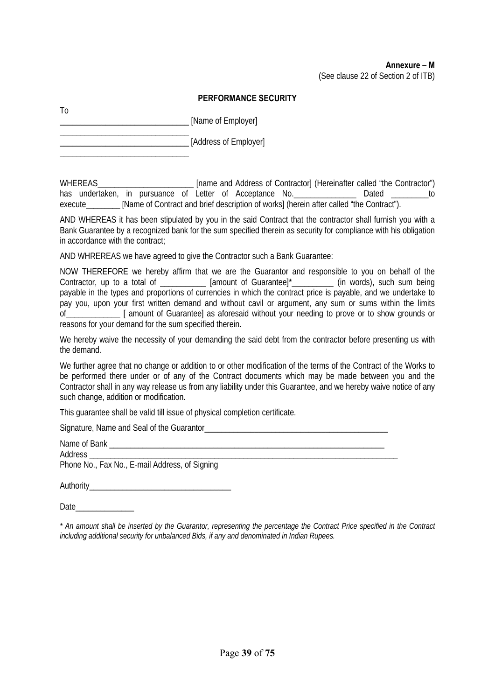#### **PERFORMANCE SECURITY**

\_\_\_\_\_\_\_\_\_\_\_\_\_\_\_\_\_\_\_\_\_\_\_\_\_\_\_\_\_\_\_ [Name of Employer]

\_\_\_\_\_\_\_\_\_\_\_\_\_\_\_\_\_\_\_\_\_\_\_\_\_\_\_\_\_\_\_

\_\_\_\_\_\_\_\_\_\_\_\_\_\_\_\_\_\_\_\_\_\_\_\_\_\_\_\_\_\_\_ \_\_\_\_\_\_\_\_\_\_\_\_\_\_\_\_\_\_\_\_\_\_\_\_\_\_\_\_\_\_\_ [Address of Employer]

WHEREAS\_\_\_\_\_\_\_\_\_\_\_\_\_\_\_\_\_\_\_\_\_\_\_\_\_\_\_ [name and Address of Contractor] (Hereinafter called "the Contractor") has undertaken, in pursuance of Letter of Acceptance No. \_\_\_\_\_\_\_\_\_\_\_\_\_\_\_ Dated \_\_\_\_\_\_\_\_to execute\_\_\_\_\_\_\_\_\_ [Name of Contract and brief description of works] (herein after called "the Contract").

AND WHEREAS it has been stipulated by you in the said Contract that the contractor shall furnish you with a Bank Guarantee by a recognized bank for the sum specified therein as security for compliance with his obligation in accordance with the contract;

AND WHREREAS we have agreed to give the Contractor such a Bank Guarantee:

NOW THEREFORE we hereby affirm that we are the Guarantor and responsible to you on behalf of the Contractor, up to a total of \_\_\_\_\_\_\_\_\_\_\_\_ [amount of Guarantee]\*\_\_\_\_\_\_\_\_\_\_\_ (in words), such sum being payable in the types and proportions of currencies in which the contract price is payable, and we undertake to pay you, upon your first written demand and without cavil or argument, any sum or sums within the limits of\_\_\_\_\_\_\_\_\_\_\_\_\_ [ amount of Guarantee] as aforesaid without your needing to prove or to show grounds or reasons for your demand for the sum specified therein.

We hereby waive the necessity of your demanding the said debt from the contractor before presenting us with the demand.

We further agree that no change or addition to or other modification of the terms of the Contract of the Works to be performed there under or of any of the Contract documents which may be made between you and the Contractor shall in any way release us from any liability under this Guarantee, and we hereby waive notice of any such change, addition or modification.

This guarantee shall be valid till issue of physical completion certificate.

Signature, Name and Seal of the Guarantor\_\_\_\_\_\_\_\_\_\_\_\_\_\_\_\_\_\_\_\_\_\_\_\_\_\_\_\_\_\_\_\_\_\_\_\_\_\_\_\_\_\_\_\_

| Name of Bank                                   |  |
|------------------------------------------------|--|
| Address                                        |  |
| Phone No., Fax No., E-mail Address, of Signing |  |
| Authority                                      |  |

Date\_\_\_\_\_\_\_\_\_\_\_\_\_\_

To

*\* An amount shall be inserted by the Guarantor, representing the percentage the Contract Price specified in the Contract including additional security for unbalanced Bids, if any and denominated in Indian Rupees.*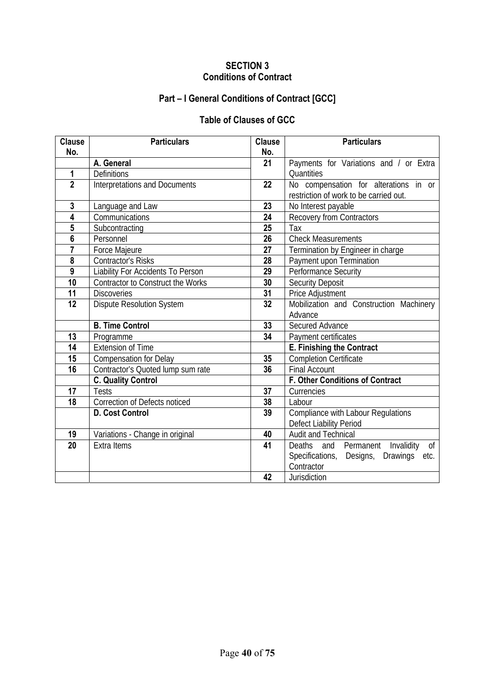## **SECTION 3 Conditions of Contract**

# **Part – I General Conditions of Contract [GCC]**

# **Table of Clauses of GCC**

| <b>Clause</b>   | <b>Particulars</b>                   | <b>Clause</b>   | <b>Particulars</b>                          |  |
|-----------------|--------------------------------------|-----------------|---------------------------------------------|--|
| No.             |                                      | No.             |                                             |  |
|                 | A. General                           | 21              | Payments for Variations and / or Extra      |  |
| 1               | <b>Definitions</b>                   |                 | <b>Quantities</b>                           |  |
| $\overline{2}$  | <b>Interpretations and Documents</b> | 22              | No compensation for alterations in or       |  |
|                 |                                      |                 | restriction of work to be carried out.      |  |
| $\mathbf{3}$    | Language and Law                     | 23              | No Interest payable                         |  |
| 4               | Communications                       | 24              | Recovery from Contractors                   |  |
| 5               | Subcontracting                       | 25              | Tax                                         |  |
| 6               | Personnel                            | 26              | <b>Check Measurements</b>                   |  |
| $\overline{7}$  | Force Majeure                        | 27              | Termination by Engineer in charge           |  |
| 8               | <b>Contractor's Risks</b>            | 28              | Payment upon Termination                    |  |
| $\overline{9}$  | Liability For Accidents To Person    | 29              | <b>Performance Security</b>                 |  |
| 10              | Contractor to Construct the Works    | 30              | <b>Security Deposit</b>                     |  |
| 11              | <b>Discoveries</b>                   | 31              | Price Adjustment                            |  |
| $\overline{12}$ | <b>Dispute Resolution System</b>     | 32              | Mobilization and Construction Machinery     |  |
|                 |                                      |                 | Advance                                     |  |
|                 | <b>B. Time Control</b>               | 33              | Secured Advance                             |  |
| 13              | Programme                            | $\overline{34}$ | Payment certificates                        |  |
| 14              | <b>Extension of Time</b>             |                 | <b>E. Finishing the Contract</b>            |  |
| 15              | <b>Compensation for Delay</b>        | 35              | <b>Completion Certificate</b>               |  |
| $\overline{16}$ | Contractor's Quoted lump sum rate    | 36              | <b>Final Account</b>                        |  |
|                 | <b>C. Quality Control</b>            |                 | <b>F. Other Conditions of Contract</b>      |  |
| 17              | <b>Tests</b>                         | 37              | Currencies                                  |  |
| 18              | Correction of Defects noticed        | 38              | Labour                                      |  |
|                 | D. Cost Control                      | 39              | Compliance with Labour Regulations          |  |
|                 |                                      |                 | Defect Liability Period                     |  |
| 19              | Variations - Change in original      | 40              | Audit and Technical                         |  |
| 20              | <b>Extra Items</b>                   | 41              | and Permanent<br>Invalidity<br>Deaths<br>0f |  |
|                 |                                      |                 | Specifications, Designs,<br>Drawings etc.   |  |
|                 |                                      |                 | Contractor                                  |  |
|                 |                                      | 42              | Jurisdiction                                |  |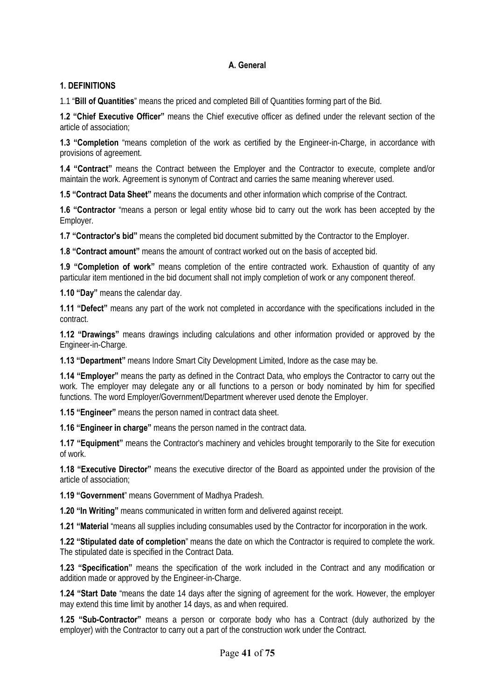### **A. General**

#### **1. DEFINITIONS**

1.1 "**Bill of Quantities**" means the priced and completed Bill of Quantities forming part of the Bid.

**1.2 "Chief Executive Officer"** means the Chief executive officer as defined under the relevant section of the article of association;

**1.3 "Completion** "means completion of the work as certified by the Engineer-in-Charge, in accordance with provisions of agreement.

**1.4 "Contract"** means the Contract between the Employer and the Contractor to execute, complete and/or maintain the work. Agreement is synonym of Contract and carries the same meaning wherever used.

**1.5 "Contract Data Sheet"** means the documents and other information which comprise of the Contract.

**1.6 "Contractor** "means a person or legal entity whose bid to carry out the work has been accepted by the Employer.

**1.7 "Contractor's bid"** means the completed bid document submitted by the Contractor to the Employer.

**1.8 "Contract amount"** means the amount of contract worked out on the basis of accepted bid.

**1.9 "Completion of work"** means completion of the entire contracted work. Exhaustion of quantity of any particular item mentioned in the bid document shall not imply completion of work or any component thereof.

**1.10 "Day"** means the calendar day.

**1.11 "Defect"** means any part of the work not completed in accordance with the specifications included in the contract.

**1.12 "Drawings"** means drawings including calculations and other information provided or approved by the Engineer-in-Charge.

**1.13 "Department"** means Indore Smart City Development Limited, Indore as the case may be.

**1.14 "Employer"** means the party as defined in the Contract Data, who employs the Contractor to carry out the work. The employer may delegate any or all functions to a person or body nominated by him for specified functions. The word Employer/Government/Department wherever used denote the Employer.

**1.15 "Engineer"** means the person named in contract data sheet.

**1.16 "Engineer in charge"** means the person named in the contract data.

**1.17 "Equipment"** means the Contractor's machinery and vehicles brought temporarily to the Site for execution of work.

**1.18 "Executive Director"** means the executive director of the Board as appointed under the provision of the article of association;

**1.19 "Government**" means Government of Madhya Pradesh.

**1.20 "In Writing"** means communicated in written form and delivered against receipt.

**1.21 "Material** "means all supplies including consumables used by the Contractor for incorporation in the work.

**1.22 "Stipulated date of completion**" means the date on which the Contractor is required to complete the work. The stipulated date is specified in the Contract Data.

**1.23 "Specification"** means the specification of the work included in the Contract and any modification or addition made or approved by the Engineer-in-Charge.

**1.24 "Start Date** "means the date 14 days after the signing of agreement for the work. However, the employer may extend this time limit by another 14 days, as and when required.

**1.25 "Sub-Contractor"** means a person or corporate body who has a Contract (duly authorized by the employer) with the Contractor to carry out a part of the construction work under the Contract.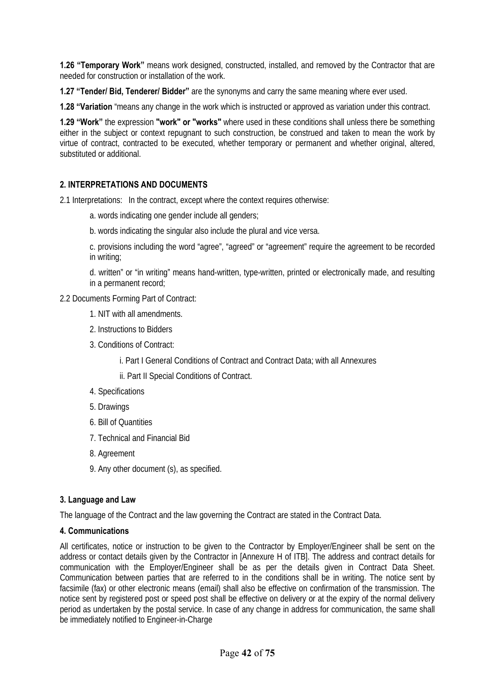**1.26 "Temporary Work"** means work designed, constructed, installed, and removed by the Contractor that are needed for construction or installation of the work.

**1.27 "Tender/ Bid, Tenderer/ Bidder"** are the synonyms and carry the same meaning where ever used.

**1.28 "Variation** "means any change in the work which is instructed or approved as variation under this contract.

**1.29 "Work"** the expression **"work" or "works"** where used in these conditions shall unless there be something either in the subject or context repugnant to such construction, be construed and taken to mean the work by virtue of contract, contracted to be executed, whether temporary or permanent and whether original, altered, substituted or additional.

### **2. INTERPRETATIONS AND DOCUMENTS**

2.1 Interpretations: In the contract, except where the context requires otherwise:

- a. words indicating one gender include all genders;
- b. words indicating the singular also include the plural and vice versa.
- c. provisions including the word "agree", "agreed" or "agreement" require the agreement to be recorded in writing;

d. written" or "in writing" means hand-written, type-written, printed or electronically made, and resulting in a permanent record;

2.2 Documents Forming Part of Contract:

- 1. NIT with all amendments.
- 2. Instructions to Bidders
- 3. Conditions of Contract:
	- i. Part I General Conditions of Contract and Contract Data; with all Annexures
	- ii. Part II Special Conditions of Contract.
- 4. Specifications
- 5. Drawings
- 6. Bill of Quantities
- 7. Technical and Financial Bid
- 8. Agreement
- 9. Any other document (s), as specified.

#### **3. Language and Law**

The language of the Contract and the law governing the Contract are stated in the Contract Data.

#### **4. Communications**

All certificates, notice or instruction to be given to the Contractor by Employer/Engineer shall be sent on the address or contact details given by the Contractor in [Annexure H of ITB]. The address and contract details for communication with the Employer/Engineer shall be as per the details given in Contract Data Sheet. Communication between parties that are referred to in the conditions shall be in writing. The notice sent by facsimile (fax) or other electronic means (email) shall also be effective on confirmation of the transmission. The notice sent by registered post or speed post shall be effective on delivery or at the expiry of the normal delivery period as undertaken by the postal service. In case of any change in address for communication, the same shall be immediately notified to Engineer-in-Charge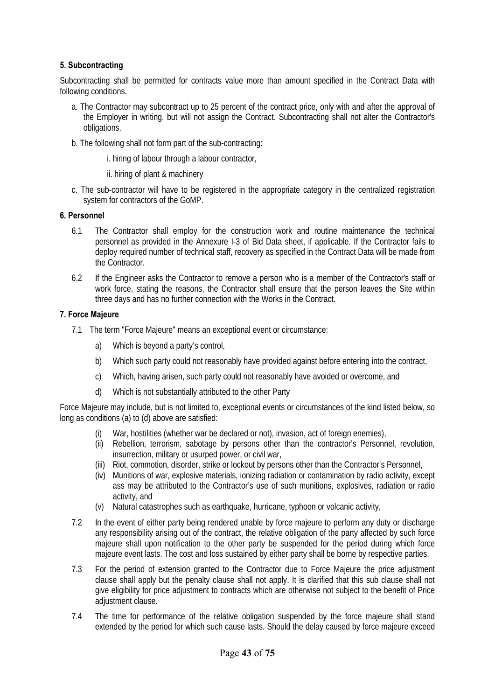#### **5. Subcontracting**

Subcontracting shall be permitted for contracts value more than amount specified in the Contract Data with following conditions.

- a. The Contractor may subcontract up to 25 percent of the contract price, only with and after the approval of the Employer in writing, but will not assign the Contract. Subcontracting shall not alter the Contractor's obligations.
- b. The following shall not form part of the sub-contracting:
	- i. hiring of labour through a labour contractor,
	- ii. hiring of plant & machinery
- c. The sub-contractor will have to be registered in the appropriate category in the centralized registration system for contractors of the GoMP.

#### **6. Personnel**

- 6.1 The Contractor shall employ for the construction work and routine maintenance the technical personnel as provided in the Annexure I-3 of Bid Data sheet, if applicable. If the Contractor fails to deploy required number of technical staff, recovery as specified in the Contract Data will be made from the Contractor.
- 6.2 If the Engineer asks the Contractor to remove a person who is a member of the Contractor's staff or work force, stating the reasons, the Contractor shall ensure that the person leaves the Site within three days and has no further connection with the Works in the Contract.

#### **7. Force Majeure**

- 7.1 The term "Force Majeure" means an exceptional event or circumstance:
	- a) Which is beyond a party's control,
	- b) Which such party could not reasonably have provided against before entering into the contract,
	- c) Which, having arisen, such party could not reasonably have avoided or overcome, and
	- d) Which is not substantially attributed to the other Party

Force Majeure may include, but is not limited to, exceptional events or circumstances of the kind listed below, so long as conditions (a) to (d) above are satisfied:

- War, hostilities (whether war be declared or not), invasion, act of foreign enemies),
- (ii) Rebellion, terrorism, sabotage by persons other than the contractor's Personnel, revolution, insurrection, military or usurped power, or civil war,
- (iii) Riot, commotion, disorder, strike or lockout by persons other than the Contractor's Personnel,
- (iv) Munitions of war, explosive materials, ionizing radiation or contamination by radio activity, except ass may be attributed to the Contractor's use of such munitions, explosives, radiation or radio activity, and
- (v) Natural catastrophes such as earthquake, hurricane, typhoon or volcanic activity,
- 7.2 In the event of either party being rendered unable by force majeure to perform any duty or discharge any responsibility arising out of the contract, the relative obligation of the party affected by such force majeure shall upon notification to the other party be suspended for the period during which force majeure event lasts. The cost and loss sustained by either party shall be borne by respective parties.
- 7.3 For the period of extension granted to the Contractor due to Force Majeure the price adjustment clause shall apply but the penalty clause shall not apply. It is clarified that this sub clause shall not give eligibility for price adjustment to contracts which are otherwise not subject to the benefit of Price adjustment clause.
- 7.4 The time for performance of the relative obligation suspended by the force majeure shall stand extended by the period for which such cause lasts. Should the delay caused by force majeure exceed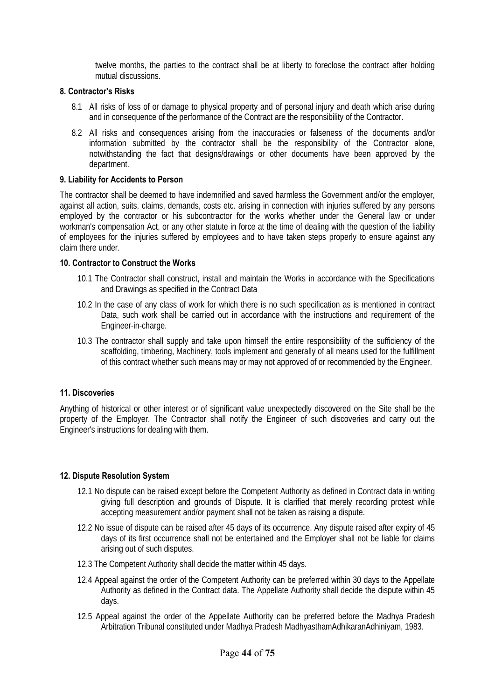twelve months, the parties to the contract shall be at liberty to foreclose the contract after holding mutual discussions.

#### **8. Contractor's Risks**

- 8.1 All risks of loss of or damage to physical property and of personal injury and death which arise during and in consequence of the performance of the Contract are the responsibility of the Contractor.
- 8.2 All risks and consequences arising from the inaccuracies or falseness of the documents and/or information submitted by the contractor shall be the responsibility of the Contractor alone, notwithstanding the fact that designs/drawings or other documents have been approved by the department.

#### **9. Liability for Accidents to Person**

The contractor shall be deemed to have indemnified and saved harmless the Government and/or the employer, against all action, suits, claims, demands, costs etc. arising in connection with injuries suffered by any persons employed by the contractor or his subcontractor for the works whether under the General law or under workman's compensation Act, or any other statute in force at the time of dealing with the question of the liability of employees for the injuries suffered by employees and to have taken steps properly to ensure against any claim there under.

#### **10. Contractor to Construct the Works**

- 10.1 The Contractor shall construct, install and maintain the Works in accordance with the Specifications and Drawings as specified in the Contract Data
- 10.2 In the case of any class of work for which there is no such specification as is mentioned in contract Data, such work shall be carried out in accordance with the instructions and requirement of the Engineer-in-charge.
- 10.3 The contractor shall supply and take upon himself the entire responsibility of the sufficiency of the scaffolding, timbering, Machinery, tools implement and generally of all means used for the fulfillment of this contract whether such means may or may not approved of or recommended by the Engineer.

#### **11. Discoveries**

Anything of historical or other interest or of significant value unexpectedly discovered on the Site shall be the property of the Employer. The Contractor shall notify the Engineer of such discoveries and carry out the Engineer's instructions for dealing with them.

#### **12. Dispute Resolution System**

- 12.1 No dispute can be raised except before the Competent Authority as defined in Contract data in writing giving full description and grounds of Dispute. It is clarified that merely recording protest while accepting measurement and/or payment shall not be taken as raising a dispute.
- 12.2 No issue of dispute can be raised after 45 days of its occurrence. Any dispute raised after expiry of 45 days of its first occurrence shall not be entertained and the Employer shall not be liable for claims arising out of such disputes.
- 12.3 The Competent Authority shall decide the matter within 45 days.
- 12.4 Appeal against the order of the Competent Authority can be preferred within 30 days to the Appellate Authority as defined in the Contract data. The Appellate Authority shall decide the dispute within 45 days.
- 12.5 Appeal against the order of the Appellate Authority can be preferred before the Madhya Pradesh Arbitration Tribunal constituted under Madhya Pradesh MadhyasthamAdhikaranAdhiniyam, 1983.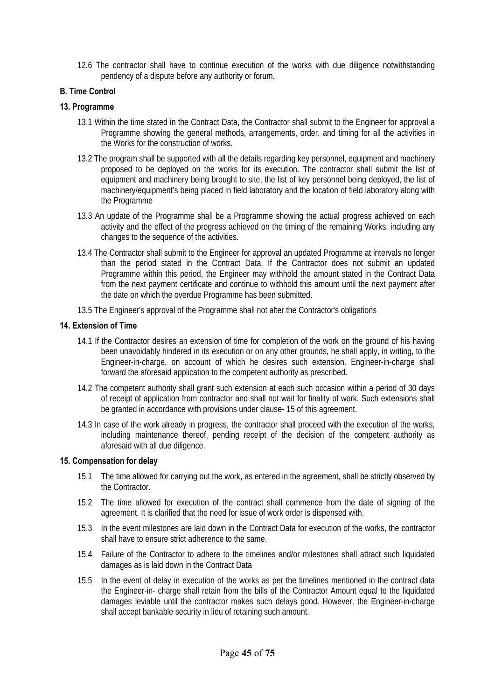12.6 The contractor shall have to continue execution of the works with due diligence notwithstanding pendency of a dispute before any authority or forum.

# **B. Time Control**

#### **13. Programme**

- 13.1 Within the time stated in the Contract Data, the Contractor shall submit to the Engineer for approval a Programme showing the general methods, arrangements, order, and timing for all the activities in the Works for the construction of works.
- 13.2 The program shall be supported with all the details regarding key personnel, equipment and machinery proposed to be deployed on the works for its execution. The contractor shall submit the list of equipment and machinery being brought to site, the list of key personnel being deployed, the list of machinery/equipment's being placed in field laboratory and the location of field laboratory along with the Programme
- 13.3 An update of the Programme shall be a Programme showing the actual progress achieved on each activity and the effect of the progress achieved on the timing of the remaining Works, including any changes to the sequence of the activities.
- 13.4 The Contractor shall submit to the Engineer for approval an updated Programme at intervals no longer than the period stated in the Contract Data. If the Contractor does not submit an updated Programme within this period, the Engineer may withhold the amount stated in the Contract Data from the next payment certificate and continue to withhold this amount until the next payment after the date on which the overdue Programme has been submitted.
- 13.5 The Engineer's approval of the Programme shall not alter the Contractor's obligations

#### **14. Extension of Time**

- 14.1 If the Contractor desires an extension of time for completion of the work on the ground of his having been unavoidably hindered in its execution or on any other grounds, he shall apply, in writing, to the Engineer-in-charge, on account of which he desires such extension. Engineer-in-charge shall forward the aforesaid application to the competent authority as prescribed.
- 14.2 The competent authority shall grant such extension at each such occasion within a period of 30 days of receipt of application from contractor and shall not wait for finality of work. Such extensions shall be granted in accordance with provisions under clause- 15 of this agreement.
- 14.3 In case of the work already in progress, the contractor shall proceed with the execution of the works, including maintenance thereof, pending receipt of the decision of the competent authority as aforesaid with all due diligence.

#### **15. Compensation for delay**

- 15.1 The time allowed for carrying out the work, as entered in the agreement, shall be strictly observed by the Contractor.
- 15.2 The time allowed for execution of the contract shall commence from the date of signing of the agreement. It is clarified that the need for issue of work order is dispensed with.
- 15.3 In the event milestones are laid down in the Contract Data for execution of the works, the contractor shall have to ensure strict adherence to the same.
- 15.4 Failure of the Contractor to adhere to the timelines and/or milestones shall attract such liquidated damages as is laid down in the Contract Data
- 15.5 In the event of delay in execution of the works as per the timelines mentioned in the contract data the Engineer-in- charge shall retain from the bills of the Contractor Amount equal to the liquidated damages leviable until the contractor makes such delays good. However, the Engineer-in-charge shall accept bankable security in lieu of retaining such amount.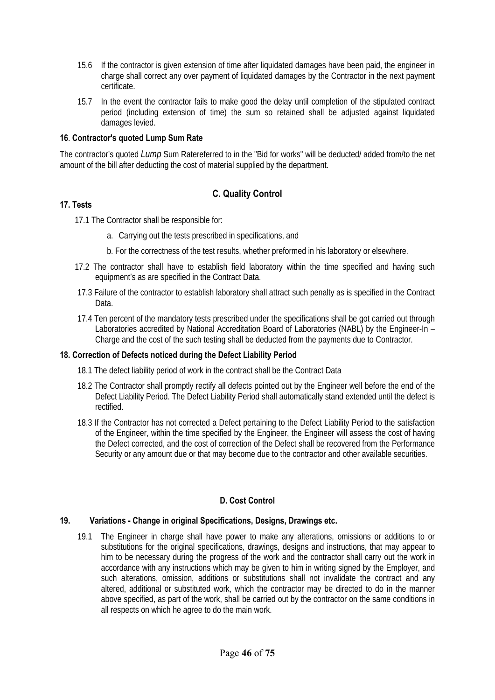- 15.6 If the contractor is given extension of time after liquidated damages have been paid, the engineer in charge shall correct any over payment of liquidated damages by the Contractor in the next payment certificate.
- 15.7 In the event the contractor fails to make good the delay until completion of the stipulated contract period (including extension of time) the sum so retained shall be adjusted against liquidated damages levied.

#### **16**. **Contractor's quoted Lump Sum Rate**

The contractor's quoted *Lump* Sum Ratereferred to in the "Bid for works" will be deducted/ added from/to the net amount of the bill after deducting the cost of material supplied by the department.

#### **C. Quality Control**

#### **17. Tests**

- 17.1 The Contractor shall be responsible for:
	- a. Carrying out the tests prescribed in specifications, and
	- b. For the correctness of the test results, whether preformed in his laboratory or elsewhere.
- 17.2 The contractor shall have to establish field laboratory within the time specified and having such equipment's as are specified in the Contract Data.
- 17.3 Failure of the contractor to establish laboratory shall attract such penalty as is specified in the Contract Data.
- 17.4 Ten percent of the mandatory tests prescribed under the specifications shall be got carried out through Laboratories accredited by National Accreditation Board of Laboratories (NABL) by the Engineer-In – Charge and the cost of the such testing shall be deducted from the payments due to Contractor.

#### **18. Correction of Defects noticed during the Defect Liability Period**

- 18.1 The defect liability period of work in the contract shall be the Contract Data
- 18.2 The Contractor shall promptly rectify all defects pointed out by the Engineer well before the end of the Defect Liability Period. The Defect Liability Period shall automatically stand extended until the defect is rectified.
- 18.3 If the Contractor has not corrected a Defect pertaining to the Defect Liability Period to the satisfaction of the Engineer, within the time specified by the Engineer, the Engineer will assess the cost of having the Defect corrected, and the cost of correction of the Defect shall be recovered from the Performance Security or any amount due or that may become due to the contractor and other available securities.

#### **D. Cost Control**

#### **19. Variations - Change in original Specifications, Designs, Drawings etc.**

19.1 The Engineer in charge shall have power to make any alterations, omissions or additions to or substitutions for the original specifications, drawings, designs and instructions, that may appear to him to be necessary during the progress of the work and the contractor shall carry out the work in accordance with any instructions which may be given to him in writing signed by the Employer, and such alterations, omission, additions or substitutions shall not invalidate the contract and any altered, additional or substituted work, which the contractor may be directed to do in the manner above specified, as part of the work, shall be carried out by the contractor on the same conditions in all respects on which he agree to do the main work.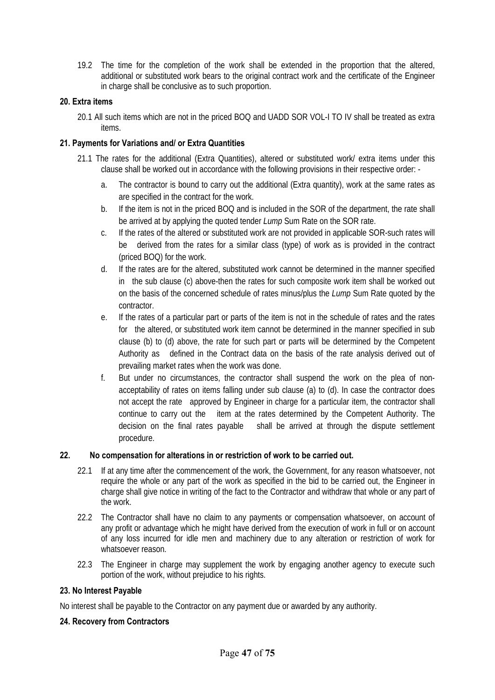19.2 The time for the completion of the work shall be extended in the proportion that the altered, additional or substituted work bears to the original contract work and the certificate of the Engineer in charge shall be conclusive as to such proportion.

#### **20. Extra items**

20.1 All such items which are not in the priced BOQ and UADD SOR VOL-I TO IV shall be treated as extra items.

#### **21. Payments for Variations and/ or Extra Quantities**

- 21.1 The rates for the additional (Extra Quantities), altered or substituted work/ extra items under this clause shall be worked out in accordance with the following provisions in their respective order:
	- a. The contractor is bound to carry out the additional (Extra quantity), work at the same rates as are specified in the contract for the work.
	- b. If the item is not in the priced BOQ and is included in the SOR of the department, the rate shall be arrived at by applying the quoted tender *Lump* Sum Rate on the SOR rate.
	- c. If the rates of the altered or substituted work are not provided in applicable SOR-such rates will be derived from the rates for a similar class (type) of work as is provided in the contract (priced BOQ) for the work.
	- d. If the rates are for the altered, substituted work cannot be determined in the manner specified in the sub clause (c) above-then the rates for such composite work item shall be worked out on the basis of the concerned schedule of rates minus/plus the *Lump* Sum Rate quoted by the contractor.
	- e. If the rates of a particular part or parts of the item is not in the schedule of rates and the rates for the altered, or substituted work item cannot be determined in the manner specified in sub clause (b) to (d) above, the rate for such part or parts will be determined by the Competent Authority as defined in the Contract data on the basis of the rate analysis derived out of prevailing market rates when the work was done.
	- f. But under no circumstances, the contractor shall suspend the work on the plea of nonacceptability of rates on items falling under sub clause (a) to (d). In case the contractor does not accept the rate approved by Engineer in charge for a particular item, the contractor shall continue to carry out the item at the rates determined by the Competent Authority. The decision on the final rates payable shall be arrived at through the dispute settlement procedure.

#### **22. No compensation for alterations in or restriction of work to be carried out.**

- 22.1 If at any time after the commencement of the work, the Government, for any reason whatsoever, not require the whole or any part of the work as specified in the bid to be carried out, the Engineer in charge shall give notice in writing of the fact to the Contractor and withdraw that whole or any part of the work.
- 22.2 The Contractor shall have no claim to any payments or compensation whatsoever, on account of any profit or advantage which he might have derived from the execution of work in full or on account of any loss incurred for idle men and machinery due to any alteration or restriction of work for whatsoever reason.
- 22.3 The Engineer in charge may supplement the work by engaging another agency to execute such portion of the work, without prejudice to his rights.

#### **23. No Interest Payable**

No interest shall be payable to the Contractor on any payment due or awarded by any authority.

#### **24. Recovery from Contractors**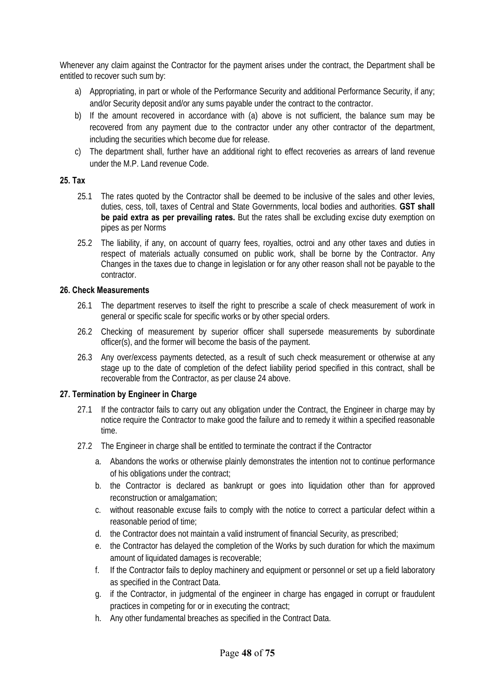Whenever any claim against the Contractor for the payment arises under the contract, the Department shall be entitled to recover such sum by:

- a) Appropriating, in part or whole of the Performance Security and additional Performance Security, if any; and/or Security deposit and/or any sums payable under the contract to the contractor.
- b) If the amount recovered in accordance with (a) above is not sufficient, the balance sum may be recovered from any payment due to the contractor under any other contractor of the department, including the securities which become due for release.
- c) The department shall, further have an additional right to effect recoveries as arrears of land revenue under the M.P. Land revenue Code.

#### **25. Tax**

- 25.1 The rates quoted by the Contractor shall be deemed to be inclusive of the sales and other levies, duties, cess, toll, taxes of Central and State Governments, local bodies and authorities. **GST shall be paid extra as per prevailing rates.** But the rates shall be excluding excise duty exemption on pipes as per Norms
- 25.2 The liability, if any, on account of quarry fees, royalties, octroi and any other taxes and duties in respect of materials actually consumed on public work, shall be borne by the Contractor. Any Changes in the taxes due to change in legislation or for any other reason shall not be payable to the contractor.

#### **26. Check Measurements**

- 26.1 The department reserves to itself the right to prescribe a scale of check measurement of work in general or specific scale for specific works or by other special orders.
- 26.2 Checking of measurement by superior officer shall supersede measurements by subordinate officer(s), and the former will become the basis of the payment.
- 26.3 Any over/excess payments detected, as a result of such check measurement or otherwise at any stage up to the date of completion of the defect liability period specified in this contract, shall be recoverable from the Contractor, as per clause 24 above.

#### **27. Termination by Engineer in Charge**

- 27.1 If the contractor fails to carry out any obligation under the Contract, the Engineer in charge may by notice require the Contractor to make good the failure and to remedy it within a specified reasonable time.
- 27.2 The Engineer in charge shall be entitled to terminate the contract if the Contractor
	- a. Abandons the works or otherwise plainly demonstrates the intention not to continue performance of his obligations under the contract;
	- b. the Contractor is declared as bankrupt or goes into liquidation other than for approved reconstruction or amalgamation;
	- c. without reasonable excuse fails to comply with the notice to correct a particular defect within a reasonable period of time;
	- d. the Contractor does not maintain a valid instrument of financial Security, as prescribed;
	- e. the Contractor has delayed the completion of the Works by such duration for which the maximum amount of liquidated damages is recoverable;
	- f. If the Contractor fails to deploy machinery and equipment or personnel or set up a field laboratory as specified in the Contract Data.
	- g. if the Contractor, in judgmental of the engineer in charge has engaged in corrupt or fraudulent practices in competing for or in executing the contract;
	- h. Any other fundamental breaches as specified in the Contract Data.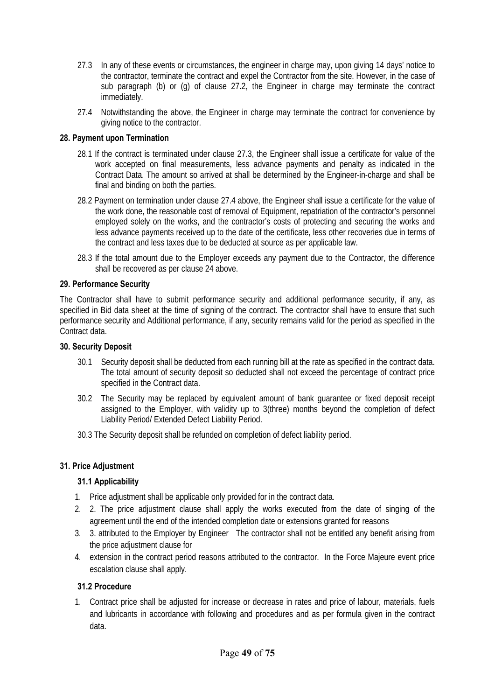- 27.3 In any of these events or circumstances, the engineer in charge may, upon giving 14 days' notice to the contractor, terminate the contract and expel the Contractor from the site. However, in the case of sub paragraph (b) or (g) of clause 27.2, the Engineer in charge may terminate the contract immediately.
- 27.4 Notwithstanding the above, the Engineer in charge may terminate the contract for convenience by giving notice to the contractor.

#### **28. Payment upon Termination**

- 28.1 If the contract is terminated under clause 27.3, the Engineer shall issue a certificate for value of the work accepted on final measurements, less advance payments and penalty as indicated in the Contract Data. The amount so arrived at shall be determined by the Engineer-in-charge and shall be final and binding on both the parties.
- 28.2 Payment on termination under clause 27.4 above, the Engineer shall issue a certificate for the value of the work done, the reasonable cost of removal of Equipment, repatriation of the contractor's personnel employed solely on the works, and the contractor's costs of protecting and securing the works and less advance payments received up to the date of the certificate, less other recoveries due in terms of the contract and less taxes due to be deducted at source as per applicable law.
- 28.3 If the total amount due to the Employer exceeds any payment due to the Contractor, the difference shall be recovered as per clause 24 above.

#### **29. Performance Security**

The Contractor shall have to submit performance security and additional performance security, if any, as specified in Bid data sheet at the time of signing of the contract. The contractor shall have to ensure that such performance security and Additional performance, if any, security remains valid for the period as specified in the Contract data.

#### **30. Security Deposit**

- 30.1 Security deposit shall be deducted from each running bill at the rate as specified in the contract data. The total amount of security deposit so deducted shall not exceed the percentage of contract price specified in the Contract data.
- 30.2 The Security may be replaced by equivalent amount of bank guarantee or fixed deposit receipt assigned to the Employer, with validity up to 3(three) months beyond the completion of defect Liability Period/ Extended Defect Liability Period.
- 30.3 The Security deposit shall be refunded on completion of defect liability period.

#### **31. Price Adjustment**

#### **31.1 Applicability**

- 1. Price adjustment shall be applicable only provided for in the contract data.
- 2. 2. The price adjustment clause shall apply the works executed from the date of singing of the agreement until the end of the intended completion date or extensions granted for reasons
- 3. 3. attributed to the Employer by Engineer The contractor shall not be entitled any benefit arising from the price adjustment clause for
- 4. extension in the contract period reasons attributed to the contractor. In the Force Majeure event price escalation clause shall apply.

#### **31.2 Procedure**

1. Contract price shall be adjusted for increase or decrease in rates and price of labour, materials, fuels and lubricants in accordance with following and procedures and as per formula given in the contract data.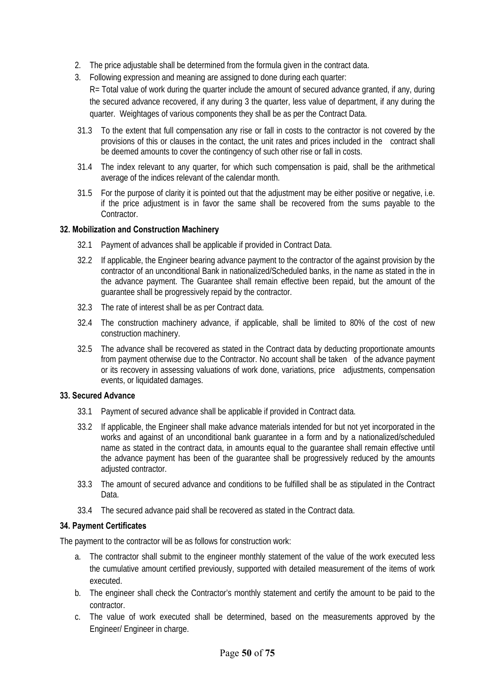- 2. The price adjustable shall be determined from the formula given in the contract data.
- 3. Following expression and meaning are assigned to done during each quarter:

R= Total value of work during the quarter include the amount of secured advance granted, if any, during the secured advance recovered, if any during 3 the quarter, less value of department, if any during the quarter. Weightages of various components they shall be as per the Contract Data.

- 31.3 To the extent that full compensation any rise or fall in costs to the contractor is not covered by the provisions of this or clauses in the contact, the unit rates and prices included in the contract shall be deemed amounts to cover the contingency of such other rise or fall in costs.
- 31.4 The index relevant to any quarter, for which such compensation is paid, shall be the arithmetical average of the indices relevant of the calendar month.
- 31.5 For the purpose of clarity it is pointed out that the adjustment may be either positive or negative, i.e. if the price adjustment is in favor the same shall be recovered from the sums payable to the Contractor.

#### **32. Mobilization and Construction Machinery**

- 32.1 Payment of advances shall be applicable if provided in Contract Data.
- 32.2 If applicable, the Engineer bearing advance payment to the contractor of the against provision by the contractor of an unconditional Bank in nationalized/Scheduled banks, in the name as stated in the in the advance payment. The Guarantee shall remain effective been repaid, but the amount of the guarantee shall be progressively repaid by the contractor.
- 32.3 The rate of interest shall be as per Contract data.
- 32.4 The construction machinery advance, if applicable, shall be limited to 80% of the cost of new construction machinery.
- 32.5 The advance shall be recovered as stated in the Contract data by deducting proportionate amounts from payment otherwise due to the Contractor. No account shall be taken of the advance payment or its recovery in assessing valuations of work done, variations, price adjustments, compensation events, or liquidated damages.

#### **33. Secured Advance**

- 33.1 Payment of secured advance shall be applicable if provided in Contract data.
- 33.2 If applicable, the Engineer shall make advance materials intended for but not yet incorporated in the works and against of an unconditional bank guarantee in a form and by a nationalized/scheduled name as stated in the contract data, in amounts equal to the guarantee shall remain effective until the advance payment has been of the guarantee shall be progressively reduced by the amounts adjusted contractor.
- 33.3 The amount of secured advance and conditions to be fulfilled shall be as stipulated in the Contract Data.
- 33.4 The secured advance paid shall be recovered as stated in the Contract data.

#### **34. Payment Certificates**

The payment to the contractor will be as follows for construction work:

- a. The contractor shall submit to the engineer monthly statement of the value of the work executed less the cumulative amount certified previously, supported with detailed measurement of the items of work executed.
- b. The engineer shall check the Contractor's monthly statement and certify the amount to be paid to the contractor.
- c. The value of work executed shall be determined, based on the measurements approved by the Engineer/ Engineer in charge.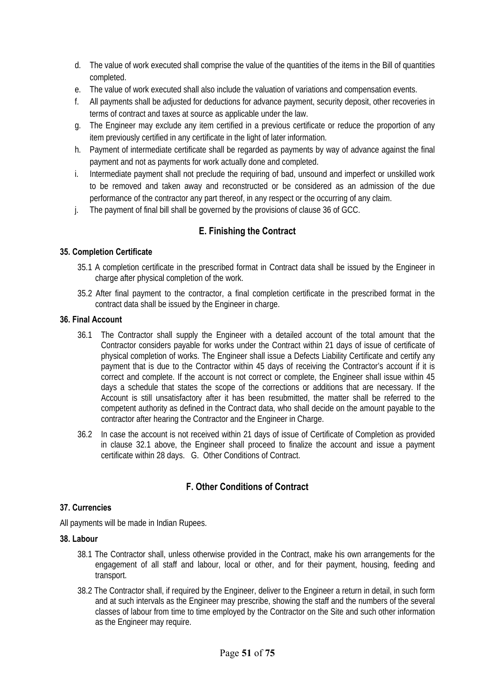- d. The value of work executed shall comprise the value of the quantities of the items in the Bill of quantities completed.
- e. The value of work executed shall also include the valuation of variations and compensation events.
- f. All payments shall be adjusted for deductions for advance payment, security deposit, other recoveries in terms of contract and taxes at source as applicable under the law.
- g. The Engineer may exclude any item certified in a previous certificate or reduce the proportion of any item previously certified in any certificate in the light of later information.
- h. Payment of intermediate certificate shall be regarded as payments by way of advance against the final payment and not as payments for work actually done and completed.
- i. Intermediate payment shall not preclude the requiring of bad, unsound and imperfect or unskilled work to be removed and taken away and reconstructed or be considered as an admission of the due performance of the contractor any part thereof, in any respect or the occurring of any claim.
- j. The payment of final bill shall be governed by the provisions of clause 36 of GCC.

## **E. Finishing the Contract**

#### **35. Completion Certificate**

- 35.1 A completion certificate in the prescribed format in Contract data shall be issued by the Engineer in charge after physical completion of the work.
- 35.2 After final payment to the contractor, a final completion certificate in the prescribed format in the contract data shall be issued by the Engineer in charge.

#### **36. Final Account**

- 36.1 The Contractor shall supply the Engineer with a detailed account of the total amount that the Contractor considers payable for works under the Contract within 21 days of issue of certificate of physical completion of works. The Engineer shall issue a Defects Liability Certificate and certify any payment that is due to the Contractor within 45 days of receiving the Contractor's account if it is correct and complete. If the account is not correct or complete, the Engineer shall issue within 45 days a schedule that states the scope of the corrections or additions that are necessary. If the Account is still unsatisfactory after it has been resubmitted, the matter shall be referred to the competent authority as defined in the Contract data, who shall decide on the amount payable to the contractor after hearing the Contractor and the Engineer in Charge.
- 36.2 In case the account is not received within 21 days of issue of Certificate of Completion as provided in clause 32.1 above, the Engineer shall proceed to finalize the account and issue a payment certificate within 28 days. G. Other Conditions of Contract.

## **F. Other Conditions of Contract**

#### **37. Currencies**

All payments will be made in Indian Rupees.

#### **38. Labour**

- 38.1 The Contractor shall, unless otherwise provided in the Contract, make his own arrangements for the engagement of all staff and labour, local or other, and for their payment, housing, feeding and transport.
- 38.2 The Contractor shall, if required by the Engineer, deliver to the Engineer a return in detail, in such form and at such intervals as the Engineer may prescribe, showing the staff and the numbers of the several classes of labour from time to time employed by the Contractor on the Site and such other information as the Engineer may require.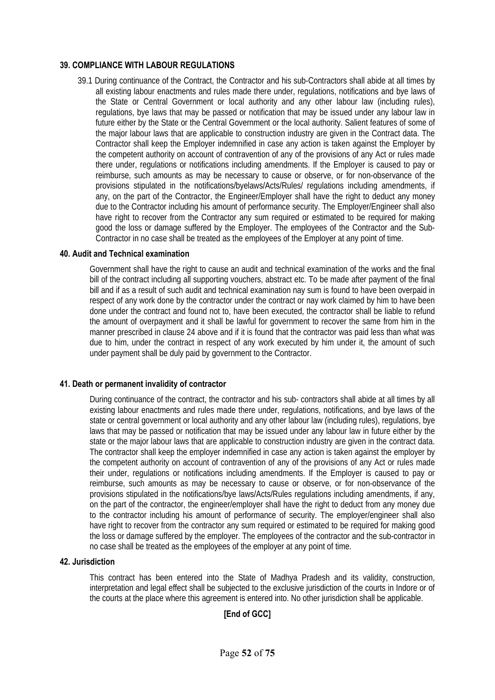#### **39. COMPLIANCE WITH LABOUR REGULATIONS**

39.1 During continuance of the Contract, the Contractor and his sub-Contractors shall abide at all times by all existing labour enactments and rules made there under, regulations, notifications and bye laws of the State or Central Government or local authority and any other labour law (including rules), regulations, bye laws that may be passed or notification that may be issued under any labour law in future either by the State or the Central Government or the local authority. Salient features of some of the major labour laws that are applicable to construction industry are given in the Contract data. The Contractor shall keep the Employer indemnified in case any action is taken against the Employer by the competent authority on account of contravention of any of the provisions of any Act or rules made there under, regulations or notifications including amendments. If the Employer is caused to pay or reimburse, such amounts as may be necessary to cause or observe, or for non-observance of the provisions stipulated in the notifications/byelaws/Acts/Rules/ regulations including amendments, if any, on the part of the Contractor, the Engineer/Employer shall have the right to deduct any money due to the Contractor including his amount of performance security. The Employer/Engineer shall also have right to recover from the Contractor any sum required or estimated to be required for making good the loss or damage suffered by the Employer. The employees of the Contractor and the Sub-Contractor in no case shall be treated as the employees of the Employer at any point of time.

#### **40. Audit and Technical examination**

Government shall have the right to cause an audit and technical examination of the works and the final bill of the contract including all supporting vouchers, abstract etc. To be made after payment of the final bill and if as a result of such audit and technical examination nay sum is found to have been overpaid in respect of any work done by the contractor under the contract or nay work claimed by him to have been done under the contract and found not to, have been executed, the contractor shall be liable to refund the amount of overpayment and it shall be lawful for government to recover the same from him in the manner prescribed in clause 24 above and if it is found that the contractor was paid less than what was due to him, under the contract in respect of any work executed by him under it, the amount of such under payment shall be duly paid by government to the Contractor.

#### **41. Death or permanent invalidity of contractor**

During continuance of the contract, the contractor and his sub- contractors shall abide at all times by all existing labour enactments and rules made there under, regulations, notifications, and bye laws of the state or central government or local authority and any other labour law (including rules), regulations, bye laws that may be passed or notification that may be issued under any labour law in future either by the state or the major labour laws that are applicable to construction industry are given in the contract data. The contractor shall keep the employer indemnified in case any action is taken against the employer by the competent authority on account of contravention of any of the provisions of any Act or rules made their under, regulations or notifications including amendments. If the Employer is caused to pay or reimburse, such amounts as may be necessary to cause or observe, or for non-observance of the provisions stipulated in the notifications/bye laws/Acts/Rules regulations including amendments, if any, on the part of the contractor, the engineer/employer shall have the right to deduct from any money due to the contractor including his amount of performance of security. The employer/engineer shall also have right to recover from the contractor any sum required or estimated to be required for making good the loss or damage suffered by the employer. The employees of the contractor and the sub-contractor in no case shall be treated as the employees of the employer at any point of time.

#### **42. Jurisdiction**

This contract has been entered into the State of Madhya Pradesh and its validity, construction, interpretation and legal effect shall be subjected to the exclusive jurisdiction of the courts in Indore or of the courts at the place where this agreement is entered into. No other jurisdiction shall be applicable.

### **[End of GCC]**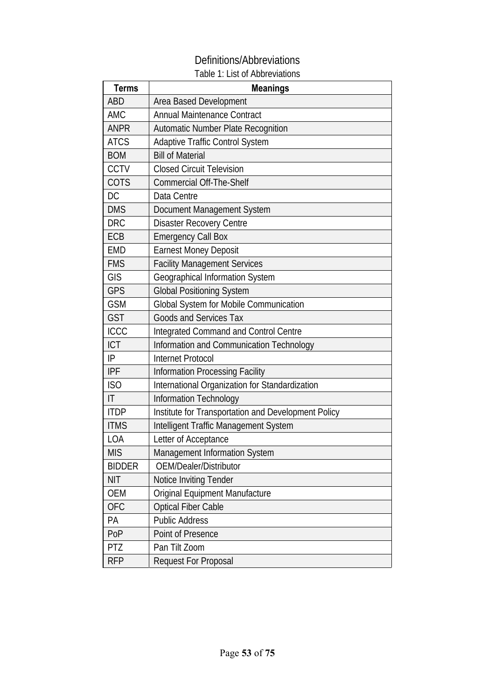# Definitions/Abbreviations

# Table 1: List of Abbreviations

| <b>Terms</b>           | <b>Meanings</b>                                     |
|------------------------|-----------------------------------------------------|
| ABD                    | Area Based Development                              |
| <b>AMC</b>             | <b>Annual Maintenance Contract</b>                  |
| <b>ANPR</b>            | Automatic Number Plate Recognition                  |
| <b>ATCS</b>            | Adaptive Traffic Control System                     |
| <b>BOM</b>             | <b>Bill of Material</b>                             |
| CCTV                   | <b>Closed Circuit Television</b>                    |
| COTS                   | <b>Commercial Off-The-Shelf</b>                     |
| DC                     | Data Centre                                         |
| <b>DMS</b>             | Document Management System                          |
| <b>DRC</b>             | <b>Disaster Recovery Centre</b>                     |
| ECB                    | <b>Emergency Call Box</b>                           |
| <b>EMD</b>             | <b>Earnest Money Deposit</b>                        |
| <b>FMS</b>             | <b>Facility Management Services</b>                 |
| GIS                    | Geographical Information System                     |
| <b>GPS</b>             | <b>Global Positioning System</b>                    |
| <b>GSM</b>             | Global System for Mobile Communication              |
| <b>GST</b>             | <b>Goods and Services Tax</b>                       |
| <b>ICCC</b>            | Integrated Command and Control Centre               |
| <b>ICT</b>             | Information and Communication Technology            |
| IP                     | <b>Internet Protocol</b>                            |
| <b>IPF</b>             | Information Processing Facility                     |
| ISO                    | International Organization for Standardization      |
| $\mathsf{I}\mathsf{T}$ | Information Technology                              |
| <b>ITDP</b>            | Institute for Transportation and Development Policy |
| <b>ITMS</b>            | Intelligent Traffic Management System               |
| LOA                    | Letter of Acceptance                                |
| <b>MIS</b>             | Management Information System                       |
| <b>BIDDER</b>          | OEM/Dealer/Distributor                              |
| <b>NIT</b>             | Notice Inviting Tender                              |
| OEM                    | Original Equipment Manufacture                      |
| <b>OFC</b>             | <b>Optical Fiber Cable</b>                          |
| PA                     | <b>Public Address</b>                               |
| PoP                    | Point of Presence                                   |
| <b>PTZ</b>             | Pan Tilt Zoom                                       |
| <b>RFP</b>             | <b>Request For Proposal</b>                         |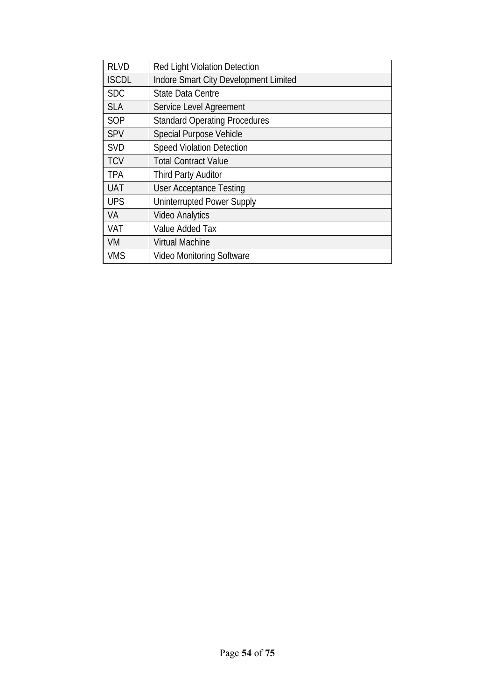| <b>RLVD</b>  | <b>Red Light Violation Detection</b>  |
|--------------|---------------------------------------|
| <b>ISCDL</b> | Indore Smart City Development Limited |
| <b>SDC</b>   | <b>State Data Centre</b>              |
| <b>SLA</b>   | Service Level Agreement               |
| SOP          | <b>Standard Operating Procedures</b>  |
| SPV          | <b>Special Purpose Vehicle</b>        |
| <b>SVD</b>   | <b>Speed Violation Detection</b>      |
| <b>TCV</b>   | <b>Total Contract Value</b>           |
| <b>TPA</b>   | <b>Third Party Auditor</b>            |
| <b>UAT</b>   | <b>User Acceptance Testing</b>        |
| <b>UPS</b>   | <b>Uninterrupted Power Supply</b>     |
| VA           | <b>Video Analytics</b>                |
| <b>VAT</b>   | Value Added Tax                       |
| <b>VM</b>    | <b>Virtual Machine</b>                |
| <b>VMS</b>   | <b>Video Monitoring Software</b>      |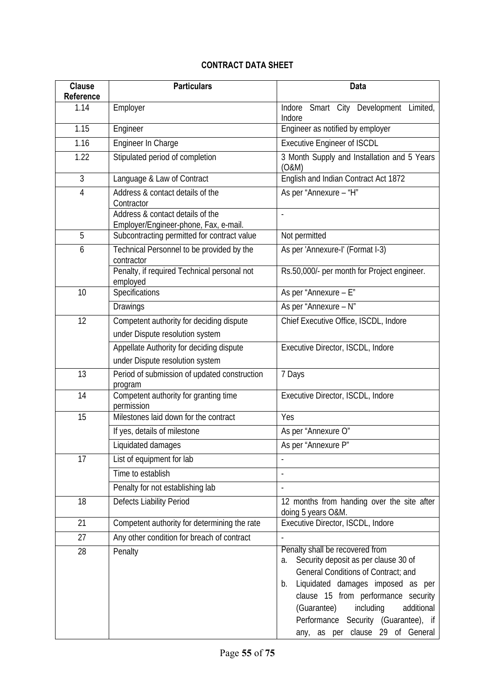# **CONTRACT DATA SHEET**

| <b>Clause</b><br>Reference | <b>Particulars</b>                                                                   | Data                                                                                                                                                                                                                                                                                                                         |
|----------------------------|--------------------------------------------------------------------------------------|------------------------------------------------------------------------------------------------------------------------------------------------------------------------------------------------------------------------------------------------------------------------------------------------------------------------------|
| 1.14                       | Employer                                                                             | Smart City Development Limited,<br>Indore<br>Indore                                                                                                                                                                                                                                                                          |
| 1.15                       | Engineer                                                                             | Engineer as notified by employer                                                                                                                                                                                                                                                                                             |
| 1.16                       | Engineer In Charge                                                                   | <b>Executive Engineer of ISCDL</b>                                                                                                                                                                                                                                                                                           |
| 1.22                       | Stipulated period of completion                                                      | 3 Month Supply and Installation and 5 Years<br>(0&M)                                                                                                                                                                                                                                                                         |
| $\mathfrak{Z}$             | Language & Law of Contract                                                           | English and Indian Contract Act 1872                                                                                                                                                                                                                                                                                         |
| $\overline{4}$             | Address & contact details of the<br>Contractor                                       | As per "Annexure - "H"                                                                                                                                                                                                                                                                                                       |
|                            | Address & contact details of the                                                     |                                                                                                                                                                                                                                                                                                                              |
| 5                          | Employer/Engineer-phone, Fax, e-mail.<br>Subcontracting permitted for contract value | Not permitted                                                                                                                                                                                                                                                                                                                |
| 6                          | Technical Personnel to be provided by the                                            | As per 'Annexure-I' (Format I-3)                                                                                                                                                                                                                                                                                             |
|                            | contractor                                                                           |                                                                                                                                                                                                                                                                                                                              |
|                            | Penalty, if required Technical personal not<br>employed                              | Rs.50,000/- per month for Project engineer.                                                                                                                                                                                                                                                                                  |
| 10                         | Specifications                                                                       | As per "Annexure - E"                                                                                                                                                                                                                                                                                                        |
|                            | Drawings                                                                             | As per "Annexure - N"                                                                                                                                                                                                                                                                                                        |
| 12                         | Competent authority for deciding dispute                                             | Chief Executive Office, ISCDL, Indore                                                                                                                                                                                                                                                                                        |
|                            | under Dispute resolution system                                                      |                                                                                                                                                                                                                                                                                                                              |
|                            | Appellate Authority for deciding dispute                                             | Executive Director, ISCDL, Indore                                                                                                                                                                                                                                                                                            |
|                            | under Dispute resolution system                                                      |                                                                                                                                                                                                                                                                                                                              |
| 13                         | Period of submission of updated construction<br>program                              | 7 Days                                                                                                                                                                                                                                                                                                                       |
| 14                         | Competent authority for granting time<br>permission                                  | Executive Director, ISCDL, Indore                                                                                                                                                                                                                                                                                            |
| 15                         | Milestones laid down for the contract                                                | Yes                                                                                                                                                                                                                                                                                                                          |
|                            | If yes, details of milestone                                                         | As per "Annexure O"                                                                                                                                                                                                                                                                                                          |
|                            | Liquidated damages                                                                   | As per "Annexure P"                                                                                                                                                                                                                                                                                                          |
| 17                         | List of equipment for lab                                                            |                                                                                                                                                                                                                                                                                                                              |
|                            | Time to establish                                                                    | $\overline{a}$                                                                                                                                                                                                                                                                                                               |
|                            | Penalty for not establishing lab                                                     | $\overline{a}$                                                                                                                                                                                                                                                                                                               |
| 18                         | Defects Liability Period                                                             | 12 months from handing over the site after<br>doing 5 years O&M.                                                                                                                                                                                                                                                             |
| 21                         | Competent authority for determining the rate                                         | Executive Director, ISCDL, Indore                                                                                                                                                                                                                                                                                            |
| 27                         | Any other condition for breach of contract                                           |                                                                                                                                                                                                                                                                                                                              |
| 28                         | Penalty                                                                              | Penalty shall be recovered from<br>Security deposit as per clause 30 of<br>a.<br>General Conditions of Contract; and<br>Liquidated damages imposed as per<br>b.<br>clause 15 from performance security<br>(Guarantee)<br>including<br>additional<br>Performance Security (Guarantee), if<br>any, as per clause 29 of General |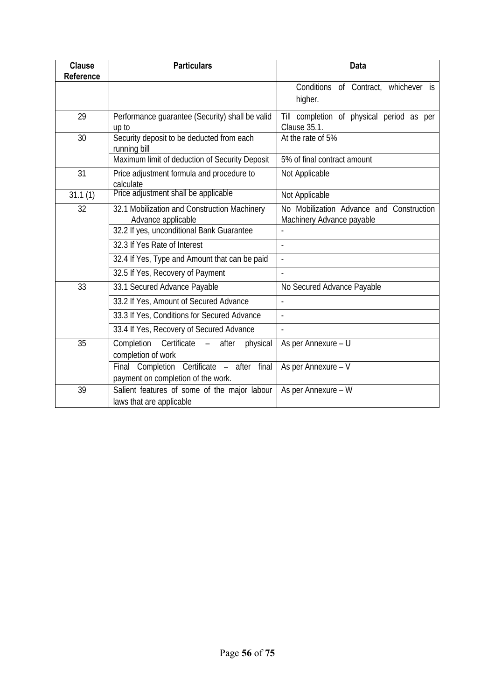| <b>Clause</b><br>Reference | <b>Particulars</b>                                                               | <b>Data</b>                                                           |  |
|----------------------------|----------------------------------------------------------------------------------|-----------------------------------------------------------------------|--|
|                            |                                                                                  | Conditions of Contract, whichever is<br>higher.                       |  |
| 29                         | Performance guarantee (Security) shall be valid<br>up to                         | Till completion of physical period as per<br><b>Clause 35.1.</b>      |  |
| 30                         | Security deposit to be deducted from each<br>running bill                        | At the rate of 5%                                                     |  |
|                            | Maximum limit of deduction of Security Deposit                                   | 5% of final contract amount                                           |  |
| $\overline{31}$            | Price adjustment formula and procedure to<br>calculate                           | Not Applicable                                                        |  |
| 31.1(1)                    | Price adjustment shall be applicable                                             | Not Applicable                                                        |  |
| 32                         | 32.1 Mobilization and Construction Machinery<br>Advance applicable               | No Mobilization Advance and Construction<br>Machinery Advance payable |  |
|                            | 32.2 If yes, unconditional Bank Guarantee                                        |                                                                       |  |
|                            | 32.3 If Yes Rate of Interest                                                     |                                                                       |  |
|                            | 32.4 If Yes, Type and Amount that can be paid                                    | $\overline{\phantom{a}}$                                              |  |
|                            | 32.5 If Yes, Recovery of Payment                                                 |                                                                       |  |
| 33                         | 33.1 Secured Advance Payable                                                     | No Secured Advance Payable                                            |  |
|                            | 33.2 If Yes, Amount of Secured Advance                                           | $\overline{a}$                                                        |  |
|                            | 33.3 If Yes, Conditions for Secured Advance                                      | $\overline{a}$                                                        |  |
|                            | 33.4 If Yes, Recovery of Secured Advance                                         | $\overline{a}$                                                        |  |
| 35                         | Completion<br>Certificate<br>after<br>physical<br>$\equiv$<br>completion of work | As per Annexure - U                                                   |  |
|                            | Final Completion Certificate - after final<br>payment on completion of the work. | As per Annexure - V                                                   |  |
| 39                         | Salient features of some of the major labour<br>laws that are applicable         | As per Annexure - W                                                   |  |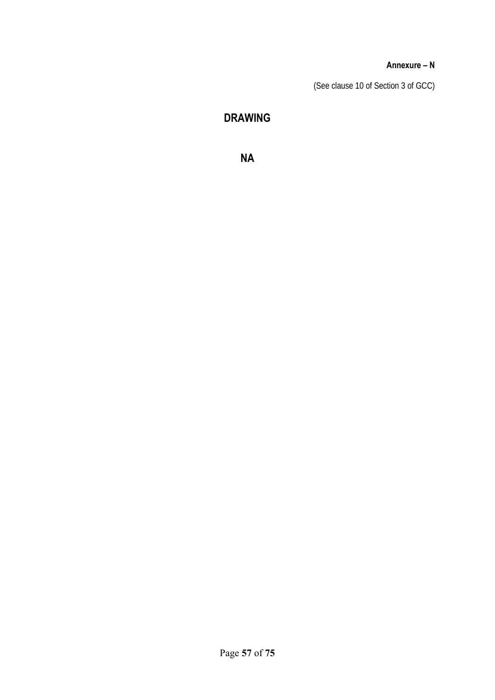#### **Annexure – N**

(See clause 10 of Section 3 of GCC)

# **DRAWING**

**NA**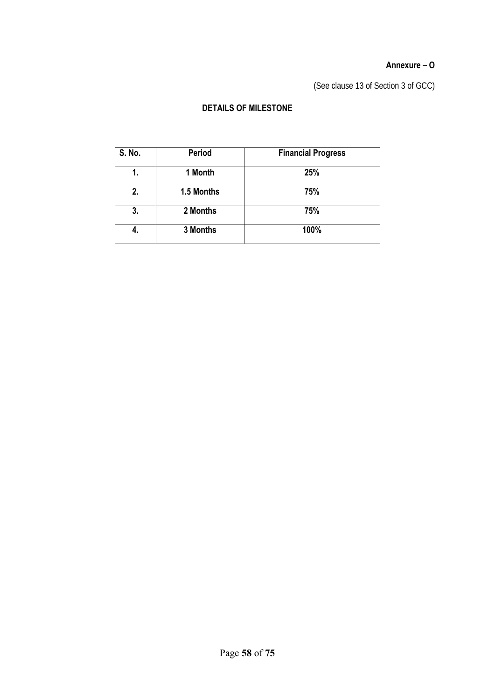### **Annexure – O**

(See clause 13 of Section 3 of GCC)

# **DETAILS OF MILESTONE**

| S. No. | Period     | <b>Financial Progress</b> |
|--------|------------|---------------------------|
| 1.     | 1 Month    | 25%                       |
| 2.     | 1.5 Months | 75%                       |
| 3.     | 2 Months   | 75%                       |
| 4.     | 3 Months   | 100%                      |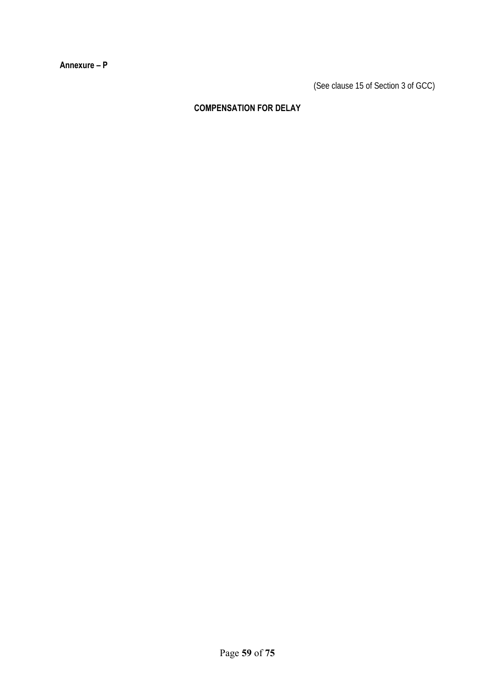**Annexure – P** 

(See clause 15 of Section 3 of GCC)

# **COMPENSATION FOR DELAY**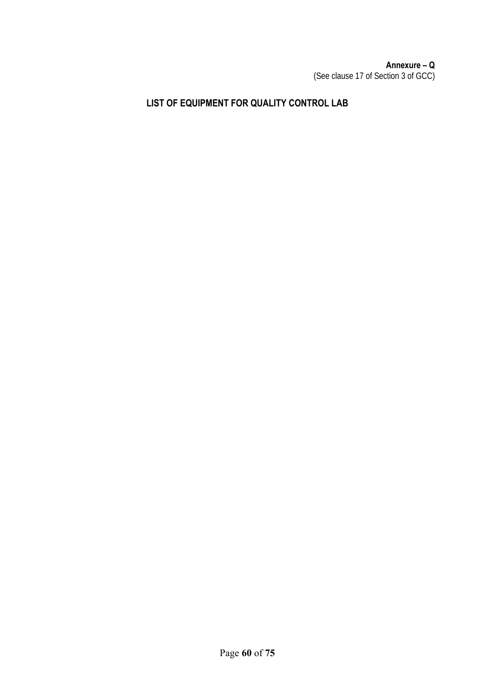### **Annexure – Q**  (See clause 17 of Section 3 of GCC)

# **LIST OF EQUIPMENT FOR QUALITY CONTROL LAB**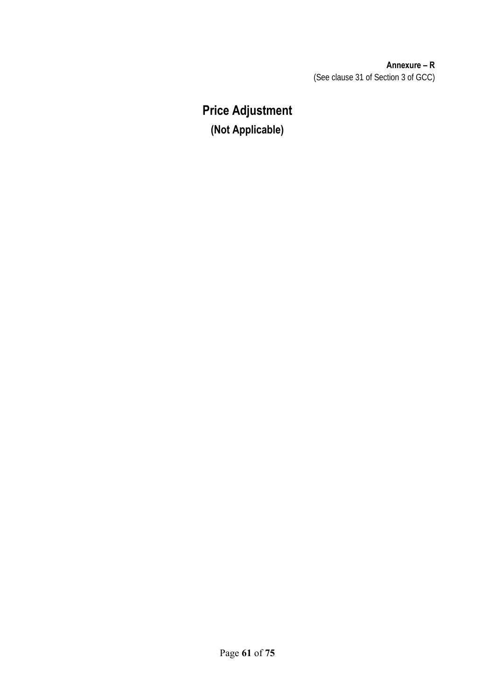**Annexure – R**  (See clause 31 of Section 3 of GCC)

# **Price Adjustment (Not Applicable)**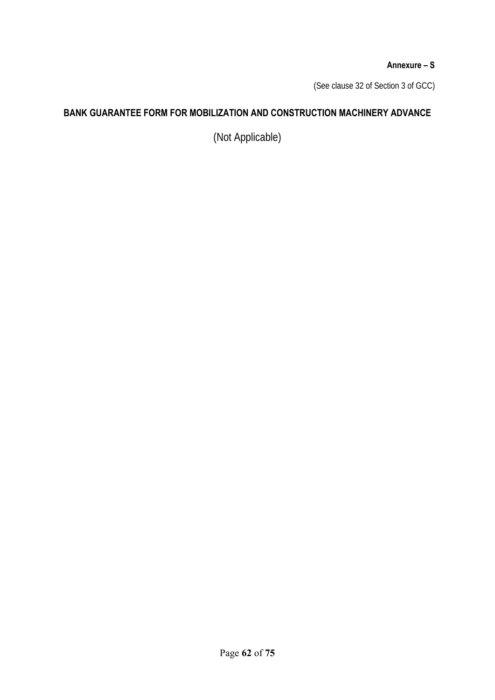### **Annexure – S**

(See clause 32 of Section 3 of GCC)

# **BANK GUARANTEE FORM FOR MOBILIZATION AND CONSTRUCTION MACHINERY ADVANCE**

(Not Applicable)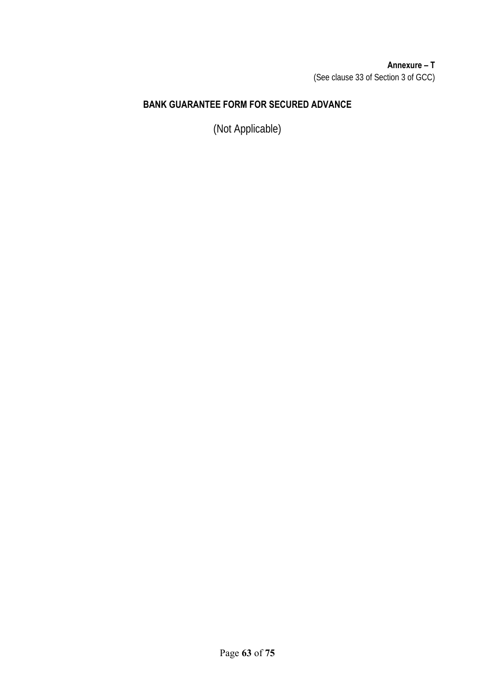## **Annexure – T**  (See clause 33 of Section 3 of GCC)

# **BANK GUARANTEE FORM FOR SECURED ADVANCE**

(Not Applicable)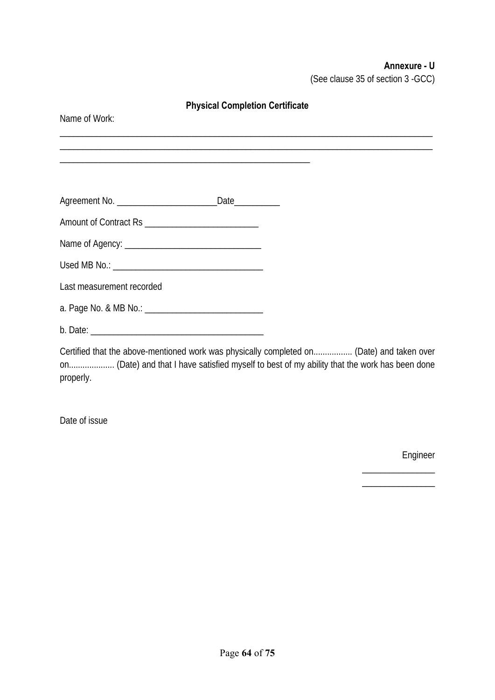# **Annexure - U**

(See clause 35 of section 3 -GCC)

| <b>Physical Completion Certificate</b> |  |  |  |  |
|----------------------------------------|--|--|--|--|
| Name of Work:                          |  |  |  |  |
|                                        |  |  |  |  |
|                                        |  |  |  |  |
|                                        |  |  |  |  |
|                                        |  |  |  |  |
|                                        |  |  |  |  |
|                                        |  |  |  |  |
|                                        |  |  |  |  |
| Last measurement recorded              |  |  |  |  |
|                                        |  |  |  |  |
|                                        |  |  |  |  |
|                                        |  |  |  |  |

Certified that the above-mentioned work was physically completed on................. (Date) and taken over on.................... (Date) and that I have satisfied myself to best of my ability that the work has been done properly.

Date of issue

Engineer

\_\_\_\_\_\_\_\_\_\_\_\_\_\_\_\_ \_\_\_\_\_\_\_\_\_\_\_\_\_\_\_\_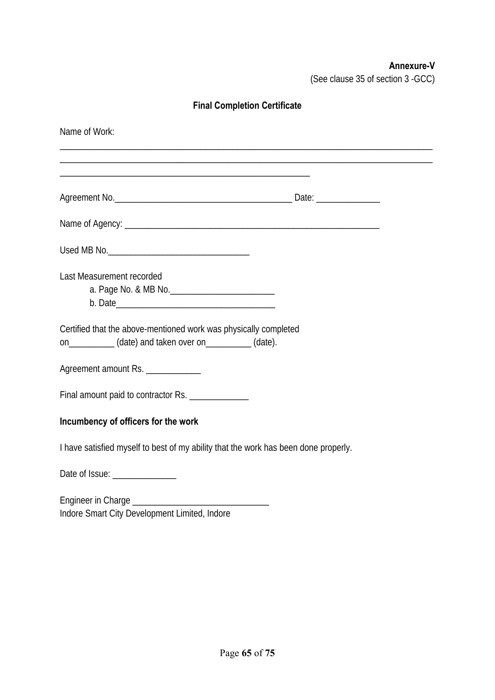# **Annexure-V**

(See clause 35 of section 3 -GCC)

# **Final Completion Certificate**

| Name of Work:                                                                       |  |
|-------------------------------------------------------------------------------------|--|
|                                                                                     |  |
|                                                                                     |  |
|                                                                                     |  |
|                                                                                     |  |
| Last Measurement recorded                                                           |  |
| Certified that the above-mentioned work was physically completed                    |  |
| on_____________ (date) and taken over on___________ (date).                         |  |
| Agreement amount Rs. _____________                                                  |  |
| Final amount paid to contractor Rs. ______________                                  |  |
| Incumbency of officers for the work                                                 |  |
| I have satisfied myself to best of my ability that the work has been done properly. |  |
| Date of Issue: ________________                                                     |  |
|                                                                                     |  |
| Indore Smart City Development Limited, Indore                                       |  |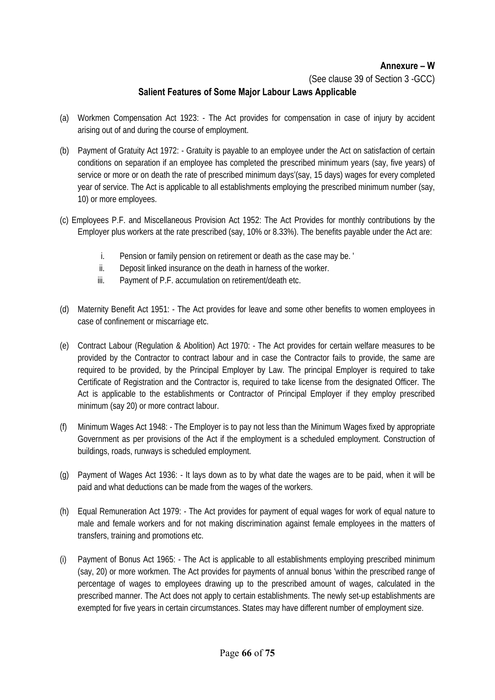### **Annexure – W**

(See clause 39 of Section 3 -GCC)

## **Salient Features of Some Major Labour Laws Applicable**

- (a) Workmen Compensation Act 1923: The Act provides for compensation in case of injury by accident arising out of and during the course of employment.
- (b) Payment of Gratuity Act 1972: Gratuity is payable to an employee under the Act on satisfaction of certain conditions on separation if an employee has completed the prescribed minimum years (say, five years) of service or more or on death the rate of prescribed minimum days'(say, 15 days) wages for every completed year of service. The Act is applicable to all establishments employing the prescribed minimum number (say, 10) or more employees.
- (c) Employees P.F. and Miscellaneous Provision Act 1952: The Act Provides for monthly contributions by the Employer plus workers at the rate prescribed (say, 10% or 8.33%). The benefits payable under the Act are:
	- i. Pension or family pension on retirement or death as the case may be. '
	- ii. Deposit linked insurance on the death in harness of the worker.
	- iii. Payment of P.F. accumulation on retirement/death etc.
- (d) Maternity Benefit Act 1951: The Act provides for leave and some other benefits to women employees in case of confinement or miscarriage etc.
- (e) Contract Labour (Regulation & Abolition) Act 1970: The Act provides for certain welfare measures to be provided by the Contractor to contract labour and in case the Contractor fails to provide, the same are required to be provided, by the Principal Employer by Law. The principal Employer is required to take Certificate of Registration and the Contractor is, required to take license from the designated Officer. The Act is applicable to the establishments or Contractor of Principal Employer if they employ prescribed minimum (say 20) or more contract labour.
- (f) Minimum Wages Act 1948: The Employer is to pay not less than the Minimum Wages fixed by appropriate Government as per provisions of the Act if the employment is a scheduled employment. Construction of buildings, roads, runways is scheduled employment.
- (g) Payment of Wages Act 1936: It lays down as to by what date the wages are to be paid, when it will be paid and what deductions can be made from the wages of the workers.
- (h) Equal Remuneration Act 1979: The Act provides for payment of equal wages for work of equal nature to male and female workers and for not making discrimination against female employees in the matters of transfers, training and promotions etc.
- (i) Payment of Bonus Act 1965: The Act is applicable to all establishments employing prescribed minimum (say, 20) or more workmen. The Act provides for payments of annual bonus 'within the prescribed range of percentage of wages to employees drawing up to the prescribed amount of wages, calculated in the prescribed manner. The Act does not apply to certain establishments. The newly set-up establishments are exempted for five years in certain circumstances. States may have different number of employment size.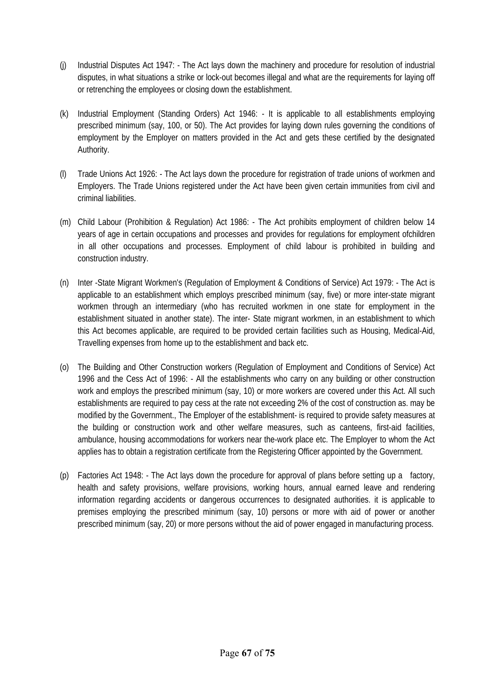- (j) Industrial Disputes Act 1947: The Act lays down the machinery and procedure for resolution of industrial disputes, in what situations a strike or lock-out becomes illegal and what are the requirements for laying off or retrenching the employees or closing down the establishment.
- (k) Industrial Employment (Standing Orders) Act 1946: It is applicable to all establishments employing prescribed minimum (say, 100, or 50). The Act provides for laying down rules governing the conditions of employment by the Employer on matters provided in the Act and gets these certified by the designated Authority.
- (l) Trade Unions Act 1926: The Act lays down the procedure for registration of trade unions of workmen and Employers. The Trade Unions registered under the Act have been given certain immunities from civil and criminal liabilities.
- (m) Child Labour (Prohibition & Regulation) Act 1986: The Act prohibits employment of children below 14 years of age in certain occupations and processes and provides for regulations for employment ofchildren in all other occupations and processes. Employment of child labour is prohibited in building and construction industry.
- (n) Inter -State Migrant Workmen's (Regulation of Employment & Conditions of Service) Act 1979: The Act is applicable to an establishment which employs prescribed minimum (say, five) or more inter-state migrant workmen through an intermediary (who has recruited workmen in one state for employment in the establishment situated in another state). The inter- State migrant workmen, in an establishment to which this Act becomes applicable, are required to be provided certain facilities such as Housing, Medical-Aid, Travelling expenses from home up to the establishment and back etc.
- (o) The Building and Other Construction workers (Regulation of Employment and Conditions of Service) Act 1996 and the Cess Act of 1996: - All the establishments who carry on any building or other construction work and employs the prescribed minimum (say, 10) or more workers are covered under this Act. All such establishments are required to pay cess at the rate not exceeding 2% of the cost of construction as. may be modified by the Government., The Employer of the establishment- is required to provide safety measures at the building or construction work and other welfare measures, such as canteens, first-aid facilities, ambulance, housing accommodations for workers near the-work place etc. The Employer to whom the Act applies has to obtain a registration certificate from the Registering Officer appointed by the Government.
- (p) Factories Act 1948: The Act lays down the procedure for approval of plans before setting up a factory, health and safety provisions, welfare provisions, working hours, annual earned leave and rendering information regarding accidents or dangerous occurrences to designated authorities. it is applicable to premises employing the prescribed minimum (say, 10) persons or more with aid of power or another prescribed minimum (say, 20) or more persons without the aid of power engaged in manufacturing process.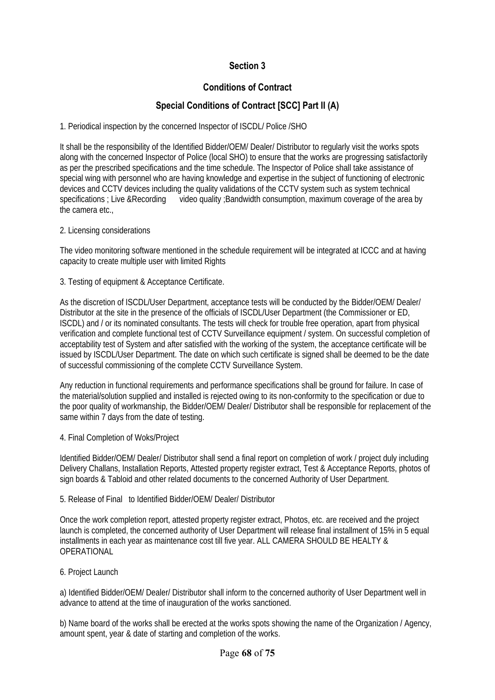# **Section 3**

## **Conditions of Contract**

# **Special Conditions of Contract [SCC] Part II (A)**

1. Periodical inspection by the concerned Inspector of ISCDL/ Police /SHO

It shall be the responsibility of the Identified Bidder/OEM/ Dealer/ Distributor to regularly visit the works spots along with the concerned Inspector of Police (local SHO) to ensure that the works are progressing satisfactorily as per the prescribed specifications and the time schedule. The Inspector of Police shall take assistance of special wing with personnel who are having knowledge and expertise in the subject of functioning of electronic devices and CCTV devices including the quality validations of the CCTV system such as system technical specifications ; Live &Recording video quality ; Bandwidth consumption, maximum coverage of the area by the camera etc.,

2. Licensing considerations

The video monitoring software mentioned in the schedule requirement will be integrated at ICCC and at having capacity to create multiple user with limited Rights

3. Testing of equipment & Acceptance Certificate.

As the discretion of ISCDL/User Department, acceptance tests will be conducted by the Bidder/OEM/ Dealer/ Distributor at the site in the presence of the officials of ISCDL/User Department (the Commissioner or ED, ISCDL) and / or its nominated consultants. The tests will check for trouble free operation, apart from physical verification and complete functional test of CCTV Surveillance equipment / system. On successful completion of acceptability test of System and after satisfied with the working of the system, the acceptance certificate will be issued by ISCDL/User Department. The date on which such certificate is signed shall be deemed to be the date of successful commissioning of the complete CCTV Surveillance System.

Any reduction in functional requirements and performance specifications shall be ground for failure. In case of the material/solution supplied and installed is rejected owing to its non-conformity to the specification or due to the poor quality of workmanship, the Bidder/OEM/ Dealer/ Distributor shall be responsible for replacement of the same within 7 days from the date of testing.

4. Final Completion of Woks/Project

Identified Bidder/OEM/ Dealer/ Distributor shall send a final report on completion of work / project duly including Delivery Challans, Installation Reports, Attested property register extract, Test & Acceptance Reports, photos of sign boards & Tabloid and other related documents to the concerned Authority of User Department.

#### 5. Release of Final to Identified Bidder/OEM/ Dealer/ Distributor

Once the work completion report, attested property register extract, Photos, etc. are received and the project launch is completed, the concerned authority of User Department will release final installment of 15% in 5 equal installments in each year as maintenance cost till five year. ALL CAMERA SHOULD BE HEALTY & OPERATIONAL

6. Project Launch

a) Identified Bidder/OEM/ Dealer/ Distributor shall inform to the concerned authority of User Department well in advance to attend at the time of inauguration of the works sanctioned.

b) Name board of the works shall be erected at the works spots showing the name of the Organization / Agency, amount spent, year & date of starting and completion of the works.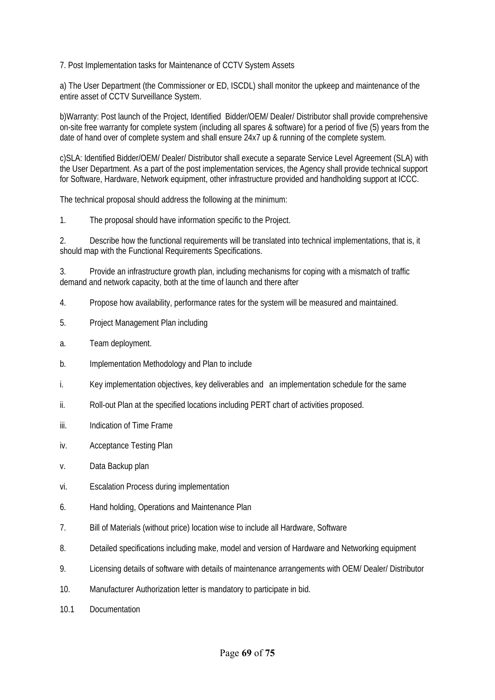7. Post Implementation tasks for Maintenance of CCTV System Assets

a) The User Department (the Commissioner or ED, ISCDL) shall monitor the upkeep and maintenance of the entire asset of CCTV Surveillance System.

b)Warranty: Post launch of the Project, Identified Bidder/OEM/ Dealer/ Distributor shall provide comprehensive on-site free warranty for complete system (including all spares & software) for a period of five (5) years from the date of hand over of complete system and shall ensure 24x7 up & running of the complete system.

c)SLA: Identified Bidder/OEM/ Dealer/ Distributor shall execute a separate Service Level Agreement (SLA) with the User Department. As a part of the post implementation services, the Agency shall provide technical support for Software, Hardware, Network equipment, other infrastructure provided and handholding support at ICCC.

The technical proposal should address the following at the minimum:

1. The proposal should have information specific to the Project.

2. Describe how the functional requirements will be translated into technical implementations, that is, it should map with the Functional Requirements Specifications.

3. Provide an infrastructure growth plan, including mechanisms for coping with a mismatch of traffic demand and network capacity, both at the time of launch and there after

- 4. Propose how availability, performance rates for the system will be measured and maintained.
- 5. Project Management Plan including
- a. Team deployment.
- b. Implementation Methodology and Plan to include
- i. Key implementation objectives, key deliverables and an implementation schedule for the same
- ii. Roll-out Plan at the specified locations including PERT chart of activities proposed.
- iii. Indication of Time Frame
- iv. Acceptance Testing Plan
- v. Data Backup plan
- vi. Escalation Process during implementation
- 6. Hand holding, Operations and Maintenance Plan
- 7. Bill of Materials (without price) location wise to include all Hardware, Software
- 8. Detailed specifications including make, model and version of Hardware and Networking equipment
- 9. Licensing details of software with details of maintenance arrangements with OEM/ Dealer/ Distributor
- 10. Manufacturer Authorization letter is mandatory to participate in bid.
- 10.1 Documentation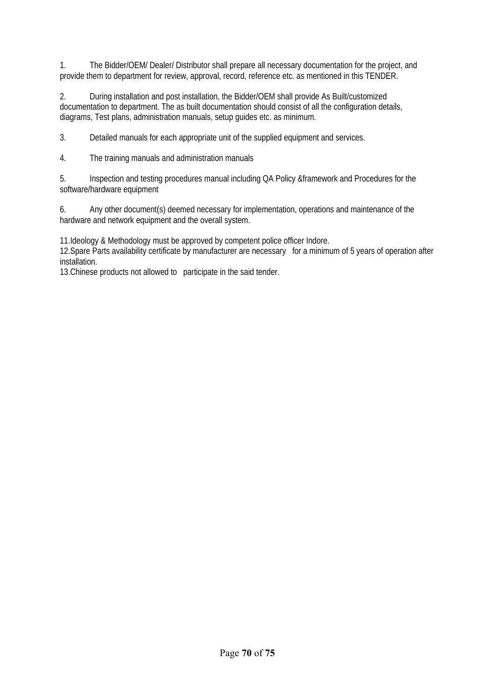1. The Bidder/OEM/ Dealer/ Distributor shall prepare all necessary documentation for the project, and provide them to department for review, approval, record, reference etc. as mentioned in this TENDER.

2. During installation and post installation, the Bidder/OEM shall provide As Built/customized documentation to department. The as built documentation should consist of all the configuration details, diagrams, Test plans, administration manuals, setup guides etc. as minimum.

3. Detailed manuals for each appropriate unit of the supplied equipment and services.

4. The training manuals and administration manuals

5. Inspection and testing procedures manual including QA Policy &framework and Procedures for the software/hardware equipment

6. Any other document(s) deemed necessary for implementation, operations and maintenance of the hardware and network equipment and the overall system.

11.Ideology & Methodology must be approved by competent police officer Indore.

12.Spare Parts availability certificate by manufacturer are necessary for a minimum of 5 years of operation after installation.

13.Chinese products not allowed to participate in the said tender.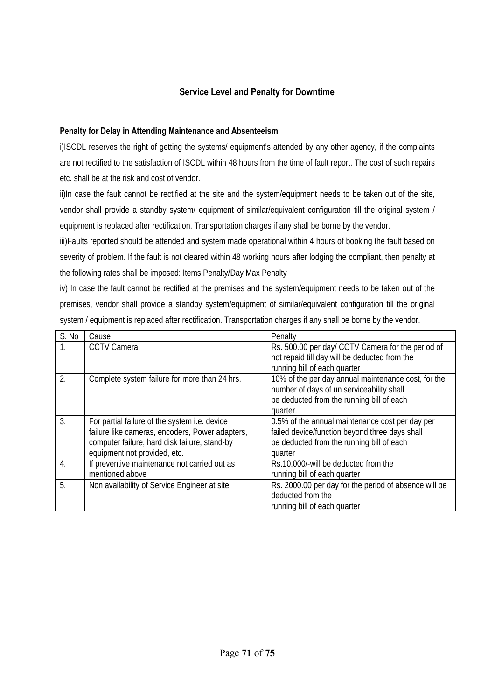### **Service Level and Penalty for Downtime**

#### **Penalty for Delay in Attending Maintenance and Absenteeism**

i)ISCDL reserves the right of getting the systems/ equipment's attended by any other agency, if the complaints are not rectified to the satisfaction of ISCDL within 48 hours from the time of fault report. The cost of such repairs etc. shall be at the risk and cost of vendor.

ii)In case the fault cannot be rectified at the site and the system/equipment needs to be taken out of the site, vendor shall provide a standby system/ equipment of similar/equivalent configuration till the original system / equipment is replaced after rectification. Transportation charges if any shall be borne by the vendor.

iii)Faults reported should be attended and system made operational within 4 hours of booking the fault based on severity of problem. If the fault is not cleared within 48 working hours after lodging the compliant, then penalty at the following rates shall be imposed: Items Penalty/Day Max Penalty

iv) In case the fault cannot be rectified at the premises and the system/equipment needs to be taken out of the premises, vendor shall provide a standby system/equipment of similar/equivalent configuration till the original system / equipment is replaced after rectification. Transportation charges if any shall be borne by the vendor.

| S. No            | Cause                                           | Penalty                                               |
|------------------|-------------------------------------------------|-------------------------------------------------------|
| $\mathbf{1}$ .   | <b>CCTV Camera</b>                              | Rs. 500.00 per day/ CCTV Camera for the period of     |
|                  |                                                 | not repaid till day will be deducted from the         |
|                  |                                                 | running bill of each quarter                          |
| 2.               | Complete system failure for more than 24 hrs.   | 10% of the per day annual maintenance cost, for the   |
|                  |                                                 | number of days of un serviceability shall             |
|                  |                                                 | be deducted from the running bill of each             |
|                  |                                                 | quarter.                                              |
| 3.               | For partial failure of the system i.e. device   | 0.5% of the annual maintenance cost per day per       |
|                  | failure like cameras, encoders, Power adapters, | failed device/function beyond three days shall        |
|                  | computer failure, hard disk failure, stand-by   | be deducted from the running bill of each             |
|                  | equipment not provided, etc.                    | quarter                                               |
| $\overline{4}$ . | If preventive maintenance not carried out as    | Rs.10,000/-will be deducted from the                  |
|                  | mentioned above                                 | running bill of each quarter                          |
| 5.               | Non availability of Service Engineer at site    | Rs. 2000.00 per day for the period of absence will be |
|                  |                                                 | deducted from the                                     |
|                  |                                                 | running bill of each quarter                          |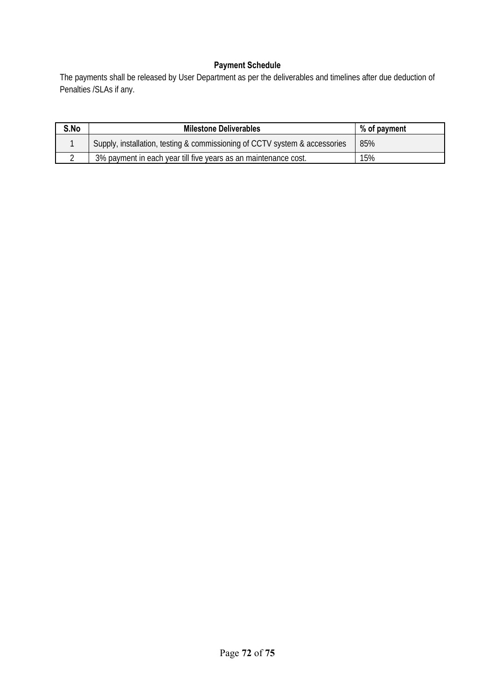# **Payment Schedule**

The payments shall be released by User Department as per the deliverables and timelines after due deduction of Penalties /SLAs if any.

| S.No | <b>Milestone Deliverables</b>                                              | % of payment |
|------|----------------------------------------------------------------------------|--------------|
|      | Supply, installation, testing & commissioning of CCTV system & accessories | 85%          |
|      | 3% payment in each year till five years as an maintenance cost.            | 15%          |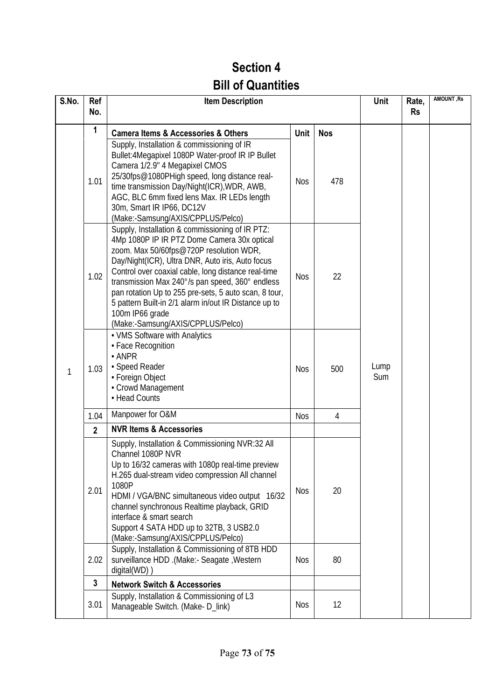## **Section 4 Bill of Quantities**

| S.No. | Ref<br>No.     | <b>Item Description</b>                                                                                                                                                                                                                                                                                                                                                                                                                                                                                             |                          |                | Unit        | Rate,<br><b>Rs</b> | <b>AMOUNT, Rs</b> |
|-------|----------------|---------------------------------------------------------------------------------------------------------------------------------------------------------------------------------------------------------------------------------------------------------------------------------------------------------------------------------------------------------------------------------------------------------------------------------------------------------------------------------------------------------------------|--------------------------|----------------|-------------|--------------------|-------------------|
|       | 1              | <b>Camera Items &amp; Accessories &amp; Others</b>                                                                                                                                                                                                                                                                                                                                                                                                                                                                  | Unit                     | <b>Nos</b>     |             |                    |                   |
| 1     | 1.01           | Supply, Installation & commissioning of IR<br>Bullet: 4Megapixel 1080P Water-proof IR IP Bullet<br>Camera 1/2.9" 4 Megapixel CMOS<br>25/30fps@1080PHigh speed, long distance real-<br>time transmission Day/Night(ICR), WDR, AWB,<br>AGC, BLC 6mm fixed lens Max. IR LEDs length<br>30m, Smart IR IP66, DC12V<br>(Make:-Samsung/AXIS/CPPLUS/Pelco)                                                                                                                                                                  | <b>Nos</b>               | 478            | Lump<br>Sum |                    |                   |
|       | 1.02           | Supply, Installation & commissioning of IR PTZ:<br>4Mp 1080P IP IR PTZ Dome Camera 30x optical<br>zoom. Max 50/60fps@720P resolution WDR,<br>Day/Night(ICR), Ultra DNR, Auto iris, Auto focus<br>Control over coaxial cable, long distance real-time<br>transmission Max 240°/s pan speed, 360° endless<br>pan rotation Up to 255 pre-sets, 5 auto scan, 8 tour,<br>5 pattern Built-in 2/1 alarm in/out IR Distance up to<br>100m IP66 grade<br>(Make:-Samsung/AXIS/CPPLUS/Pelco)                                   | <b>Nos</b>               | 22             |             |                    |                   |
|       | 1.03           | • VMS Software with Analytics<br>• Face Recognition<br>$\cdot$ ANPR<br>· Speed Reader<br>• Foreign Object<br>• Crowd Management<br>• Head Counts                                                                                                                                                                                                                                                                                                                                                                    | <b>Nos</b>               | 500            |             |                    |                   |
|       | 1.04           | Manpower for O&M                                                                                                                                                                                                                                                                                                                                                                                                                                                                                                    | <b>Nos</b>               | $\overline{4}$ |             |                    |                   |
|       | $\overline{2}$ | <b>NVR Items &amp; Accessories</b>                                                                                                                                                                                                                                                                                                                                                                                                                                                                                  |                          |                |             |                    |                   |
|       | 2.01<br>2.02   | Supply, Installation & Commissioning NVR:32 All<br>Channel 1080P NVR<br>Up to 16/32 cameras with 1080p real-time preview<br>H.265 dual-stream video compression All channel<br>1080P<br>HDMI / VGA/BNC simultaneous video output 16/32<br>channel synchronous Realtime playback, GRID<br>interface & smart search<br>Support 4 SATA HDD up to 32TB, 3 USB2.0<br>(Make:-Samsung/AXIS/CPPLUS/Pelco)<br>Supply, Installation & Commissioning of 8TB HDD<br>surveillance HDD .(Make:- Seagate , Western<br>digital(WD)) | <b>Nos</b><br><b>Nos</b> | 20<br>80       |             |                    |                   |
|       | $\mathbf{3}$   | <b>Network Switch &amp; Accessories</b>                                                                                                                                                                                                                                                                                                                                                                                                                                                                             |                          |                |             |                    |                   |
|       | 3.01           | Supply, Installation & Commissioning of L3<br>Manageable Switch. (Make-D_link)                                                                                                                                                                                                                                                                                                                                                                                                                                      | <b>Nos</b>               | 12             |             |                    |                   |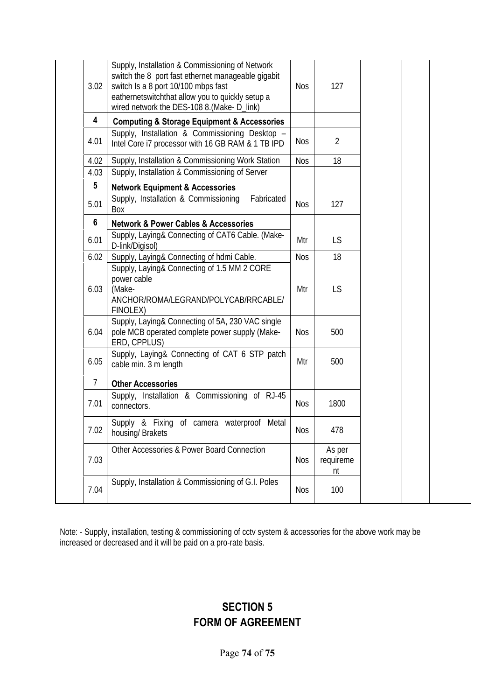| 3.02                    | Supply, Installation & Commissioning of Network<br>switch the 8 port fast ethernet manageable gigabit<br>switch Is a 8 port 10/100 mbps fast<br>eathernetswitchthat allow you to quickly setup a<br>wired network the DES-108 8.(Make-D_link) | <b>Nos</b> | 127                       |  |
|-------------------------|-----------------------------------------------------------------------------------------------------------------------------------------------------------------------------------------------------------------------------------------------|------------|---------------------------|--|
| $\overline{\mathbf{4}}$ | <b>Computing &amp; Storage Equipment &amp; Accessories</b>                                                                                                                                                                                    |            |                           |  |
| 4.01                    | Supply, Installation & Commissioning Desktop -<br>Intel Core i7 processor with 16 GB RAM & 1 TB IPD                                                                                                                                           | <b>Nos</b> | $\overline{2}$            |  |
| 4.02                    | Supply, Installation & Commissioning Work Station                                                                                                                                                                                             | <b>Nos</b> | 18                        |  |
| 4.03                    | Supply, Installation & Commissioning of Server                                                                                                                                                                                                |            |                           |  |
| 5                       | <b>Network Equipment &amp; Accessories</b>                                                                                                                                                                                                    |            |                           |  |
| 5.01                    | Supply, Installation & Commissioning<br>Fabricated<br>Box                                                                                                                                                                                     | <b>Nos</b> | 127                       |  |
| $6\phantom{1}6$         | <b>Network &amp; Power Cables &amp; Accessories</b>                                                                                                                                                                                           |            |                           |  |
| 6.01                    | Supply, Laying& Connecting of CAT6 Cable. (Make-<br>D-link/Digisol)                                                                                                                                                                           | Mtr        | LS                        |  |
| 6.02                    | Supply, Laying& Connecting of hdmi Cable.                                                                                                                                                                                                     | <b>Nos</b> | 18                        |  |
| 6.03                    | Supply, Laying& Connecting of 1.5 MM 2 CORE<br>power cable<br>(Make-<br>ANCHOR/ROMA/LEGRAND/POLYCAB/RRCABLE/<br>FINOLEX)                                                                                                                      | Mtr        | LS                        |  |
| 6.04                    | Supply, Laying& Connecting of 5A, 230 VAC single<br>pole MCB operated complete power supply (Make-<br>ERD, CPPLUS)                                                                                                                            | <b>Nos</b> | 500                       |  |
| 6.05                    | Supply, Laying& Connecting of CAT 6 STP patch<br>cable min. 3 m length                                                                                                                                                                        | Mtr        | 500                       |  |
| 7                       | <b>Other Accessories</b>                                                                                                                                                                                                                      |            |                           |  |
| 7.01                    | Supply, Installation & Commissioning of RJ-45<br>connectors.                                                                                                                                                                                  | <b>Nos</b> | 1800                      |  |
| 7.02                    | Supply & Fixing of camera waterproof Metal<br>housing/ Brakets                                                                                                                                                                                | Nos        | 478                       |  |
| 7.03                    | Other Accessories & Power Board Connection                                                                                                                                                                                                    | <b>Nos</b> | As per<br>requireme<br>nt |  |
| 7.04                    | Supply, Installation & Commissioning of G.I. Poles                                                                                                                                                                                            | <b>Nos</b> | 100                       |  |

Note: - Supply, installation, testing & commissioning of cctv system & accessories for the above work may be increased or decreased and it will be paid on a pro-rate basis.

## **SECTION 5 FORM OF AGREEMENT**